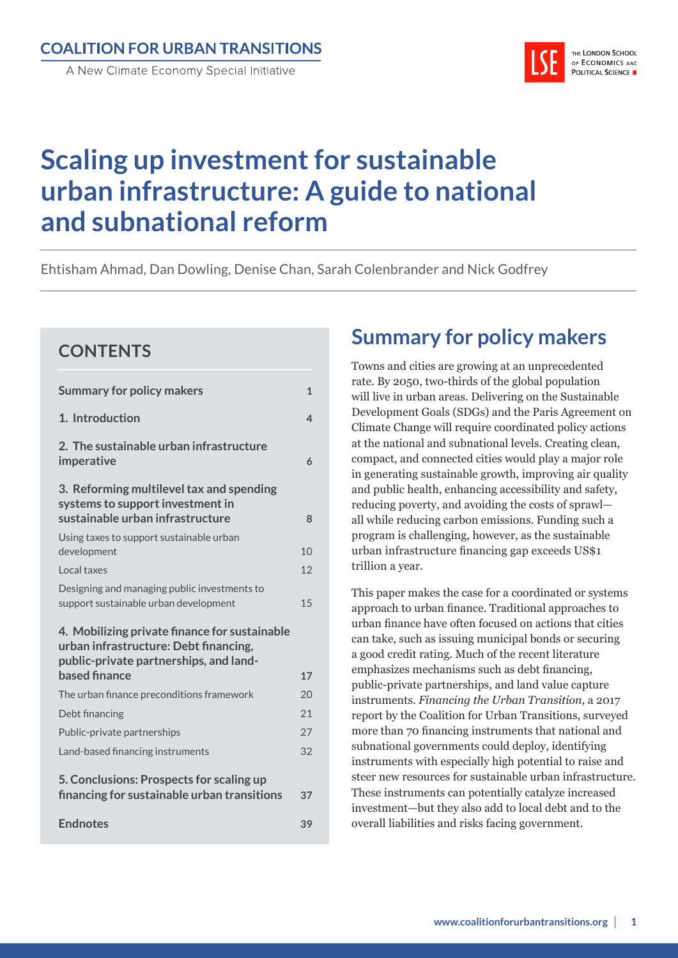THE LONDON SCHOOL OF ECONOMICS AND **POLITICAL SCIENCE** 

# **Scaling up investment for sustainable urban infrastructure: A guide to national and subnational reform**

Ehtisham Ahmad, Dan Dowling, Denise Chan, Sarah Colenbrander and Nick Godfrey

## **CONTENTS**

| <b>Summary for policy makers</b>                                                                                                 | $\mathbf{1}$ |
|----------------------------------------------------------------------------------------------------------------------------------|--------------|
| 1. Introduction                                                                                                                  | 4            |
| 2. The sustainable urban infrastructure<br>imperative                                                                            | 6            |
| 3. Reforming multilevel tax and spending<br>systems to support investment in<br>sustainable urban infrastructure                 | 8            |
| Using taxes to support sustainable urban<br>development                                                                          | 10           |
| Local taxes                                                                                                                      | 12           |
| Designing and managing public investments to<br>support sustainable urban development                                            | 15           |
| 4. Mobilizing private finance for sustainable<br>urban infrastructure: Debt financing,<br>public-private partnerships, and land- |              |
| based finance                                                                                                                    | 17<br>20     |
| The urban finance preconditions framework<br>Debt financing                                                                      | 21           |
| Public-private partnerships                                                                                                      | 27           |
| Land-based financing instruments                                                                                                 | 32           |
| 5. Conclusions: Prospects for scaling up<br>financing for sustainable urban transitions                                          | 37           |
| <b>Endnotes</b>                                                                                                                  | 39           |

# **Page Summary for policy makers**

Towns and cities are growing at an unprecedented rate. By 2050, two-thirds of the global population will live in urban areas. Delivering on the Sustainable Development Goals (SDGs) and the Paris Agreement on Climate Change will require coordinated policy actions at the national and subnational levels. Creating clean, compact, and connected cities would play a major role in generating sustainable growth, improving air quality and public health, enhancing accessibility and safety, reducing poverty, and avoiding the costs of sprawl all while reducing carbon emissions. Funding such a program is challenging, however, as the sustainable urban infrastructure financing gap exceeds US\$1 trillion a year.

This paper makes the case for a coordinated or systems approach to urban finance. Traditional approaches to urban finance have often focused on actions that cities can take, such as issuing municipal bonds or securing a good credit rating. Much of the recent literature emphasizes mechanisms such as debt financing, public-private partnerships, and land value capture instruments. *Financing the Urban Transition*, a 2017 report by the Coalition for Urban Transitions, surveyed more than 70 financing instruments that national and subnational governments could deploy, identifying instruments with especially high potential to raise and steer new resources for sustainable urban infrastructure. These instruments can potentially catalyze increased investment—but they also add to local debt and to the overall liabilities and risks facing government.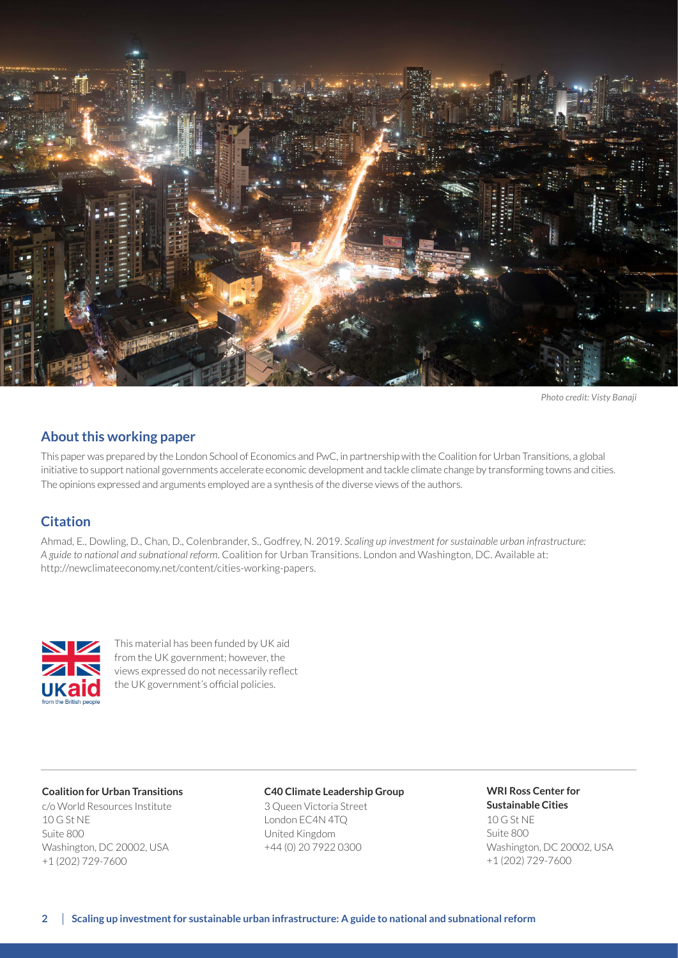

*Photo credit: Visty Banaji*

#### **About this working paper**

This paper was prepared by the London School of Economics and PwC, in partnership with the Coalition for Urban Transitions, a global initiative to support national governments accelerate economic development and tackle climate change by transforming towns and cities. The opinions expressed and arguments employed are a synthesis of the diverse views of the authors.

#### **Citation**

Ahmad, E., Dowling, D., Chan, D., Colenbrander, S., Godfrey, N. 2019. *Scaling up investment for sustainable urban infrastructure: A guide to national and subnational reform.* Coalition for Urban Transitions. London and Washington, DC. Available at: http://newclimateeconomy.net/content/cities-working-papers.



This material has been funded by UK aid from the UK government; however, the views expressed do not necessarily reflect the UK government's official policies.

#### **Coalition for Urban Transitions**

c/o World Resources Institute 10 G St NE Suite 800 Washington, DC 20002, USA +1 (202) 729-7600

#### **C40 Climate Leadership Group**

3 Queen Victoria Street London EC4N 4TQ United Kingdom +44 (0) 20 7922 0300

## **WRI Ross Center for Sustainable Cities** 10 G St NE

Suite 800 Washington, DC 20002, USA +1 (202) 729-7600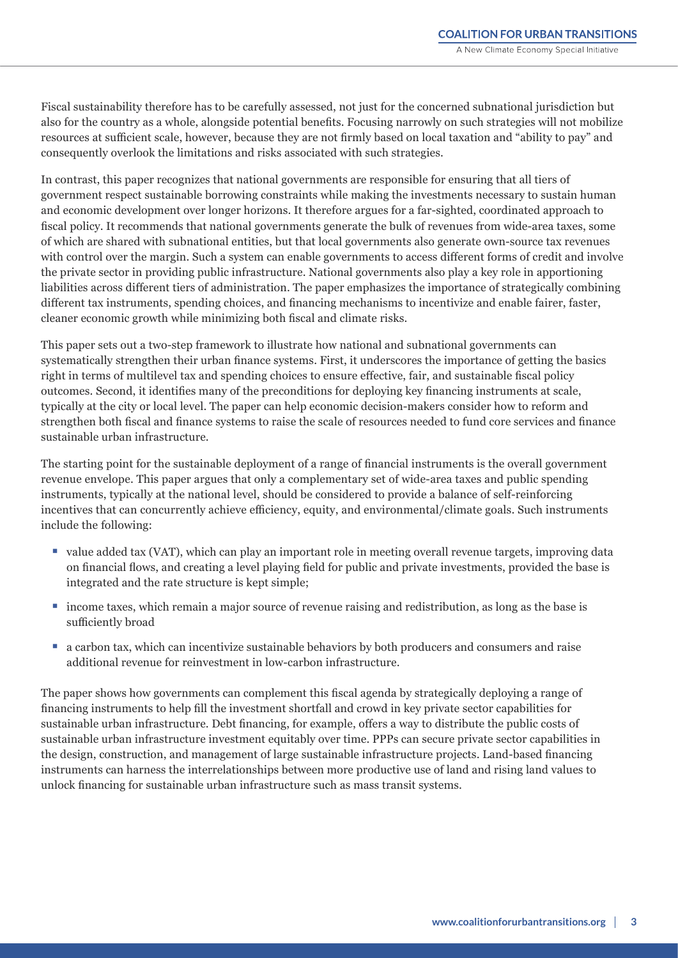Fiscal sustainability therefore has to be carefully assessed, not just for the concerned subnational jurisdiction but also for the country as a whole, alongside potential benefits. Focusing narrowly on such strategies will not mobilize resources at sufficient scale, however, because they are not firmly based on local taxation and "ability to pay" and consequently overlook the limitations and risks associated with such strategies.

In contrast, this paper recognizes that national governments are responsible for ensuring that all tiers of government respect sustainable borrowing constraints while making the investments necessary to sustain human and economic development over longer horizons. It therefore argues for a far-sighted, coordinated approach to fiscal policy. It recommends that national governments generate the bulk of revenues from wide-area taxes, some of which are shared with subnational entities, but that local governments also generate own-source tax revenues with control over the margin. Such a system can enable governments to access different forms of credit and involve the private sector in providing public infrastructure. National governments also play a key role in apportioning liabilities across different tiers of administration. The paper emphasizes the importance of strategically combining different tax instruments, spending choices, and financing mechanisms to incentivize and enable fairer, faster, cleaner economic growth while minimizing both fiscal and climate risks.

This paper sets out a two-step framework to illustrate how national and subnational governments can systematically strengthen their urban finance systems. First, it underscores the importance of getting the basics right in terms of multilevel tax and spending choices to ensure effective, fair, and sustainable fiscal policy outcomes. Second, it identifies many of the preconditions for deploying key financing instruments at scale, typically at the city or local level. The paper can help economic decision-makers consider how to reform and strengthen both fiscal and finance systems to raise the scale of resources needed to fund core services and finance sustainable urban infrastructure.

The starting point for the sustainable deployment of a range of financial instruments is the overall government revenue envelope. This paper argues that only a complementary set of wide-area taxes and public spending instruments, typically at the national level, should be considered to provide a balance of self-reinforcing incentives that can concurrently achieve efficiency, equity, and environmental/climate goals. Such instruments include the following:

- value added tax (VAT), which can play an important role in meeting overall revenue targets, improving data on financial flows, and creating a level playing field for public and private investments, provided the base is integrated and the rate structure is kept simple;
- income taxes, which remain a major source of revenue raising and redistribution, as long as the base is sufficiently broad
- a carbon tax, which can incentivize sustainable behaviors by both producers and consumers and raise additional revenue for reinvestment in low-carbon infrastructure.

The paper shows how governments can complement this fiscal agenda by strategically deploying a range of financing instruments to help fill the investment shortfall and crowd in key private sector capabilities for sustainable urban infrastructure. Debt financing, for example, offers a way to distribute the public costs of sustainable urban infrastructure investment equitably over time. PPPs can secure private sector capabilities in the design, construction, and management of large sustainable infrastructure projects. Land-based financing instruments can harness the interrelationships between more productive use of land and rising land values to unlock financing for sustainable urban infrastructure such as mass transit systems.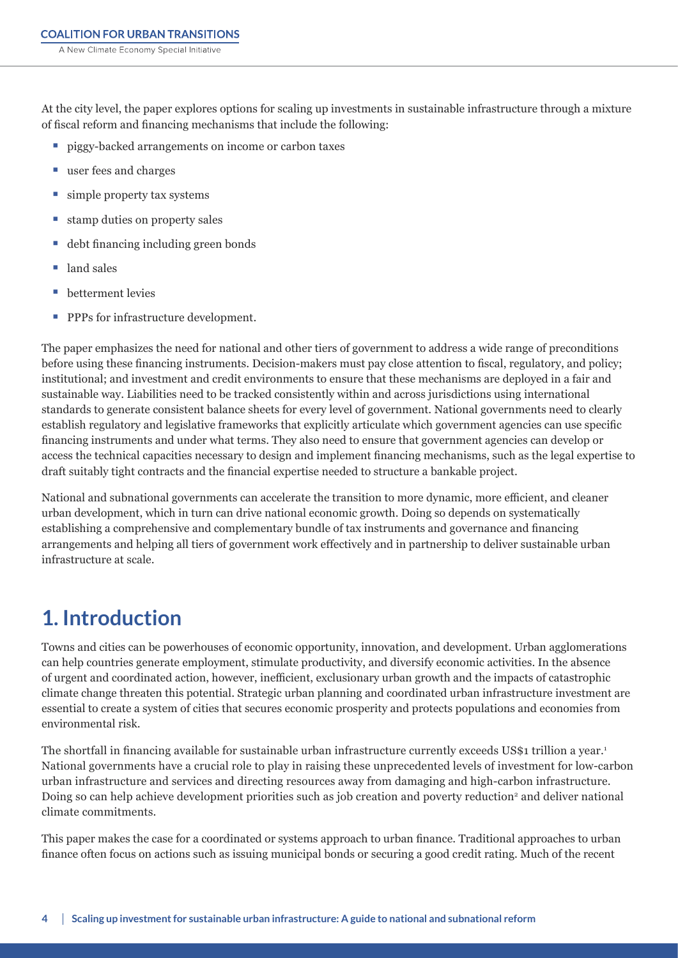<span id="page-3-0"></span>At the city level, the paper explores options for scaling up investments in sustainable infrastructure through a mixture of fiscal reform and financing mechanisms that include the following:

- piggy-backed arrangements on income or carbon taxes
- user fees and charges
- simple property tax systems
- stamp duties on property sales
- debt financing including green bonds
- land sales
- betterment levies
- PPPs for infrastructure development.

The paper emphasizes the need for national and other tiers of government to address a wide range of preconditions before using these financing instruments. Decision-makers must pay close attention to fiscal, regulatory, and policy; institutional; and investment and credit environments to ensure that these mechanisms are deployed in a fair and sustainable way. Liabilities need to be tracked consistently within and across jurisdictions using international standards to generate consistent balance sheets for every level of government. National governments need to clearly establish regulatory and legislative frameworks that explicitly articulate which government agencies can use specific financing instruments and under what terms. They also need to ensure that government agencies can develop or access the technical capacities necessary to design and implement financing mechanisms, such as the legal expertise to draft suitably tight contracts and the financial expertise needed to structure a bankable project.

National and subnational governments can accelerate the transition to more dynamic, more efficient, and cleaner urban development, which in turn can drive national economic growth. Doing so depends on systematically establishing a comprehensive and complementary bundle of tax instruments and governance and financing arrangements and helping all tiers of government work effectively and in partnership to deliver sustainable urban infrastructure at scale.

# **1. Introduction**

Towns and cities can be powerhouses of economic opportunity, innovation, and development. Urban agglomerations can help countries generate employment, stimulate productivity, and diversify economic activities. In the absence of urgent and coordinated action, however, inefficient, exclusionary urban growth and the impacts of catastrophic climate change threaten this potential. Strategic urban planning and coordinated urban infrastructure investment are essential to create a system of cities that secures economic prosperity and protects populations and economies from environmental risk.

The shortfall in financing available for sustainable urban infrastructure currently exceeds US\$1 trillion a year.<sup>1</sup> National governments have a crucial role to play in raising these unprecedented levels of investment for low-carbon urban infrastructure and services and directing resources away from damaging and high-carbon infrastructure. Doing so can help achieve development priorities such as job creation and poverty reduction<sup>2</sup> and deliver national climate commitments.

This paper makes the case for a coordinated or systems approach to urban finance. Traditional approaches to urban finance often focus on actions such as issuing municipal bonds or securing a good credit rating. Much of the recent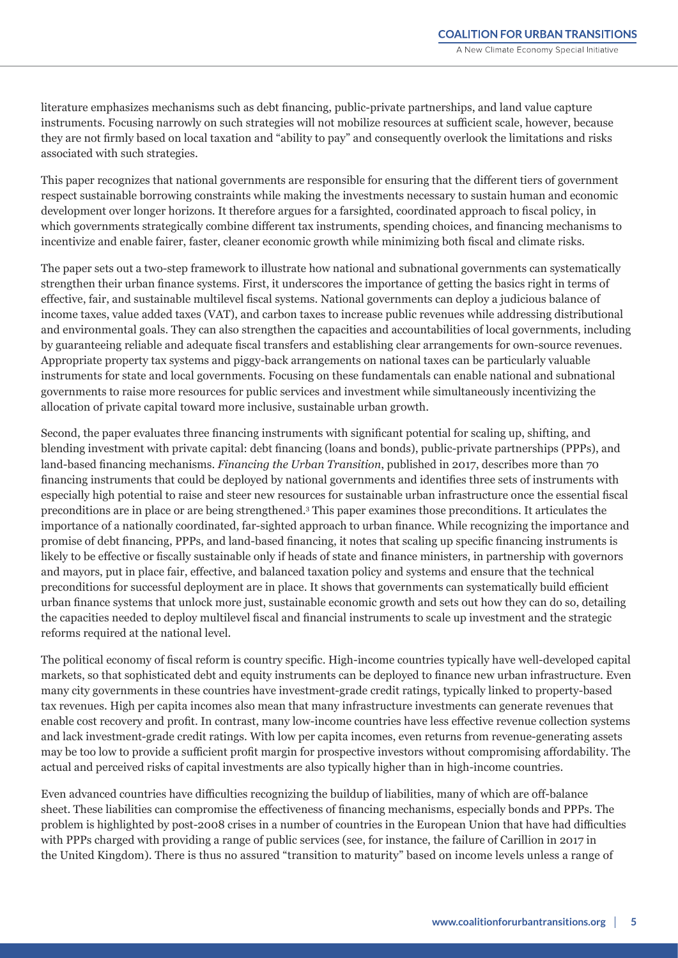literature emphasizes mechanisms such as debt financing, public-private partnerships, and land value capture instruments. Focusing narrowly on such strategies will not mobilize resources at sufficient scale, however, because they are not firmly based on local taxation and "ability to pay" and consequently overlook the limitations and risks associated with such strategies.

This paper recognizes that national governments are responsible for ensuring that the different tiers of government respect sustainable borrowing constraints while making the investments necessary to sustain human and economic development over longer horizons. It therefore argues for a farsighted, coordinated approach to fiscal policy, in which governments strategically combine different tax instruments, spending choices, and financing mechanisms to incentivize and enable fairer, faster, cleaner economic growth while minimizing both fiscal and climate risks.

The paper sets out a two-step framework to illustrate how national and subnational governments can systematically strengthen their urban finance systems. First, it underscores the importance of getting the basics right in terms of effective, fair, and sustainable multilevel fiscal systems. National governments can deploy a judicious balance of income taxes, value added taxes (VAT), and carbon taxes to increase public revenues while addressing distributional and environmental goals. They can also strengthen the capacities and accountabilities of local governments, including by guaranteeing reliable and adequate fiscal transfers and establishing clear arrangements for own-source revenues. Appropriate property tax systems and piggy-back arrangements on national taxes can be particularly valuable instruments for state and local governments. Focusing on these fundamentals can enable national and subnational governments to raise more resources for public services and investment while simultaneously incentivizing the allocation of private capital toward more inclusive, sustainable urban growth.

Second, the paper evaluates three financing instruments with significant potential for scaling up, shifting, and blending investment with private capital: debt financing (loans and bonds), public-private partnerships (PPPs), and land-based financing mechanisms. *Financing the Urban Transition*, published in 2017, describes more than 70 financing instruments that could be deployed by national governments and identifies three sets of instruments with especially high potential to raise and steer new resources for sustainable urban infrastructure once the essential fiscal preconditions are in place or are being strengthened.3 This paper examines those preconditions. It articulates the importance of a nationally coordinated, far-sighted approach to urban finance. While recognizing the importance and promise of debt financing, PPPs, and land-based financing, it notes that scaling up specific financing instruments is likely to be effective or fiscally sustainable only if heads of state and finance ministers, in partnership with governors and mayors, put in place fair, effective, and balanced taxation policy and systems and ensure that the technical preconditions for successful deployment are in place. It shows that governments can systematically build efficient urban finance systems that unlock more just, sustainable economic growth and sets out how they can do so, detailing the capacities needed to deploy multilevel fiscal and financial instruments to scale up investment and the strategic reforms required at the national level.

The political economy of fiscal reform is country specific. High-income countries typically have well-developed capital markets, so that sophisticated debt and equity instruments can be deployed to finance new urban infrastructure. Even many city governments in these countries have investment-grade credit ratings, typically linked to property-based tax revenues. High per capita incomes also mean that many infrastructure investments can generate revenues that enable cost recovery and profit. In contrast, many low-income countries have less effective revenue collection systems and lack investment-grade credit ratings. With low per capita incomes, even returns from revenue-generating assets may be too low to provide a sufficient profit margin for prospective investors without compromising affordability. The actual and perceived risks of capital investments are also typically higher than in high-income countries.

Even advanced countries have difficulties recognizing the buildup of liabilities, many of which are off-balance sheet. These liabilities can compromise the effectiveness of financing mechanisms, especially bonds and PPPs. The problem is highlighted by post-2008 crises in a number of countries in the European Union that have had difficulties with PPPs charged with providing a range of public services (see, for instance, the failure of Carillion in 2017 in the United Kingdom). There is thus no assured "transition to maturity" based on income levels unless a range of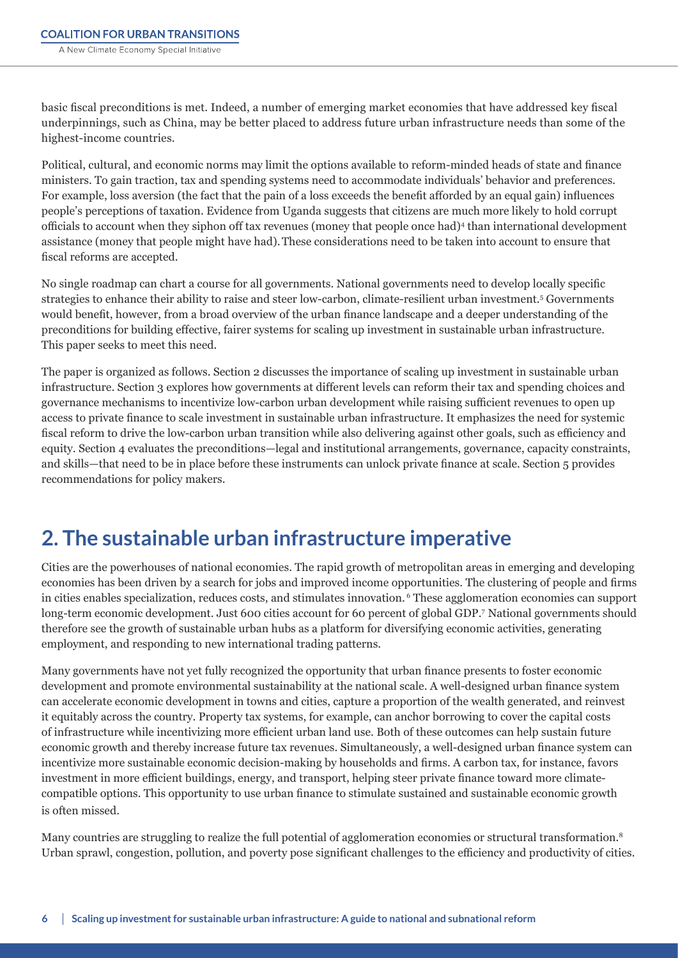<span id="page-5-0"></span>basic fiscal preconditions is met. Indeed, a number of emerging market economies that have addressed key fiscal underpinnings, such as China, may be better placed to address future urban infrastructure needs than some of the highest-income countries.

Political, cultural, and economic norms may limit the options available to reform-minded heads of state and finance ministers. To gain traction, tax and spending systems need to accommodate individuals' behavior and preferences. For example, loss aversion (the fact that the pain of a loss exceeds the benefit afforded by an equal gain) influences people's perceptions of taxation. Evidence from Uganda suggests that citizens are much more likely to hold corrupt officials to account when they siphon off tax revenues (money that people once had)<sup>4</sup> than international development assistance (money that people might have had).These considerations need to be taken into account to ensure that fiscal reforms are accepted.

No single roadmap can chart a course for all governments. National governments need to develop locally specific strategies to enhance their ability to raise and steer low-carbon, climate-resilient urban investment.5 Governments would benefit, however, from a broad overview of the urban finance landscape and a deeper understanding of the preconditions for building effective, fairer systems for scaling up investment in sustainable urban infrastructure. This paper seeks to meet this need.

The paper is organized as follows. Section 2 discusses the importance of scaling up investment in sustainable urban infrastructure. Section 3 explores how governments at different levels can reform their tax and spending choices and governance mechanisms to incentivize low-carbon urban development while raising sufficient revenues to open up access to private finance to scale investment in sustainable urban infrastructure. It emphasizes the need for systemic fiscal reform to drive the low-carbon urban transition while also delivering against other goals, such as efficiency and equity. Section 4 evaluates the preconditions—legal and institutional arrangements, governance, capacity constraints, and skills—that need to be in place before these instruments can unlock private finance at scale. Section 5 provides recommendations for policy makers.

# **2. The sustainable urban infrastructure imperative**

Cities are the powerhouses of national economies. The rapid growth of metropolitan areas in emerging and developing economies has been driven by a search for jobs and improved income opportunities. The clustering of people and firms in cities enables specialization, reduces costs, and stimulates innovation. 6 These agglomeration economies can support long-term economic development. Just 600 cities account for 60 percent of global GDP.<sup>7</sup>National governments should therefore see the growth of sustainable urban hubs as a platform for diversifying economic activities, generating employment, and responding to new international trading patterns.

Many governments have not yet fully recognized the opportunity that urban finance presents to foster economic development and promote environmental sustainability at the national scale. A well-designed urban finance system can accelerate economic development in towns and cities, capture a proportion of the wealth generated, and reinvest it equitably across the country. Property tax systems, for example, can anchor borrowing to cover the capital costs of infrastructure while incentivizing more efficient urban land use. Both of these outcomes can help sustain future economic growth and thereby increase future tax revenues. Simultaneously, a well-designed urban finance system can incentivize more sustainable economic decision-making by households and firms. A carbon tax, for instance, favors investment in more efficient buildings, energy, and transport, helping steer private finance toward more climatecompatible options. This opportunity to use urban finance to stimulate sustained and sustainable economic growth is often missed.

Many countries are struggling to realize the full potential of agglomeration economies or structural transformation.<sup>8</sup> Urban sprawl, congestion, pollution, and poverty pose significant challenges to the efficiency and productivity of cities.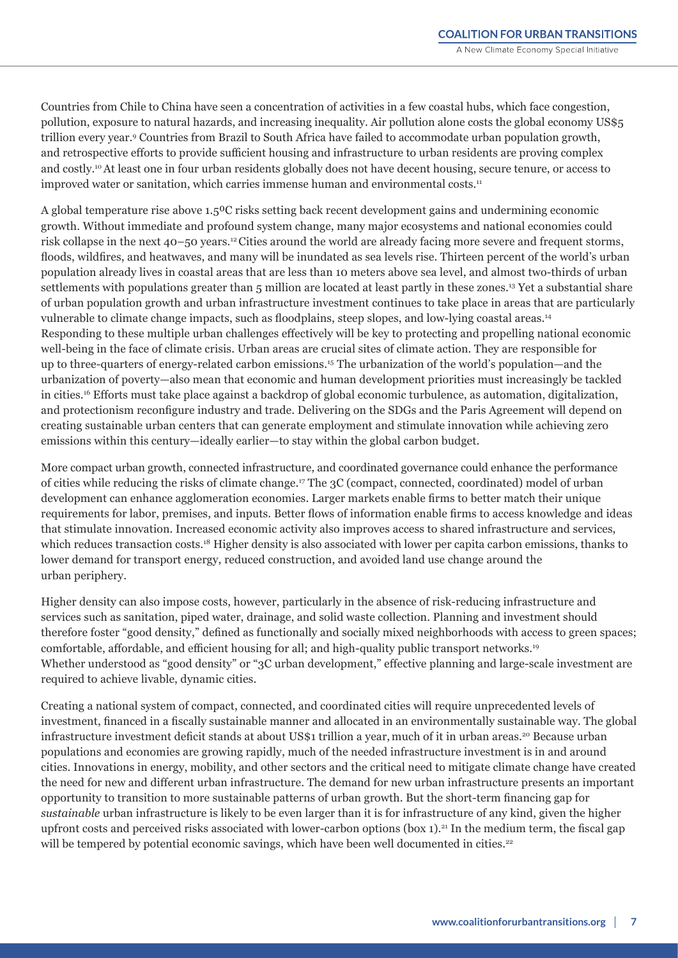Countries from Chile to China have seen a concentration of activities in a few coastal hubs, which face congestion, pollution, exposure to natural hazards, and increasing inequality. Air pollution alone costs the global economy US\$5 trillion every year.9 Countries from Brazil to South Africa have failed to accommodate urban population growth, and retrospective efforts to provide sufficient housing and infrastructure to urban residents are proving complex and costly.<sup>10</sup>At least one in four urban residents globally does not have decent housing, secure tenure, or access to improved water or sanitation, which carries immense human and environmental costs.<sup>11</sup>

A global temperature rise above 1.5<sup>o</sup>C risks setting back recent development gains and undermining economic growth. Without immediate and profound system change, many major ecosystems and national economies could risk collapse in the next 40–50 years.12 Cities around the world are already facing more severe and frequent storms, floods, wildfires, and heatwaves, and many will be inundated as sea levels rise. Thirteen percent of the world's urban population already lives in coastal areas that are less than 10 meters above sea level, and almost two-thirds of urban settlements with populations greater than 5 million are located at least partly in these zones.<sup>13</sup> Yet a substantial share of urban population growth and urban infrastructure investment continues to take place in areas that are particularly vulnerable to climate change impacts, such as floodplains, steep slopes, and low-lying coastal areas.14 Responding to these multiple urban challenges effectively will be key to protecting and propelling national economic well-being in the face of climate crisis. Urban areas are crucial sites of climate action. They are responsible for up to three-quarters of energy-related carbon emissions.15 The urbanization of the world's population—and the urbanization of poverty—also mean that economic and human development priorities must increasingly be tackled in cities.16 Efforts must take place against a backdrop of global economic turbulence, as automation, digitalization, and protectionism reconfigure industry and trade. Delivering on the SDGs and the Paris Agreement will depend on creating sustainable urban centers that can generate employment and stimulate innovation while achieving zero emissions within this century—ideally earlier—to stay within the global carbon budget.

More compact urban growth, connected infrastructure, and coordinated governance could enhance the performance of cities while reducing the risks of climate change.<sup>17</sup>The 3C (compact, connected, coordinated) model of urban development can enhance agglomeration economies. Larger markets enable firms to better match their unique requirements for labor, premises, and inputs. Better flows of information enable firms to access knowledge and ideas that stimulate innovation. Increased economic activity also improves access to shared infrastructure and services, which reduces transaction costs.<sup>18</sup> Higher density is also associated with lower per capita carbon emissions, thanks to lower demand for transport energy, reduced construction, and avoided land use change around the urban periphery.

Higher density can also impose costs, however, particularly in the absence of risk-reducing infrastructure and services such as sanitation, piped water, drainage, and solid waste collection. Planning and investment should therefore foster "good density," defined as functionally and socially mixed neighborhoods with access to green spaces; comfortable, affordable, and efficient housing for all; and high-quality public transport networks.19 Whether understood as "good density" or "3C urban development," effective planning and large-scale investment are required to achieve livable, dynamic cities.

Creating a national system of compact, connected, and coordinated cities will require unprecedented levels of investment, financed in a fiscally sustainable manner and allocated in an environmentally sustainable way. The global infrastructure investment deficit stands at about US\$1 trillion a year, much of it in urban areas.20 Because urban populations and economies are growing rapidly, much of the needed infrastructure investment is in and around cities. Innovations in energy, mobility, and other sectors and the critical need to mitigate climate change have created the need for new and different urban infrastructure. The demand for new urban infrastructure presents an important opportunity to transition to more sustainable patterns of urban growth. But the short-term financing gap for *sustainable* urban infrastructure is likely to be even larger than it is for infrastructure of any kind, given the higher upfront costs and perceived risks associated with lower-carbon options (box 1).<sup>21</sup> In the medium term, the fiscal gap will be tempered by potential economic savings, which have been well documented in cities.<sup>22</sup>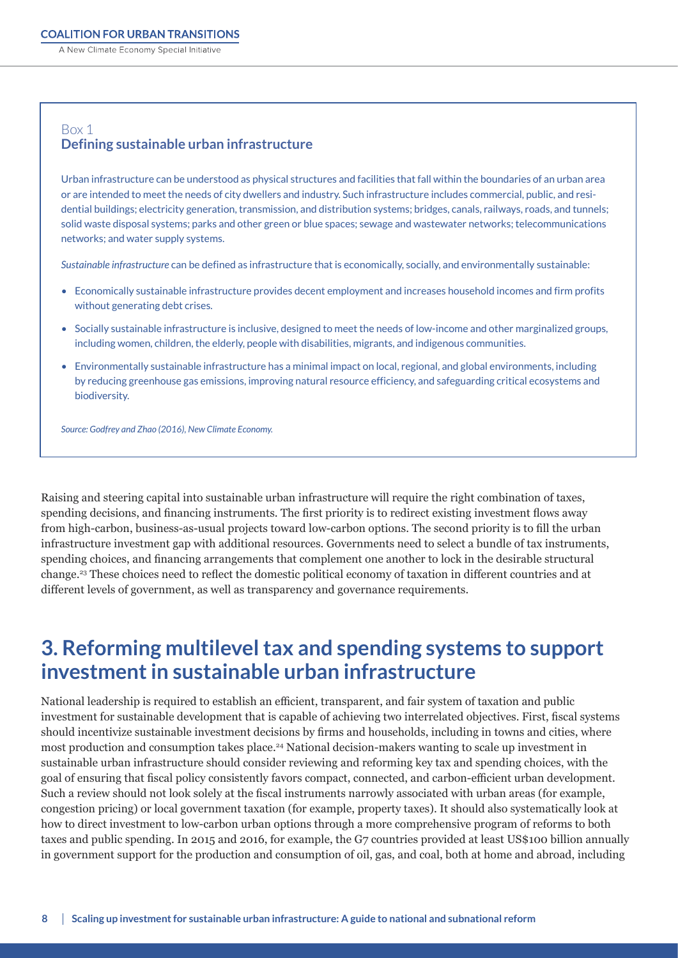<span id="page-7-0"></span>A New Climate Economy Special Initiative

### Box 1 **Defining sustainable urban infrastructure**

Urban infrastructure can be understood as physical structures and facilities that fall within the boundaries of an urban area or are intended to meet the needs of city dwellers and industry. Such infrastructure includes commercial, public, and residential buildings; electricity generation, transmission, and distribution systems; bridges, canals, railways, roads, and tunnels; solid waste disposal systems; parks and other green or blue spaces; sewage and wastewater networks; telecommunications networks; and water supply systems.

*Sustainable infrastructure* can be defined as infrastructure that is economically, socially, and environmentally sustainable:

- Economically sustainable infrastructure provides decent employment and increases household incomes and firm profits without generating debt crises.
- Socially sustainable infrastructure is inclusive, designed to meet the needs of low-income and other marginalized groups, including women, children, the elderly, people with disabilities, migrants, and indigenous communities.
- Environmentally sustainable infrastructure has a minimal impact on local, regional, and global environments, including by reducing greenhouse gas emissions, improving natural resource efficiency, and safeguarding critical ecosystems and biodiversity.

*Source: Godfrey and Zhao (2016), New Climate Economy.*

Raising and steering capital into sustainable urban infrastructure will require the right combination of taxes, spending decisions, and financing instruments. The first priority is to redirect existing investment flows away from high-carbon, business-as-usual projects toward low-carbon options. The second priority is to fill the urban infrastructure investment gap with additional resources. Governments need to select a bundle of tax instruments, spending choices, and financing arrangements that complement one another to lock in the desirable structural change.23 These choices need to reflect the domestic political economy of taxation in different countries and at different levels of government, as well as transparency and governance requirements.

## **3. Reforming multilevel tax and spending systems to support investment in sustainable urban infrastructure**

National leadership is required to establish an efficient, transparent, and fair system of taxation and public investment for sustainable development that is capable of achieving two interrelated objectives. First, fiscal systems should incentivize sustainable investment decisions by firms and households, including in towns and cities, where most production and consumption takes place.24 National decision-makers wanting to scale up investment in sustainable urban infrastructure should consider reviewing and reforming key tax and spending choices, with the goal of ensuring that fiscal policy consistently favors compact, connected, and carbon-efficient urban development. Such a review should not look solely at the fiscal instruments narrowly associated with urban areas (for example, congestion pricing) or local government taxation (for example, property taxes). It should also systematically look at how to direct investment to low-carbon urban options through a more comprehensive program of reforms to both taxes and public spending. In 2015 and 2016, for example, the G7 countries provided at least US\$100 billion annually in government support for the production and consumption of oil, gas, and coal, both at home and abroad, including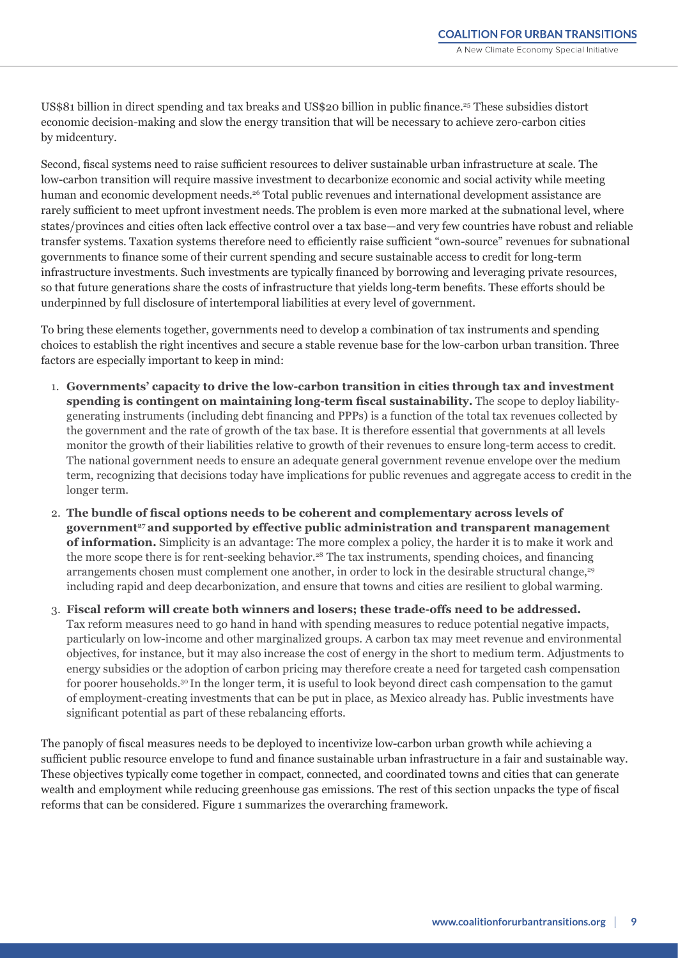US\$81 billion in direct spending and tax breaks and US\$20 billion in public finance.<sup>25</sup> These subsidies distort economic decision-making and slow the energy transition that will be necessary to achieve zero-carbon cities by midcentury.

Second, fiscal systems need to raise sufficient resources to deliver sustainable urban infrastructure at scale. The low-carbon transition will require massive investment to decarbonize economic and social activity while meeting human and economic development needs.<sup>26</sup> Total public revenues and international development assistance are rarely sufficient to meet upfront investment needs.The problem is even more marked at the subnational level, where states/provinces and cities often lack effective control over a tax base—and very few countries have robust and reliable transfer systems. Taxation systems therefore need to efficiently raise sufficient "own-source" revenues for subnational governments to finance some of their current spending and secure sustainable access to credit for long-term infrastructure investments. Such investments are typically financed by borrowing and leveraging private resources, so that future generations share the costs of infrastructure that yields long-term benefits. These efforts should be underpinned by full disclosure of intertemporal liabilities at every level of government.

To bring these elements together, governments need to develop a combination of tax instruments and spending choices to establish the right incentives and secure a stable revenue base for the low-carbon urban transition. Three factors are especially important to keep in mind:

- 1. **Governments' capacity to drive the low-carbon transition in cities through tax and investment spending is contingent on maintaining long-term fiscal sustainability.** The scope to deploy liabilitygenerating instruments (including debt financing and PPPs) is a function of the total tax revenues collected by the government and the rate of growth of the tax base. It is therefore essential that governments at all levels monitor the growth of their liabilities relative to growth of their revenues to ensure long-term access to credit. The national government needs to ensure an adequate general government revenue envelope over the medium term, recognizing that decisions today have implications for public revenues and aggregate access to credit in the longer term.
- 2. **The bundle of fiscal options needs to be coherent and complementary across levels of**  government<sup>27</sup> and supported by effective public administration and transparent management **of information.** Simplicity is an advantage: The more complex a policy, the harder it is to make it work and the more scope there is for rent-seeking behavior.28 The tax instruments, spending choices, and financing arrangements chosen must complement one another, in order to lock in the desirable structural change,<sup>29</sup> including rapid and deep decarbonization, and ensure that towns and cities are resilient to global warming.
- 3. **Fiscal reform will create both winners and losers; these trade-offs need to be addressed.**  Tax reform measures need to go hand in hand with spending measures to reduce potential negative impacts, particularly on low-income and other marginalized groups. A carbon tax may meet revenue and environmental objectives, for instance, but it may also increase the cost of energy in the short to medium term. Adjustments to energy subsidies or the adoption of carbon pricing may therefore create a need for targeted cash compensation for poorer households.30 In the longer term, it is useful to look beyond direct cash compensation to the gamut of employment-creating investments that can be put in place, as Mexico already has. Public investments have significant potential as part of these rebalancing efforts.

The panoply of fiscal measures needs to be deployed to incentivize low-carbon urban growth while achieving a sufficient public resource envelope to fund and finance sustainable urban infrastructure in a fair and sustainable way. These objectives typically come together in compact, connected, and coordinated towns and cities that can generate wealth and employment while reducing greenhouse gas emissions. The rest of this section unpacks the type of fiscal reforms that can be considered. Figure 1 summarizes the overarching framework.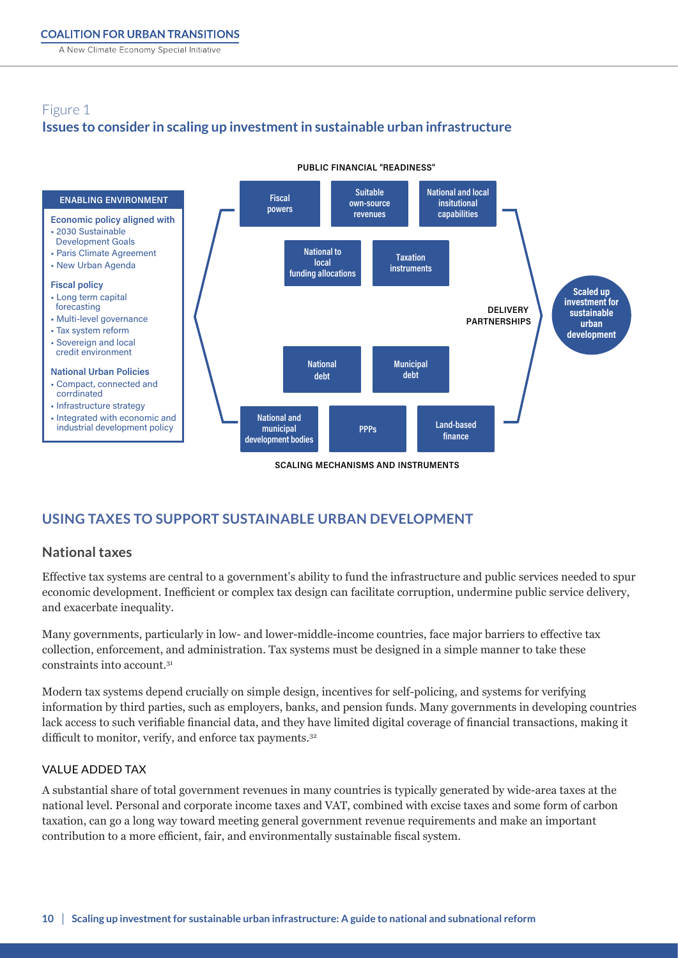<span id="page-9-0"></span>A New Climate Economy Special Initiative

#### Figure 1 **Issues to consider in scaling up investment in sustainable urban infrastructure**   $\mathbb{F}_2$  and  $\mathbb{F}_2$ **Issues to consider in scaling up investment in sustainable urban infrastructure**



**PUBLIC FINANCIAL "READINESS"**

## **USING TAXES TO SUPPORT SUSTAINABLE URBAN DEVELOPMENT**

### **National taxes**

Effective tax systems are central to a government's ability to fund the infrastructure and public services needed to spur economic development. Inefficient or complex tax design can facilitate corruption, undermine public service delivery, and exacerbate inequality.

Many governments, particularly in low- and lower-middle-income countries, face major barriers to effective tax collection, enforcement, and administration. Tax systems must be designed in a simple manner to take these constraints into account.<sup>31</sup>

Modern tax systems depend crucially on simple design, incentives for self-policing, and systems for verifying information by third parties, such as employers, banks, and pension funds. Many governments in developing countries lack access to such verifiable financial data, and they have limited digital coverage of financial transactions, making it difficult to monitor, verify, and enforce tax payments.<sup>32</sup>

#### VALUE ADDED TAX

A substantial share of total government revenues in many countries is typically generated by wide-area taxes at the national level. Personal and corporate income taxes and VAT, combined with excise taxes and some form of carbon taxation, can go a long way toward meeting general government revenue requirements and make an important contribution to a more efficient, fair, and environmentally sustainable fiscal system.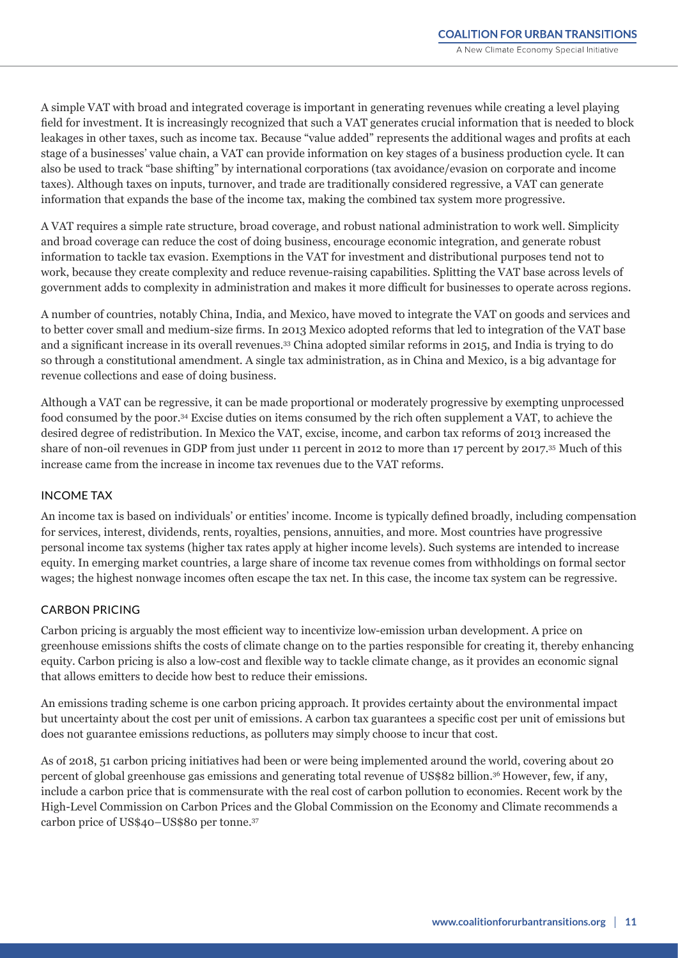A simple VAT with broad and integrated coverage is important in generating revenues while creating a level playing field for investment. It is increasingly recognized that such a VAT generates crucial information that is needed to block leakages in other taxes, such as income tax. Because "value added" represents the additional wages and profits at each stage of a businesses' value chain, a VAT can provide information on key stages of a business production cycle. It can also be used to track "base shifting" by international corporations (tax avoidance/evasion on corporate and income taxes). Although taxes on inputs, turnover, and trade are traditionally considered regressive, a VAT can generate information that expands the base of the income tax, making the combined tax system more progressive.

A VAT requires a simple rate structure, broad coverage, and robust national administration to work well. Simplicity and broad coverage can reduce the cost of doing business, encourage economic integration, and generate robust information to tackle tax evasion. Exemptions in the VAT for investment and distributional purposes tend not to work, because they create complexity and reduce revenue-raising capabilities. Splitting the VAT base across levels of government adds to complexity in administration and makes it more difficult for businesses to operate across regions.

A number of countries, notably China, India, and Mexico, have moved to integrate the VAT on goods and services and to better cover small and medium-size firms. In 2013 Mexico adopted reforms that led to integration of the VAT base and a significant increase in its overall revenues.<sup>33</sup>China adopted similar reforms in 2015, and India is trying to do so through a constitutional amendment. A single tax administration, as in China and Mexico, is a big advantage for revenue collections and ease of doing business.

Although a VAT can be regressive, it can be made proportional or moderately progressive by exempting unprocessed food consumed by the poor.34 Excise duties on items consumed by the rich often supplement a VAT, to achieve the desired degree of redistribution. In Mexico the VAT, excise, income, and carbon tax reforms of 2013 increased the share of non-oil revenues in GDP from just under 11 percent in 2012 to more than 17 percent by 2017.35 Much of this increase came from the increase in income tax revenues due to the VAT reforms.

#### INCOME TAX

An income tax is based on individuals' or entities' income. Income is typically defined broadly, including compensation for services, interest, dividends, rents, royalties, pensions, annuities, and more. Most countries have progressive personal income tax systems (higher tax rates apply at higher income levels). Such systems are intended to increase equity. In emerging market countries, a large share of income tax revenue comes from withholdings on formal sector wages; the highest nonwage incomes often escape the tax net. In this case, the income tax system can be regressive.

#### CARBON PRICING

Carbon pricing is arguably the most efficient way to incentivize low-emission urban development. A price on greenhouse emissions shifts the costs of climate change on to the parties responsible for creating it, thereby enhancing equity. Carbon pricing is also a low-cost and flexible way to tackle climate change, as it provides an economic signal that allows emitters to decide how best to reduce their emissions.

An emissions trading scheme is one carbon pricing approach. It provides certainty about the environmental impact but uncertainty about the cost per unit of emissions. A carbon tax guarantees a specific cost per unit of emissions but does not guarantee emissions reductions, as polluters may simply choose to incur that cost.

As of 2018, 51 carbon pricing initiatives had been or were being implemented around the world, covering about 20 percent of global greenhouse gas emissions and generating total revenue of US\$82 billion.<sup>36</sup>However, few, if any, include a carbon price that is commensurate with the real cost of carbon pollution to economies. Recent work by the High-Level Commission on Carbon Prices and the Global Commission on the Economy and Climate recommends a carbon price of US\$40–US\$80 per tonne.37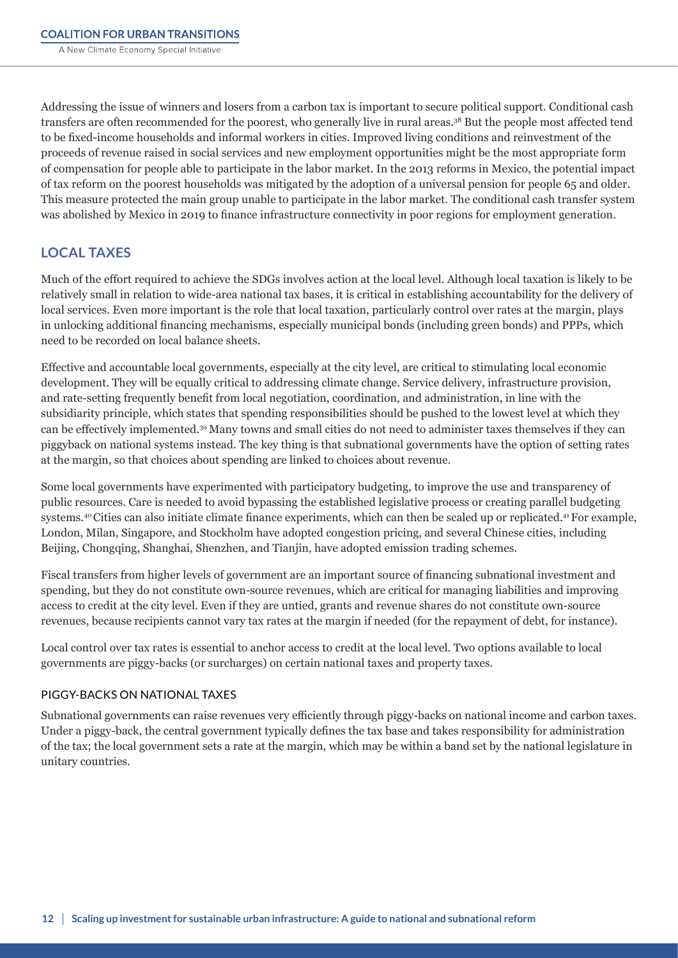<span id="page-11-0"></span>Addressing the issue of winners and losers from a carbon tax is important to secure political support. Conditional cash transfers are often recommended for the poorest, who generally live in rural areas.38 But the people most affected tend to be fixed-income households and informal workers in cities. Improved living conditions and reinvestment of the proceeds of revenue raised in social services and new employment opportunities might be the most appropriate form of compensation for people able to participate in the labor market. In the 2013 reforms in Mexico, the potential impact of tax reform on the poorest households was mitigated by the adoption of a universal pension for people 65 and older. This measure protected the main group unable to participate in the labor market. The conditional cash transfer system was abolished by Mexico in 2019 to finance infrastructure connectivity in poor regions for employment generation.

## **LOCAL TAXES**

Much of the effort required to achieve the SDGs involves action at the local level. Although local taxation is likely to be relatively small in relation to wide-area national tax bases, it is critical in establishing accountability for the delivery of local services. Even more important is the role that local taxation, particularly control over rates at the margin, plays in unlocking additional financing mechanisms, especially municipal bonds (including green bonds) and PPPs, which need to be recorded on local balance sheets.

Effective and accountable local governments, especially at the city level, are critical to stimulating local economic development. They will be equally critical to addressing climate change. Service delivery, infrastructure provision, and rate-setting frequently benefit from local negotiation, coordination, and administration, in line with the subsidiarity principle, which states that spending responsibilities should be pushed to the lowest level at which they can be effectively implemented.<sup>39</sup>Many towns and small cities do not need to administer taxes themselves if they can piggyback on national systems instead. The key thing is that subnational governments have the option of setting rates at the margin, so that choices about spending are linked to choices about revenue.

Some local governments have experimented with participatory budgeting, to improve the use and transparency of public resources. Care is needed to avoid bypassing the established legislative process or creating parallel budgeting systems.40 Cities can also initiate climate finance experiments, which can then be scaled up or replicated.41 For example, London, Milan, Singapore, and Stockholm have adopted congestion pricing, and several Chinese cities, including Beijing, Chongqing, Shanghai, Shenzhen, and Tianjin, have adopted emission trading schemes.

Fiscal transfers from higher levels of government are an important source of financing subnational investment and spending, but they do not constitute own-source revenues, which are critical for managing liabilities and improving access to credit at the city level. Even if they are untied, grants and revenue shares do not constitute own-source revenues, because recipients cannot vary tax rates at the margin if needed (for the repayment of debt, for instance).

Local control over tax rates is essential to anchor access to credit at the local level. Two options available to local governments are piggy-backs (or surcharges) on certain national taxes and property taxes.

#### PIGGY-BACKS ON NATIONAL TAXES

Subnational governments can raise revenues very efficiently through piggy-backs on national income and carbon taxes. Under a piggy-back, the central government typically defines the tax base and takes responsibility for administration of the tax; the local government sets a rate at the margin, which may be within a band set by the national legislature in unitary countries.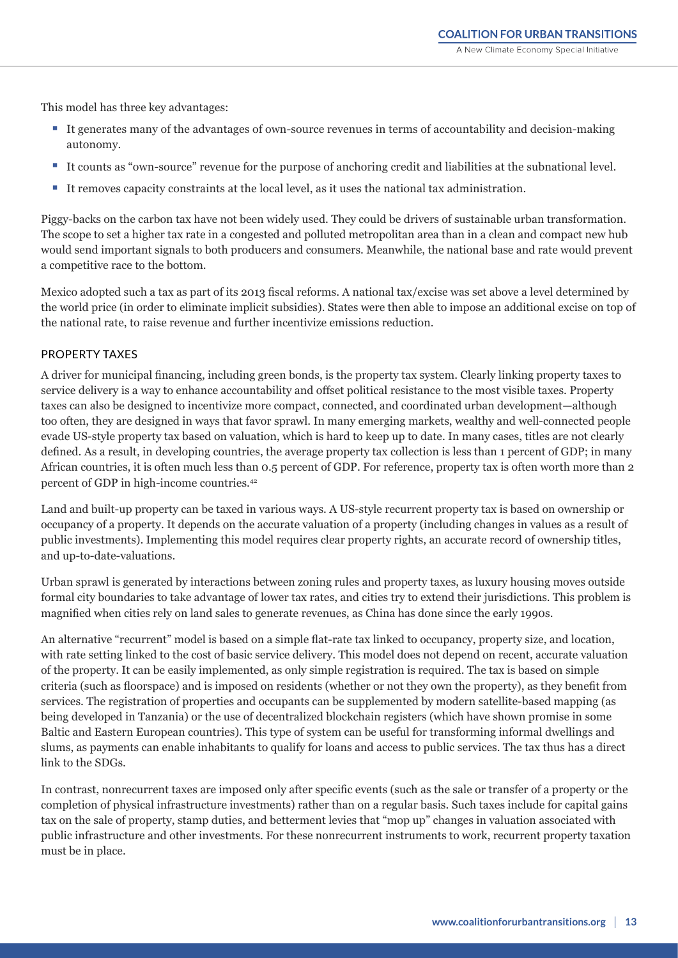This model has three key advantages:

- It generates many of the advantages of own-source revenues in terms of accountability and decision-making autonomy.
- It counts as "own-source" revenue for the purpose of anchoring credit and liabilities at the subnational level.
- It removes capacity constraints at the local level, as it uses the national tax administration.

Piggy-backs on the carbon tax have not been widely used. They could be drivers of sustainable urban transformation. The scope to set a higher tax rate in a congested and polluted metropolitan area than in a clean and compact new hub would send important signals to both producers and consumers. Meanwhile, the national base and rate would prevent a competitive race to the bottom.

Mexico adopted such a tax as part of its 2013 fiscal reforms. A national tax/excise was set above a level determined by the world price (in order to eliminate implicit subsidies). States were then able to impose an additional excise on top of the national rate, to raise revenue and further incentivize emissions reduction.

#### PROPERTY TAXES

A driver for municipal financing, including green bonds, is the property tax system. Clearly linking property taxes to service delivery is a way to enhance accountability and offset political resistance to the most visible taxes. Property taxes can also be designed to incentivize more compact, connected, and coordinated urban development—although too often, they are designed in ways that favor sprawl. In many emerging markets, wealthy and well-connected people evade US-style property tax based on valuation, which is hard to keep up to date. In many cases, titles are not clearly defined. As a result, in developing countries, the average property tax collection is less than 1 percent of GDP; in many African countries, it is often much less than 0.5 percent of GDP. For reference, property tax is often worth more than 2 percent of GDP in high-income countries.42

Land and built-up property can be taxed in various ways. A US-style recurrent property tax is based on ownership or occupancy of a property. It depends on the accurate valuation of a property (including changes in values as a result of public investments). Implementing this model requires clear property rights, an accurate record of ownership titles, and up-to-date-valuations.

Urban sprawl is generated by interactions between zoning rules and property taxes, as luxury housing moves outside formal city boundaries to take advantage of lower tax rates, and cities try to extend their jurisdictions. This problem is magnified when cities rely on land sales to generate revenues, as China has done since the early 1990s.

An alternative "recurrent" model is based on a simple flat-rate tax linked to occupancy, property size, and location, with rate setting linked to the cost of basic service delivery. This model does not depend on recent, accurate valuation of the property. It can be easily implemented, as only simple registration is required. The tax is based on simple criteria (such as floorspace) and is imposed on residents (whether or not they own the property), as they benefit from services. The registration of properties and occupants can be supplemented by modern satellite-based mapping (as being developed in Tanzania) or the use of decentralized blockchain registers (which have shown promise in some Baltic and Eastern European countries). This type of system can be useful for transforming informal dwellings and slums, as payments can enable inhabitants to qualify for loans and access to public services. The tax thus has a direct link to the SDGs.

In contrast, nonrecurrent taxes are imposed only after specific events (such as the sale or transfer of a property or the completion of physical infrastructure investments) rather than on a regular basis. Such taxes include for capital gains tax on the sale of property, stamp duties, and betterment levies that "mop up" changes in valuation associated with public infrastructure and other investments. For these nonrecurrent instruments to work, recurrent property taxation must be in place.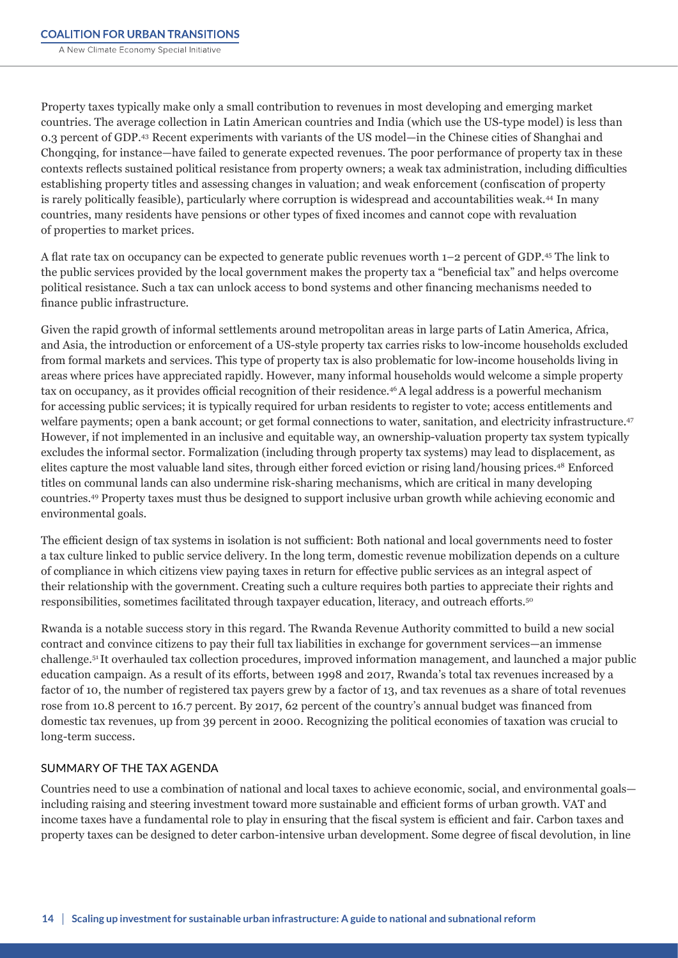Property taxes typically make only a small contribution to revenues in most developing and emerging market countries. The average collection in Latin American countries and India (which use the US-type model) is less than 0.3 percent of GDP.43 Recent experiments with variants of the US model—in the Chinese cities of Shanghai and Chongqing, for instance—have failed to generate expected revenues. The poor performance of property tax in these contexts reflects sustained political resistance from property owners; a weak tax administration, including difficulties establishing property titles and assessing changes in valuation; and weak enforcement (confiscation of property is rarely politically feasible), particularly where corruption is widespread and accountabilities weak.44 In many countries, many residents have pensions or other types of fixed incomes and cannot cope with revaluation of properties to market prices.

A flat rate tax on occupancy can be expected to generate public revenues worth 1–2 percent of GDP.45 The link to the public services provided by the local government makes the property tax a "beneficial tax" and helps overcome political resistance. Such a tax can unlock access to bond systems and other financing mechanisms needed to finance public infrastructure.

Given the rapid growth of informal settlements around metropolitan areas in large parts of Latin America, Africa, and Asia, the introduction or enforcement of a US-style property tax carries risks to low-income households excluded from formal markets and services. This type of property tax is also problematic for low-income households living in areas where prices have appreciated rapidly. However, many informal households would welcome a simple property tax on occupancy, as it provides official recognition of their residence.46 A legal address is a powerful mechanism for accessing public services; it is typically required for urban residents to register to vote; access entitlements and welfare payments; open a bank account; or get formal connections to water, sanitation, and electricity infrastructure.<sup>47</sup> However, if not implemented in an inclusive and equitable way, an ownership-valuation property tax system typically excludes the informal sector. Formalization (including through property tax systems) may lead to displacement, as elites capture the most valuable land sites, through either forced eviction or rising land/housing prices.<sup>48</sup> Enforced titles on communal lands can also undermine risk-sharing mechanisms, which are critical in many developing countries.49 Property taxes must thus be designed to support inclusive urban growth while achieving economic and environmental goals.

The efficient design of tax systems in isolation is not sufficient: Both national and local governments need to foster a tax culture linked to public service delivery. In the long term, domestic revenue mobilization depends on a culture of compliance in which citizens view paying taxes in return for effective public services as an integral aspect of their relationship with the government. Creating such a culture requires both parties to appreciate their rights and responsibilities, sometimes facilitated through taxpayer education, literacy, and outreach efforts.<sup>50</sup>

Rwanda is a notable success story in this regard. The Rwanda Revenue Authority committed to build a new social contract and convince citizens to pay their full tax liabilities in exchange for government services—an immense challenge.51 It overhauled tax collection procedures, improved information management, and launched a major public education campaign. As a result of its efforts, between 1998 and 2017, Rwanda's total tax revenues increased by a factor of 10, the number of registered tax payers grew by a factor of 13, and tax revenues as a share of total revenues rose from 10.8 percent to 16.7 percent. By 2017, 62 percent of the country's annual budget was financed from domestic tax revenues, up from 39 percent in 2000. Recognizing the political economies of taxation was crucial to long-term success.

#### SUMMARY OF THE TAX AGENDA

Countries need to use a combination of national and local taxes to achieve economic, social, and environmental goals including raising and steering investment toward more sustainable and efficient forms of urban growth. VAT and income taxes have a fundamental role to play in ensuring that the fiscal system is efficient and fair. Carbon taxes and property taxes can be designed to deter carbon-intensive urban development. Some degree of fiscal devolution, in line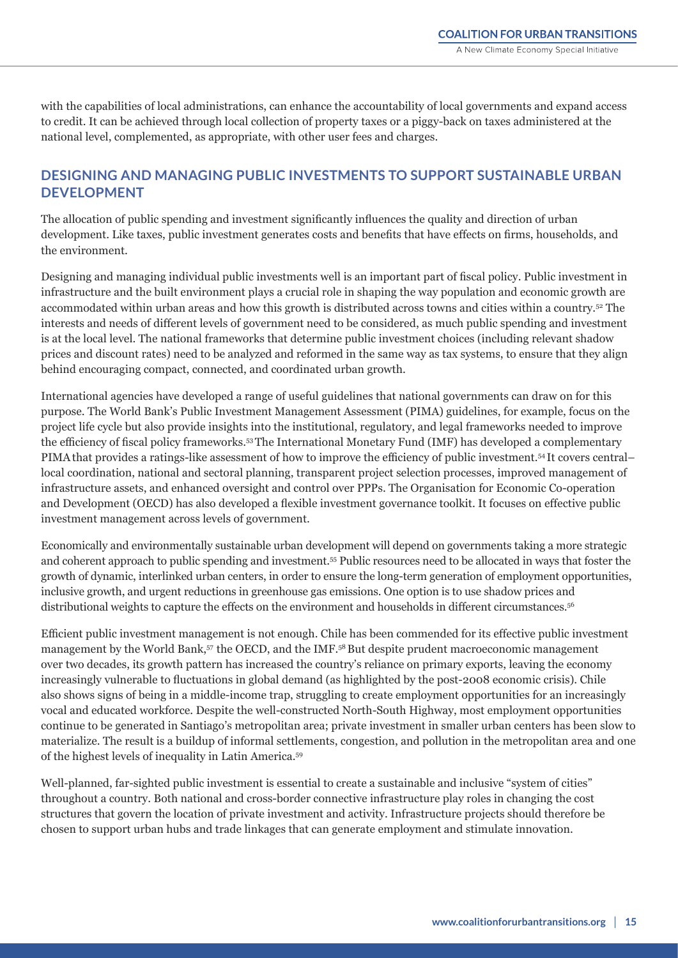<span id="page-14-0"></span>with the capabilities of local administrations, can enhance the accountability of local governments and expand access to credit. It can be achieved through local collection of property taxes or a piggy-back on taxes administered at the national level, complemented, as appropriate, with other user fees and charges.

## **DESIGNING AND MANAGING PUBLIC INVESTMENTS TO SUPPORT SUSTAINABLE URBAN DEVELOPMENT**

The allocation of public spending and investment significantly influences the quality and direction of urban development. Like taxes, public investment generates costs and benefits that have effects on firms, households, and the environment.

Designing and managing individual public investments well is an important part of fiscal policy. Public investment in infrastructure and the built environment plays a crucial role in shaping the way population and economic growth are accommodated within urban areas and how this growth is distributed across towns and cities within a country.<sup>52</sup> The interests and needs of different levels of government need to be considered, as much public spending and investment is at the local level. The national frameworks that determine public investment choices (including relevant shadow prices and discount rates) need to be analyzed and reformed in the same way as tax systems, to ensure that they align behind encouraging compact, connected, and coordinated urban growth.

International agencies have developed a range of useful guidelines that national governments can draw on for this purpose. The World Bank's Public Investment Management Assessment (PIMA) guidelines, for example, focus on the project life cycle but also provide insights into the institutional, regulatory, and legal frameworks needed to improve the efficiency of fiscal policy frameworks.53 The International Monetary Fund (IMF) has developed a complementary PIMAthat provides a ratings-like assessment of how to improve the efficiency of public investment.<sup>54</sup>It covers central– local coordination, national and sectoral planning, transparent project selection processes, improved management of infrastructure assets, and enhanced oversight and control over PPPs. The Organisation for Economic Co-operation and Development (OECD) has also developed a flexible investment governance toolkit. It focuses on effective public investment management across levels of government.

Economically and environmentally sustainable urban development will depend on governments taking a more strategic and coherent approach to public spending and investment.55 Public resources need to be allocated in ways that foster the growth of dynamic, interlinked urban centers, in order to ensure the long-term generation of employment opportunities, inclusive growth, and urgent reductions in greenhouse gas emissions. One option is to use shadow prices and distributional weights to capture the effects on the environment and households in different circumstances.<sup>56</sup>

Efficient public investment management is not enough. Chile has been commended for its effective public investment management by the World Bank,57 the OECD, and the IMF.58 But despite prudent macroeconomic management over two decades, its growth pattern has increased the country's reliance on primary exports, leaving the economy increasingly vulnerable to fluctuations in global demand (as highlighted by the post-2008 economic crisis). Chile also shows signs of being in a middle-income trap, struggling to create employment opportunities for an increasingly vocal and educated workforce. Despite the well-constructed North-South Highway, most employment opportunities continue to be generated in Santiago's metropolitan area; private investment in smaller urban centers has been slow to materialize. The result is a buildup of informal settlements, congestion, and pollution in the metropolitan area and one of the highest levels of inequality in Latin America.59

Well-planned, far-sighted public investment is essential to create a sustainable and inclusive "system of cities" throughout a country. Both national and cross-border connective infrastructure play roles in changing the cost structures that govern the location of private investment and activity. Infrastructure projects should therefore be chosen to support urban hubs and trade linkages that can generate employment and stimulate innovation.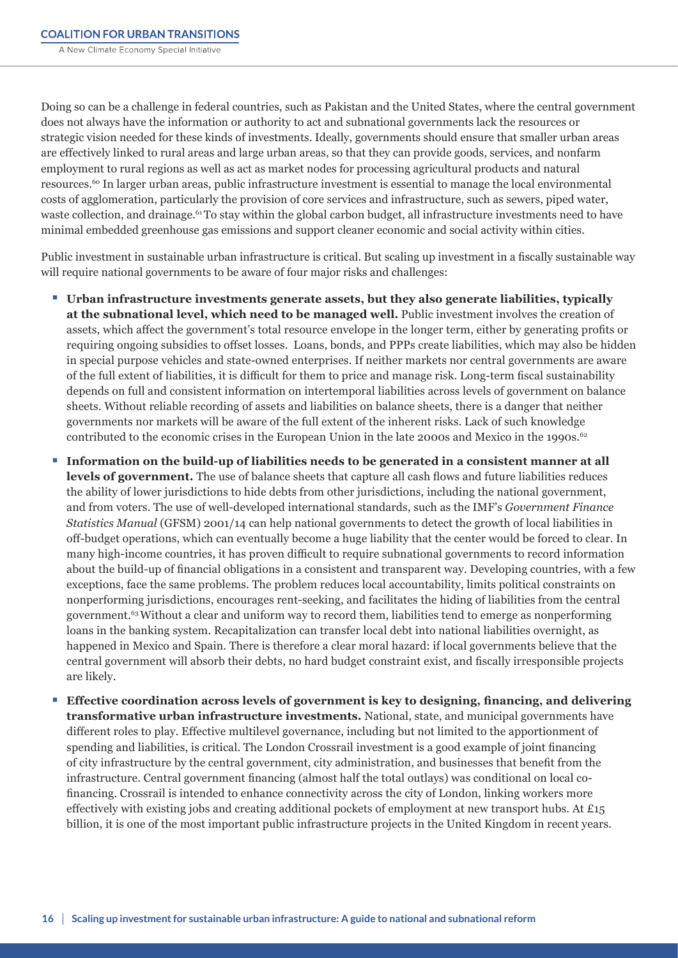Doing so can be a challenge in federal countries, such as Pakistan and the United States, where the central government does not always have the information or authority to act and subnational governments lack the resources or strategic vision needed for these kinds of investments. Ideally, governments should ensure that smaller urban areas are effectively linked to rural areas and large urban areas, so that they can provide goods, services, and nonfarm employment to rural regions as well as act as market nodes for processing agricultural products and natural resources.60 In larger urban areas, public infrastructure investment is essential to manage the local environmental costs of agglomeration, particularly the provision of core services and infrastructure, such as sewers, piped water, waste collection, and drainage.<sup>61</sup>To stay within the global carbon budget, all infrastructure investments need to have minimal embedded greenhouse gas emissions and support cleaner economic and social activity within cities.

Public investment in sustainable urban infrastructure is critical. But scaling up investment in a fiscally sustainable way will require national governments to be aware of four major risks and challenges:

- **Urban infrastructure investments generate assets, but they also generate liabilities, typically at the subnational level, which need to be managed well.** Public investment involves the creation of assets, which affect the government's total resource envelope in the longer term, either by generating profits or requiring ongoing subsidies to offset losses. Loans, bonds, and PPPs create liabilities, which may also be hidden in special purpose vehicles and state-owned enterprises. If neither markets nor central governments are aware of the full extent of liabilities, it is difficult for them to price and manage risk. Long-term fiscal sustainability depends on full and consistent information on intertemporal liabilities across levels of government on balance sheets. Without reliable recording of assets and liabilities on balance sheets, there is a danger that neither governments nor markets will be aware of the full extent of the inherent risks. Lack of such knowledge contributed to the economic crises in the European Union in the late 2000s and Mexico in the 1990s. $62$
- **Information on the build-up of liabilities needs to be generated in a consistent manner at all levels of government.** The use of balance sheets that capture all cash flows and future liabilities reduces the ability of lower jurisdictions to hide debts from other jurisdictions, including the national government, and from voters. The use of well-developed international standards, such as the IMF's *Government Finance Statistics Manual* (GFSM) 2001/14 can help national governments to detect the growth of local liabilities in off-budget operations, which can eventually become a huge liability that the center would be forced to clear. In many high-income countries, it has proven difficult to require subnational governments to record information about the build-up of financial obligations in a consistent and transparent way. Developing countries, with a few exceptions, face the same problems. The problem reduces local accountability, limits political constraints on nonperforming jurisdictions, encourages rent-seeking, and facilitates the hiding of liabilities from the central government.63 Without a clear and uniform way to record them, liabilities tend to emerge as nonperforming loans in the banking system. Recapitalization can transfer local debt into national liabilities overnight, as happened in Mexico and Spain. There is therefore a clear moral hazard: if local governments believe that the central government will absorb their debts, no hard budget constraint exist, and fiscally irresponsible projects are likely.
- Effective coordination across levels of government is key to designing, financing, and delivering **transformative urban infrastructure investments.** National, state, and municipal governments have different roles to play. Effective multilevel governance, including but not limited to the apportionment of spending and liabilities, is critical. The London Crossrail investment is a good example of joint financing of city infrastructure by the central government, city administration, and businesses that benefit from the infrastructure. Central government financing (almost half the total outlays) was conditional on local cofinancing. Crossrail is intended to enhance connectivity across the city of London, linking workers more effectively with existing jobs and creating additional pockets of employment at new transport hubs. At  $E_{15}$ billion, it is one of the most important public infrastructure projects in the United Kingdom in recent years.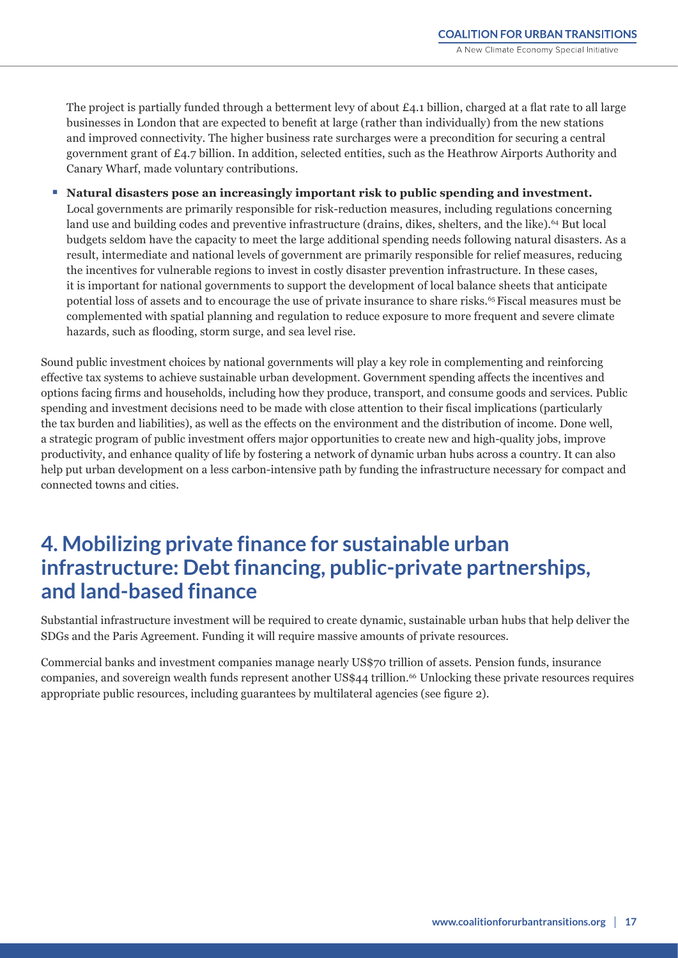<span id="page-16-0"></span>The project is partially funded through a betterment levy of about £4.1 billion, charged at a flat rate to all large businesses in London that are expected to benefit at large (rather than individually) from the new stations and improved connectivity. The higher business rate surcharges were a precondition for securing a central government grant of £4.7 billion. In addition, selected entities, such as the Heathrow Airports Authority and Canary Wharf, made voluntary contributions.

Natural disasters pose an increasingly important risk to public spending and investment. Local governments are primarily responsible for risk-reduction measures, including regulations concerning land use and building codes and preventive infrastructure (drains, dikes, shelters, and the like).<sup>64</sup> But local budgets seldom have the capacity to meet the large additional spending needs following natural disasters. As a result, intermediate and national levels of government are primarily responsible for relief measures, reducing the incentives for vulnerable regions to invest in costly disaster prevention infrastructure. In these cases, it is important for national governments to support the development of local balance sheets that anticipate potential loss of assets and to encourage the use of private insurance to share risks.65 Fiscal measures must be complemented with spatial planning and regulation to reduce exposure to more frequent and severe climate hazards, such as flooding, storm surge, and sea level rise.

Sound public investment choices by national governments will play a key role in complementing and reinforcing effective tax systems to achieve sustainable urban development. Government spending affects the incentives and options facing firms and households, including how they produce, transport, and consume goods and services. Public spending and investment decisions need to be made with close attention to their fiscal implications (particularly the tax burden and liabilities), as well as the effects on the environment and the distribution of income. Done well, a strategic program of public investment offers major opportunities to create new and high-quality jobs, improve productivity, and enhance quality of life by fostering a network of dynamic urban hubs across a country. It can also help put urban development on a less carbon-intensive path by funding the infrastructure necessary for compact and connected towns and cities.

## **4. Mobilizing private finance for sustainable urban infrastructure: Debt financing, public-private partnerships, and land-based finance**

Substantial infrastructure investment will be required to create dynamic, sustainable urban hubs that help deliver the SDGs and the Paris Agreement. Funding it will require massive amounts of private resources.

Commercial banks and investment companies manage nearly US\$70 trillion of assets. Pension funds, insurance companies, and sovereign wealth funds represent another US\$44 trillion.<sup>66</sup> Unlocking these private resources requires appropriate public resources, including guarantees by multilateral agencies (see figure 2).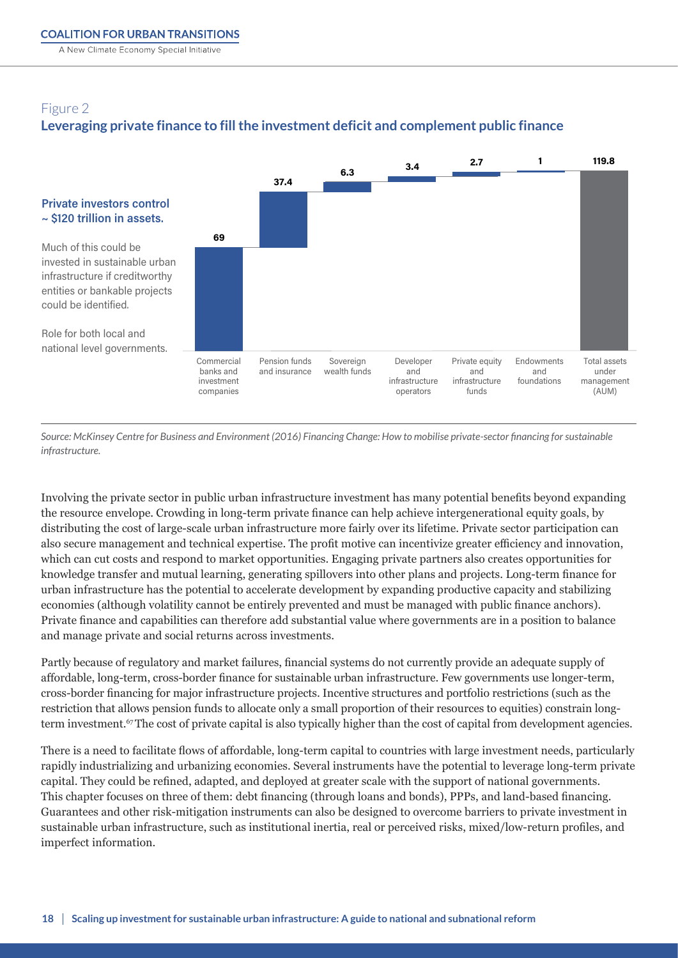A New Climate Economy Special Initiative

## Figure 2 **Leveraging private finance to fill the investment deficit and complement public finance**



*Source: McKinsey Centre for Business and Environment (2016) Financing Change: How to mobilise private-sector financing for sustainable infrastructure.* 

Involving the private sector in public urban infrastructure investment has many potential benefits beyond expanding the resource envelope. Crowding in long-term private finance can help achieve intergenerational equity goals, by distributing the cost of large-scale urban infrastructure more fairly over its lifetime. Private sector participation can also secure management and technical expertise. The profit motive can incentivize greater efficiency and innovation, which can cut costs and respond to market opportunities. Engaging private partners also creates opportunities for knowledge transfer and mutual learning, generating spillovers into other plans and projects. Long-term finance for urban infrastructure has the potential to accelerate development by expanding productive capacity and stabilizing economies (although volatility cannot be entirely prevented and must be managed with public finance anchors). Private finance and capabilities can therefore add substantial value where governments are in a position to balance and manage private and social returns across investments.

Partly because of regulatory and market failures, financial systems do not currently provide an adequate supply of affordable, long-term, cross-border finance for sustainable urban infrastructure. Few governments use longer-term, cross-border financing for major infrastructure projects. Incentive structures and portfolio restrictions (such as the restriction that allows pension funds to allocate only a small proportion of their resources to equities) constrain longterm investment.<sup>67</sup>The cost of private capital is also typically higher than the cost of capital from development agencies.

There is a need to facilitate flows of affordable, long-term capital to countries with large investment needs, particularly rapidly industrializing and urbanizing economies. Several instruments have the potential to leverage long-term private capital. They could be refined, adapted, and deployed at greater scale with the support of national governments. This chapter focuses on three of them: debt financing (through loans and bonds), PPPs, and land-based financing. Guarantees and other risk-mitigation instruments can also be designed to overcome barriers to private investment in sustainable urban infrastructure, such as institutional inertia, real or perceived risks, mixed/low-return profiles, and imperfect information.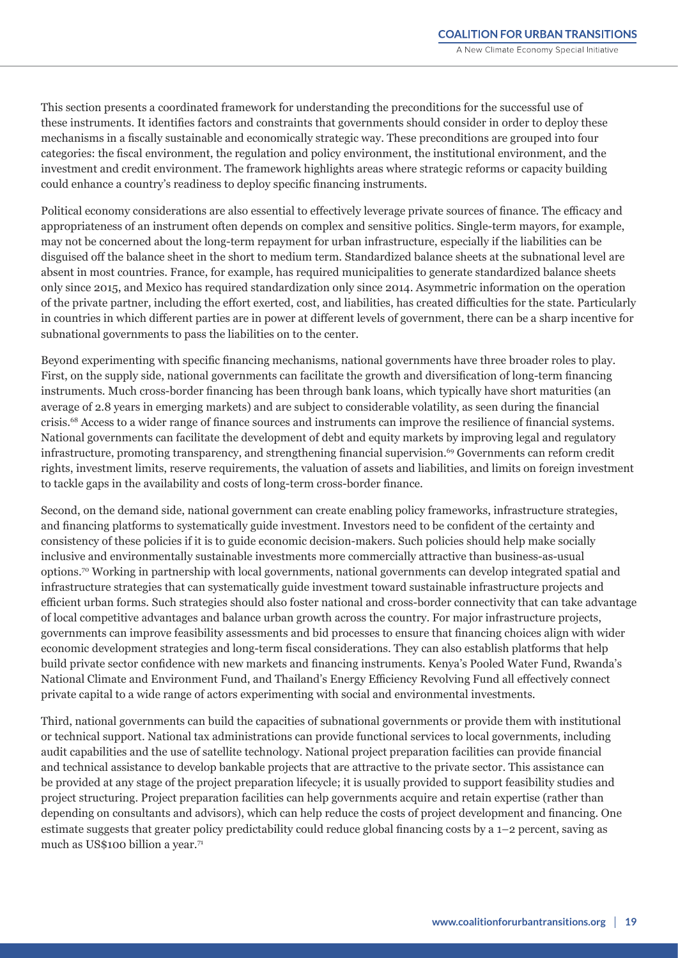This section presents a coordinated framework for understanding the preconditions for the successful use of these instruments. It identifies factors and constraints that governments should consider in order to deploy these mechanisms in a fiscally sustainable and economically strategic way. These preconditions are grouped into four categories: the fiscal environment, the regulation and policy environment, the institutional environment, and the investment and credit environment. The framework highlights areas where strategic reforms or capacity building could enhance a country's readiness to deploy specific financing instruments.

Political economy considerations are also essential to effectively leverage private sources of finance. The efficacy and appropriateness of an instrument often depends on complex and sensitive politics. Single-term mayors, for example, may not be concerned about the long-term repayment for urban infrastructure, especially if the liabilities can be disguised off the balance sheet in the short to medium term. Standardized balance sheets at the subnational level are absent in most countries. France, for example, has required municipalities to generate standardized balance sheets only since 2015, and Mexico has required standardization only since 2014. Asymmetric information on the operation of the private partner, including the effort exerted, cost, and liabilities, has created difficulties for the state. Particularly in countries in which different parties are in power at different levels of government, there can be a sharp incentive for subnational governments to pass the liabilities on to the center.

Beyond experimenting with specific financing mechanisms, national governments have three broader roles to play. First, on the supply side, national governments can facilitate the growth and diversification of long-term financing instruments. Much cross-border financing has been through bank loans, which typically have short maturities (an average of 2.8 years in emerging markets) and are subject to considerable volatility, as seen during the financial crisis.68 Access to a wider range of finance sources and instruments can improve the resilience of financial systems. National governments can facilitate the development of debt and equity markets by improving legal and regulatory infrastructure, promoting transparency, and strengthening financial supervision.<sup>69</sup> Governments can reform credit rights, investment limits, reserve requirements, the valuation of assets and liabilities, and limits on foreign investment to tackle gaps in the availability and costs of long-term cross-border finance.

Second, on the demand side, national government can create enabling policy frameworks, infrastructure strategies, and financing platforms to systematically guide investment. Investors need to be confident of the certainty and consistency of these policies if it is to guide economic decision-makers. Such policies should help make socially inclusive and environmentally sustainable investments more commercially attractive than business-as-usual options.70 Working in partnership with local governments, national governments can develop integrated spatial and infrastructure strategies that can systematically guide investment toward sustainable infrastructure projects and efficient urban forms. Such strategies should also foster national and cross-border connectivity that can take advantage of local competitive advantages and balance urban growth across the country. For major infrastructure projects, governments can improve feasibility assessments and bid processes to ensure that financing choices align with wider economic development strategies and long-term fiscal considerations. They can also establish platforms that help build private sector confidence with new markets and financing instruments. Kenya's Pooled Water Fund, Rwanda's National Climate and Environment Fund, and Thailand's Energy Efficiency Revolving Fund all effectively connect private capital to a wide range of actors experimenting with social and environmental investments.

Third, national governments can build the capacities of subnational governments or provide them with institutional or technical support. National tax administrations can provide functional services to local governments, including audit capabilities and the use of satellite technology. National project preparation facilities can provide financial and technical assistance to develop bankable projects that are attractive to the private sector. This assistance can be provided at any stage of the project preparation lifecycle; it is usually provided to support feasibility studies and project structuring. Project preparation facilities can help governments acquire and retain expertise (rather than depending on consultants and advisors), which can help reduce the costs of project development and financing. One estimate suggests that greater policy predictability could reduce global financing costs by a 1–2 percent, saving as much as US\$100 billion a year.71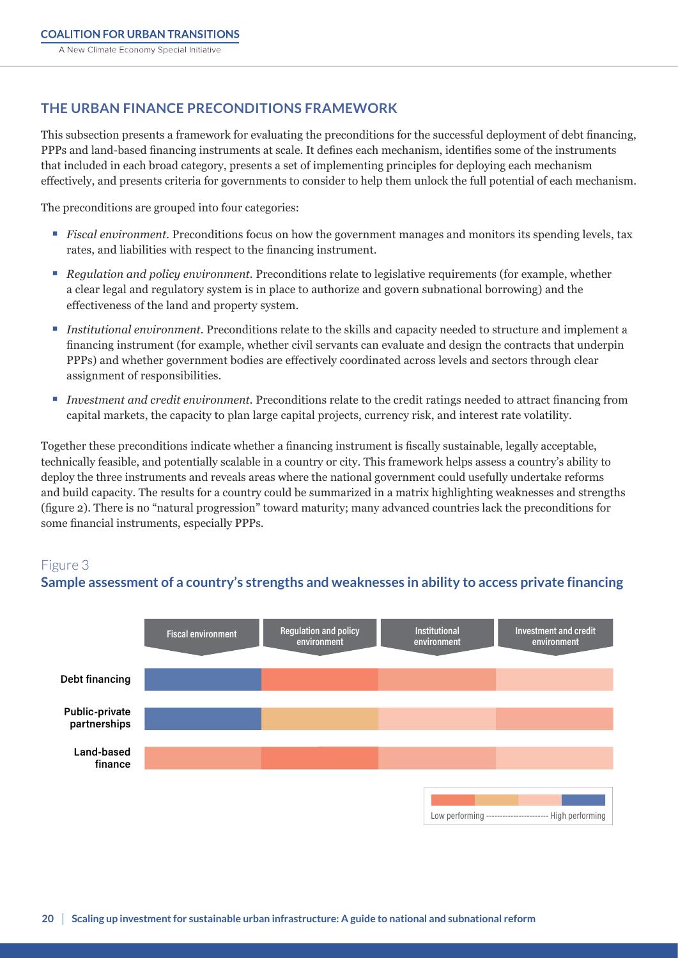## <span id="page-19-0"></span>**THE URBAN FINANCE PRECONDITIONS FRAMEWORK**

This subsection presents a framework for evaluating the preconditions for the successful deployment of debt financing, PPPs and land-based financing instruments at scale. It defines each mechanism, identifies some of the instruments that included in each broad category, presents a set of implementing principles for deploying each mechanism effectively, and presents criteria for governments to consider to help them unlock the full potential of each mechanism.

The preconditions are grouped into four categories:

- *Fiscal environment.* Preconditions focus on how the government manages and monitors its spending levels, tax rates, and liabilities with respect to the financing instrument.
- *Regulation and policy environment.* Preconditions relate to legislative requirements (for example, whether a clear legal and regulatory system is in place to authorize and govern subnational borrowing) and the effectiveness of the land and property system.
- *Institutional environment.* Preconditions relate to the skills and capacity needed to structure and implement a financing instrument (for example, whether civil servants can evaluate and design the contracts that underpin PPPs) and whether government bodies are effectively coordinated across levels and sectors through clear assignment of responsibilities.
- *Investment and credit environment.* Preconditions relate to the credit ratings needed to attract financing from capital markets, the capacity to plan large capital projects, currency risk, and interest rate volatility.

Together these preconditions indicate whether a financing instrument is fiscally sustainable, legally acceptable, technically feasible, and potentially scalable in a country or city. This framework helps assess a country's ability to deploy the three instruments and reveals areas where the national government could usefully undertake reforms and build capacity. The results for a country could be summarized in a matrix highlighting weaknesses and strengths (figure 2). There is no "natural progression" toward maturity; many advanced countries lack the preconditions for some financial instruments, especially PPPs.

## Figure 3 **Sample assessment of a country's strengths and weaknesses in ability to access private**

## **Sample assessment of a country's strengths and weaknesses in ability to access private financing**

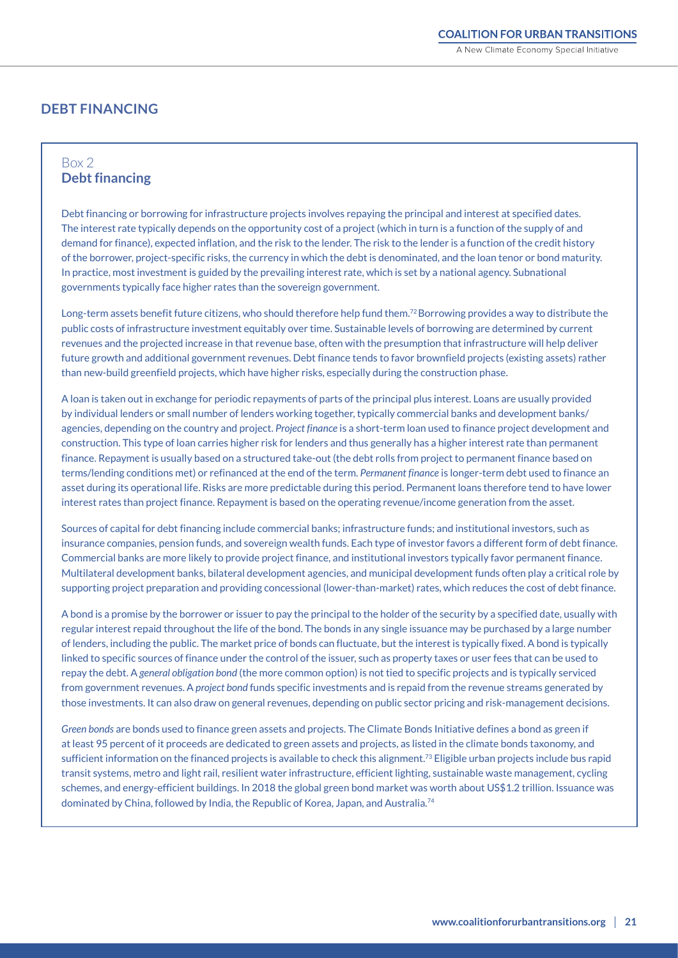## **DEBT FINANCING**

### Box 2 **Debt financing**

Debt financing or borrowing for infrastructure projects involves repaying the principal and interest at specified dates. The interest rate typically depends on the opportunity cost of a project (which in turn is a function of the supply of and demand for finance), expected inflation, and the risk to the lender. The risk to the lender is a function of the credit history of the borrower, project-specific risks, the currency in which the debt is denominated, and the loan tenor or bond maturity. In practice, most investment is guided by the prevailing interest rate, which is set by a national agency. Subnational governments typically face higher rates than the sovereign government.

Long-term assets benefit future citizens, who should therefore help fund them.<sup>72</sup> Borrowing provides a way to distribute the public costs of infrastructure investment equitably over time. Sustainable levels of borrowing are determined by current revenues and the projected increase in that revenue base, often with the presumption that infrastructure will help deliver future growth and additional government revenues. Debt finance tends to favor brownfield projects (existing assets) rather than new-build greenfield projects, which have higher risks, especially during the construction phase.

A loan is taken out in exchange for periodic repayments of parts of the principal plus interest. Loans are usually provided by individual lenders or small number of lenders working together, typically commercial banks and development banks/ agencies, depending on the country and project. *Project finance* is a short-term loan used to finance project development and construction. This type of loan carries higher risk for lenders and thus generally has a higher interest rate than permanent finance. Repayment is usually based on a structured take-out (the debt rolls from project to permanent finance based on terms/lending conditions met) or refinanced at the end of the term. *Permanent finance* is longer-term debt used to finance an asset during its operational life. Risks are more predictable during this period. Permanent loans therefore tend to have lower interest rates than project finance. Repayment is based on the operating revenue/income generation from the asset.

Sources of capital for debt financing include commercial banks; infrastructure funds; and institutional investors, such as insurance companies, pension funds, and sovereign wealth funds. Each type of investor favors a different form of debt finance. Commercial banks are more likely to provide project finance, and institutional investors typically favor permanent finance. Multilateral development banks, bilateral development agencies, and municipal development funds often play a critical role by supporting project preparation and providing concessional (lower-than-market) rates, which reduces the cost of debt finance.

A bond is a promise by the borrower or issuer to pay the principal to the holder of the security by a specified date, usually with regular interest repaid throughout the life of the bond. The bonds in any single issuance may be purchased by a large number of lenders, including the public. The market price of bonds can fluctuate, but the interest is typically fixed. A bond is typically linked to specific sources of finance under the control of the issuer, such as property taxes or user fees that can be used to repay the debt. A *general obligation bond* (the more common option) is not tied to specific projects and is typically serviced from government revenues. A *project bond* funds specific investments and is repaid from the revenue streams generated by those investments. It can also draw on general revenues, depending on public sector pricing and risk-management decisions.

*Green bonds* are bonds used to finance green assets and projects. The Climate Bonds Initiative defines a bond as green if at least 95 percent of it proceeds are dedicated to green assets and projects, as listed in the climate bonds taxonomy, and sufficient information on the financed projects is available to check this alignment.<sup>73</sup> Eligible urban projects include bus rapid transit systems, metro and light rail, resilient water infrastructure, efficient lighting, sustainable waste management, cycling schemes, and energy-efficient buildings. In 2018 the global green bond market was worth about US\$1.2 trillion. Issuance was dominated by China, followed by India, the Republic of Korea, Japan, and Australia.74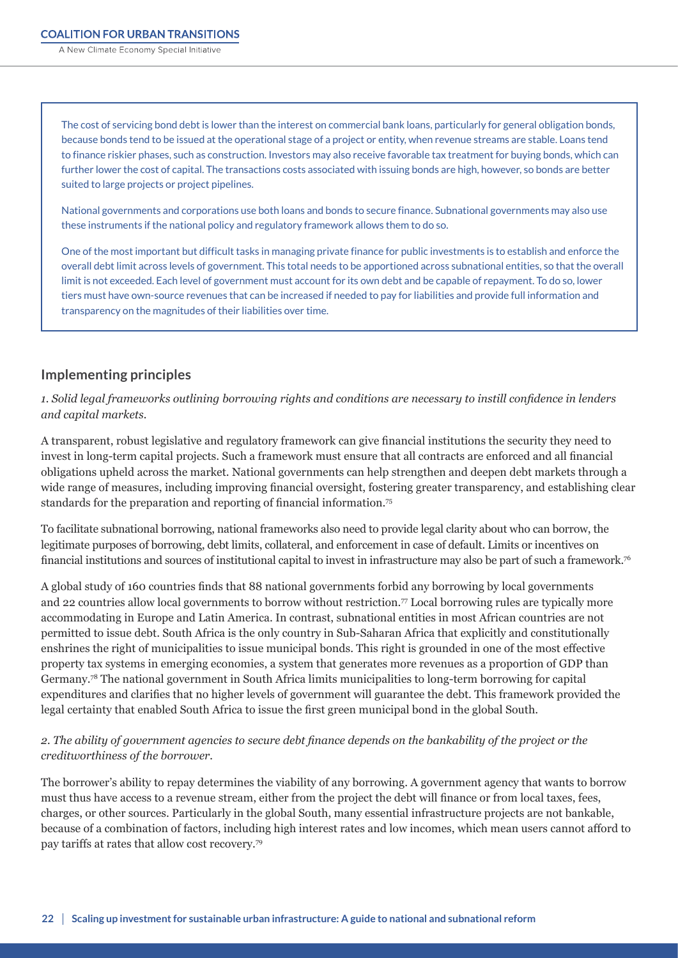A New Climate Economy Special Initiative

The cost of servicing bond debt is lower than the interest on commercial bank loans, particularly for general obligation bonds, because bonds tend to be issued at the operational stage of a project or entity, when revenue streams are stable. Loans tend to finance riskier phases, such as construction. Investors may also receive favorable tax treatment for buying bonds, which can further lower the cost of capital. The transactions costs associated with issuing bonds are high, however, so bonds are better suited to large projects or project pipelines.

National governments and corporations use both loans and bonds to secure finance. Subnational governments may also use these instruments if the national policy and regulatory framework allows them to do so.

One of the most important but difficult tasks in managing private finance for public investments is to establish and enforce the overall debt limit across levels of government. This total needs to be apportioned across subnational entities, so that the overall limit is not exceeded. Each level of government must account for its own debt and be capable of repayment. To do so, lower tiers must have own-source revenues that can be increased if needed to pay for liabilities and provide full information and transparency on the magnitudes of their liabilities over time.

#### **Implementing principles**

*1. Solid legal frameworks outlining borrowing rights and conditions are necessary to instill confidence in lenders and capital markets.*

A transparent, robust legislative and regulatory framework can give financial institutions the security they need to invest in long-term capital projects. Such a framework must ensure that all contracts are enforced and all financial obligations upheld across the market. National governments can help strengthen and deepen debt markets through a wide range of measures, including improving financial oversight, fostering greater transparency, and establishing clear standards for the preparation and reporting of financial information.75

To facilitate subnational borrowing, national frameworks also need to provide legal clarity about who can borrow, the legitimate purposes of borrowing, debt limits, collateral, and enforcement in case of default. Limits or incentives on financial institutions and sources of institutional capital to invest in infrastructure may also be part of such a framework.76

A global study of 160 countries finds that 88 national governments forbid any borrowing by local governments and 22 countries allow local governments to borrow without restriction.<sup>77</sup> Local borrowing rules are typically more accommodating in Europe and Latin America. In contrast, subnational entities in most African countries are not permitted to issue debt. South Africa is the only country in Sub-Saharan Africa that explicitly and constitutionally enshrines the right of municipalities to issue municipal bonds. This right is grounded in one of the most effective property tax systems in emerging economies, a system that generates more revenues as a proportion of GDP than Germany.<sup>78</sup> The national government in South Africa limits municipalities to long-term borrowing for capital expenditures and clarifies that no higher levels of government will guarantee the debt. This framework provided the legal certainty that enabled South Africa to issue the first green municipal bond in the global South.

#### *2. The ability of government agencies to secure debt finance depends on the bankability of the project or the creditworthiness of the borrower.*

The borrower's ability to repay determines the viability of any borrowing. A government agency that wants to borrow must thus have access to a revenue stream, either from the project the debt will finance or from local taxes, fees, charges, or other sources. Particularly in the global South, many essential infrastructure projects are not bankable, because of a combination of factors, including high interest rates and low incomes, which mean users cannot afford to pay tariffs at rates that allow cost recovery.79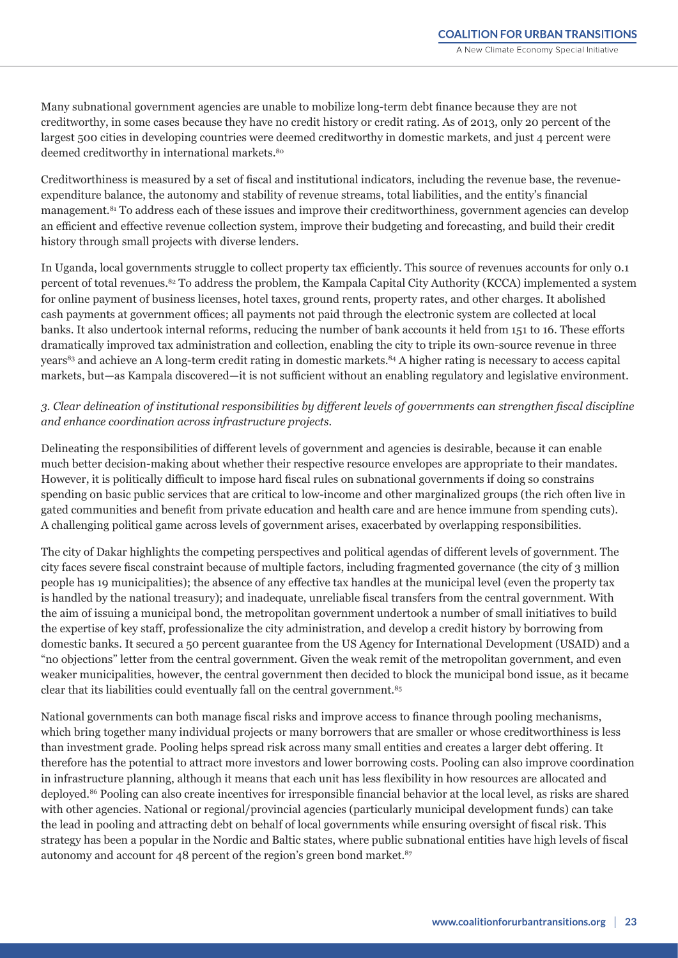Many subnational government agencies are unable to mobilize long-term debt finance because they are not creditworthy, in some cases because they have no credit history or credit rating. As of 2013, only 20 percent of the largest 500 cities in developing countries were deemed creditworthy in domestic markets, and just 4 percent were deemed creditworthy in international markets.<sup>80</sup>

Creditworthiness is measured by a set of fiscal and institutional indicators, including the revenue base, the revenueexpenditure balance, the autonomy and stability of revenue streams, total liabilities, and the entity's financial management.<sup>81</sup> To address each of these issues and improve their creditworthiness, government agencies can develop an efficient and effective revenue collection system, improve their budgeting and forecasting, and build their credit history through small projects with diverse lenders.

In Uganda, local governments struggle to collect property tax efficiently. This source of revenues accounts for only 0.1 percent of total revenues.82 To address the problem, the Kampala Capital City Authority (KCCA) implemented a system for online payment of business licenses, hotel taxes, ground rents, property rates, and other charges. It abolished cash payments at government offices; all payments not paid through the electronic system are collected at local banks. It also undertook internal reforms, reducing the number of bank accounts it held from 151 to 16. These efforts dramatically improved tax administration and collection, enabling the city to triple its own-source revenue in three years<sup>83</sup> and achieve an A long-term credit rating in domestic markets.<sup>84</sup> A higher rating is necessary to access capital markets, but—as Kampala discovered—it is not sufficient without an enabling regulatory and legislative environment.

#### *3. Clear delineation of institutional responsibilities by different levels of governments can strengthen fiscal discipline and enhance coordination across infrastructure projects.*

Delineating the responsibilities of different levels of government and agencies is desirable, because it can enable much better decision-making about whether their respective resource envelopes are appropriate to their mandates. However, it is politically difficult to impose hard fiscal rules on subnational governments if doing so constrains spending on basic public services that are critical to low-income and other marginalized groups (the rich often live in gated communities and benefit from private education and health care and are hence immune from spending cuts). A challenging political game across levels of government arises, exacerbated by overlapping responsibilities.

The city of Dakar highlights the competing perspectives and political agendas of different levels of government. The city faces severe fiscal constraint because of multiple factors, including fragmented governance (the city of 3 million people has 19 municipalities); the absence of any effective tax handles at the municipal level (even the property tax is handled by the national treasury); and inadequate, unreliable fiscal transfers from the central government. With the aim of issuing a municipal bond, the metropolitan government undertook a number of small initiatives to build the expertise of key staff, professionalize the city administration, and develop a credit history by borrowing from domestic banks. It secured a 50 percent guarantee from the US Agency for International Development (USAID) and a "no objections" letter from the central government. Given the weak remit of the metropolitan government, and even weaker municipalities, however, the central government then decided to block the municipal bond issue, as it became clear that its liabilities could eventually fall on the central government.<sup>85</sup>

National governments can both manage fiscal risks and improve access to finance through pooling mechanisms, which bring together many individual projects or many borrowers that are smaller or whose creditworthiness is less than investment grade. Pooling helps spread risk across many small entities and creates a larger debt offering. It therefore has the potential to attract more investors and lower borrowing costs. Pooling can also improve coordination in infrastructure planning, although it means that each unit has less flexibility in how resources are allocated and deployed.86 Pooling can also create incentives for irresponsible financial behavior at the local level, as risks are shared with other agencies. National or regional/provincial agencies (particularly municipal development funds) can take the lead in pooling and attracting debt on behalf of local governments while ensuring oversight of fiscal risk. This strategy has been a popular in the Nordic and Baltic states, where public subnational entities have high levels of fiscal autonomy and account for 48 percent of the region's green bond market.87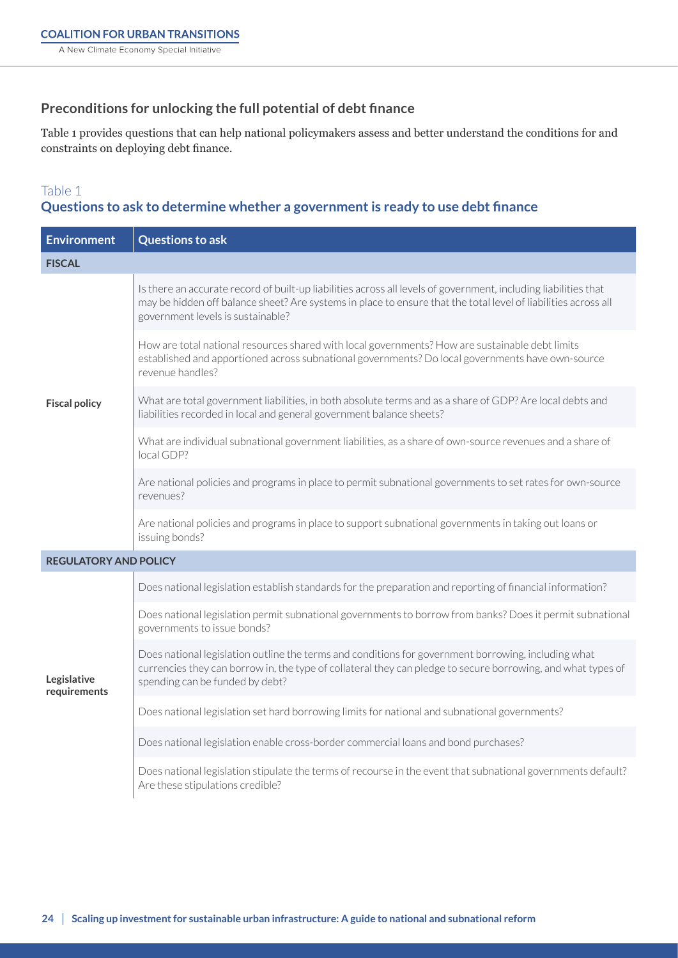## **Preconditions for unlocking the full potential of debt finance**

Table 1 provides questions that can help national policymakers assess and better understand the conditions for and constraints on deploying debt finance.

### Table 1

## **Questions to ask to determine whether a government is ready to use debt finance**

| <b>Environment</b>           | <b>Questions to ask</b>                                                                                                                                                                                                                                                |
|------------------------------|------------------------------------------------------------------------------------------------------------------------------------------------------------------------------------------------------------------------------------------------------------------------|
| <b>FISCAL</b>                |                                                                                                                                                                                                                                                                        |
| <b>Fiscal policy</b>         | Is there an accurate record of built-up liabilities across all levels of government, including liabilities that<br>may be hidden off balance sheet? Are systems in place to ensure that the total level of liabilities across all<br>government levels is sustainable? |
|                              | How are total national resources shared with local governments? How are sustainable debt limits<br>established and apportioned across subnational governments? Do local governments have own-source<br>revenue handles?                                                |
|                              | What are total government liabilities, in both absolute terms and as a share of GDP? Are local debts and<br>liabilities recorded in local and general government balance sheets?                                                                                       |
|                              | What are individual subnational government liabilities, as a share of own-source revenues and a share of<br>local GDP?                                                                                                                                                 |
|                              | Are national policies and programs in place to permit subnational governments to set rates for own-source<br>revenues?                                                                                                                                                 |
|                              | Are national policies and programs in place to support subnational governments in taking out loans or<br>issuing bonds?                                                                                                                                                |
| <b>REGULATORY AND POLICY</b> |                                                                                                                                                                                                                                                                        |
|                              | Does national legislation establish standards for the preparation and reporting of financial information?                                                                                                                                                              |
| Legislative<br>requirements  | Does national legislation permit subnational governments to borrow from banks? Does it permit subnational<br>governments to issue bonds?                                                                                                                               |
|                              | Does national legislation outline the terms and conditions for government borrowing, including what<br>currencies they can borrow in, the type of collateral they can pledge to secure borrowing, and what types of<br>spending can be funded by debt?                 |
|                              | Does national legislation set hard borrowing limits for national and subnational governments?                                                                                                                                                                          |
|                              | Does national legislation enable cross-border commercial loans and bond purchases?                                                                                                                                                                                     |
|                              | Does national legislation stipulate the terms of recourse in the event that subnational governments default?<br>Are these stipulations credible?                                                                                                                       |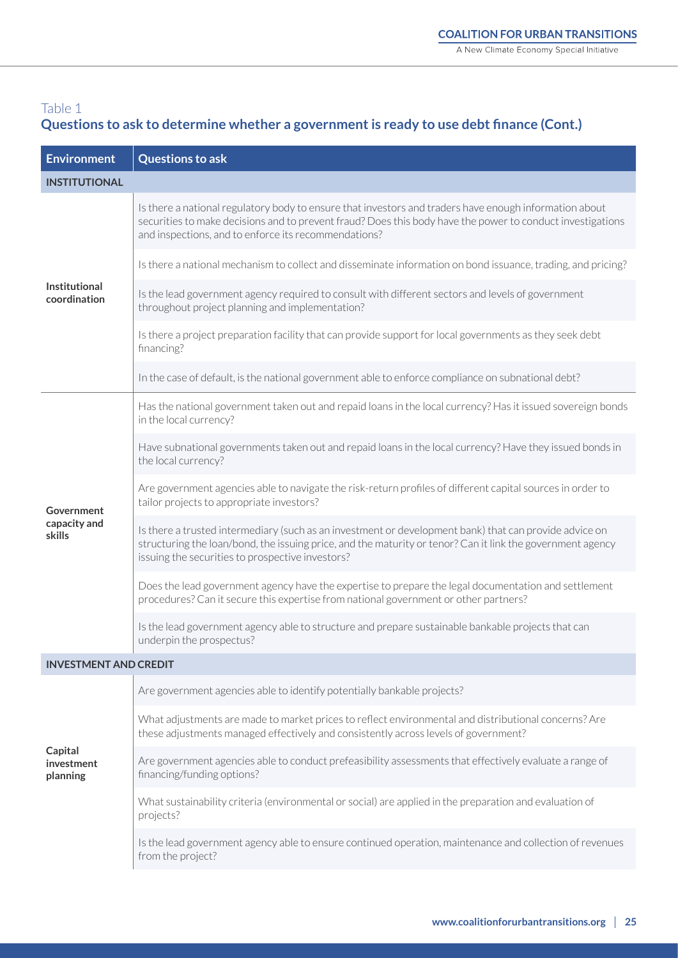## Table 1 **Questions to ask to determine whether a government is ready to use debt finance (Cont.)**

| <b>Environment</b>                   | <b>Questions to ask</b>                                                                                                                                                                                                                                                      |
|--------------------------------------|------------------------------------------------------------------------------------------------------------------------------------------------------------------------------------------------------------------------------------------------------------------------------|
| <b>INSTITUTIONAL</b>                 |                                                                                                                                                                                                                                                                              |
| <b>Institutional</b><br>coordination | Is there a national regulatory body to ensure that investors and traders have enough information about<br>securities to make decisions and to prevent fraud? Does this body have the power to conduct investigations<br>and inspections, and to enforce its recommendations? |
|                                      | Is there a national mechanism to collect and disseminate information on bond issuance, trading, and pricing?                                                                                                                                                                 |
|                                      | Is the lead government agency required to consult with different sectors and levels of government<br>throughout project planning and implementation?                                                                                                                         |
|                                      | Is there a project preparation facility that can provide support for local governments as they seek debt<br>financing?                                                                                                                                                       |
|                                      | In the case of default, is the national government able to enforce compliance on subnational debt?                                                                                                                                                                           |
|                                      | Has the national government taken out and repaid loans in the local currency? Has it issued sovereign bonds<br>in the local currency?                                                                                                                                        |
|                                      | Have subnational governments taken out and repaid loans in the local currency? Have they issued bonds in<br>the local currency?                                                                                                                                              |
| Government                           | Are government agencies able to navigate the risk-return profiles of different capital sources in order to<br>tailor projects to appropriate investors?                                                                                                                      |
| capacity and<br>skills               | Is there a trusted intermediary (such as an investment or development bank) that can provide advice on<br>structuring the loan/bond, the issuing price, and the maturity or tenor? Can it link the government agency<br>issuing the securities to prospective investors?     |
|                                      | Does the lead government agency have the expertise to prepare the legal documentation and settlement<br>procedures? Can it secure this expertise from national government or other partners?                                                                                 |
|                                      | Is the lead government agency able to structure and prepare sustainable bankable projects that can<br>underpin the prospectus?                                                                                                                                               |
| <b>INVESTMENT AND CREDIT</b>         |                                                                                                                                                                                                                                                                              |
|                                      | Are government agencies able to identify potentially bankable projects?                                                                                                                                                                                                      |
| Capital<br>investment<br>planning    | What adjustments are made to market prices to reflect environmental and distributional concerns? Are<br>these adjustments managed effectively and consistently across levels of government?                                                                                  |
|                                      | Are government agencies able to conduct prefeasibility assessments that effectively evaluate a range of<br>financing/funding options?                                                                                                                                        |
|                                      | What sustainability criteria (environmental or social) are applied in the preparation and evaluation of<br>projects?                                                                                                                                                         |
|                                      | Is the lead government agency able to ensure continued operation, maintenance and collection of revenues<br>from the project?                                                                                                                                                |
|                                      |                                                                                                                                                                                                                                                                              |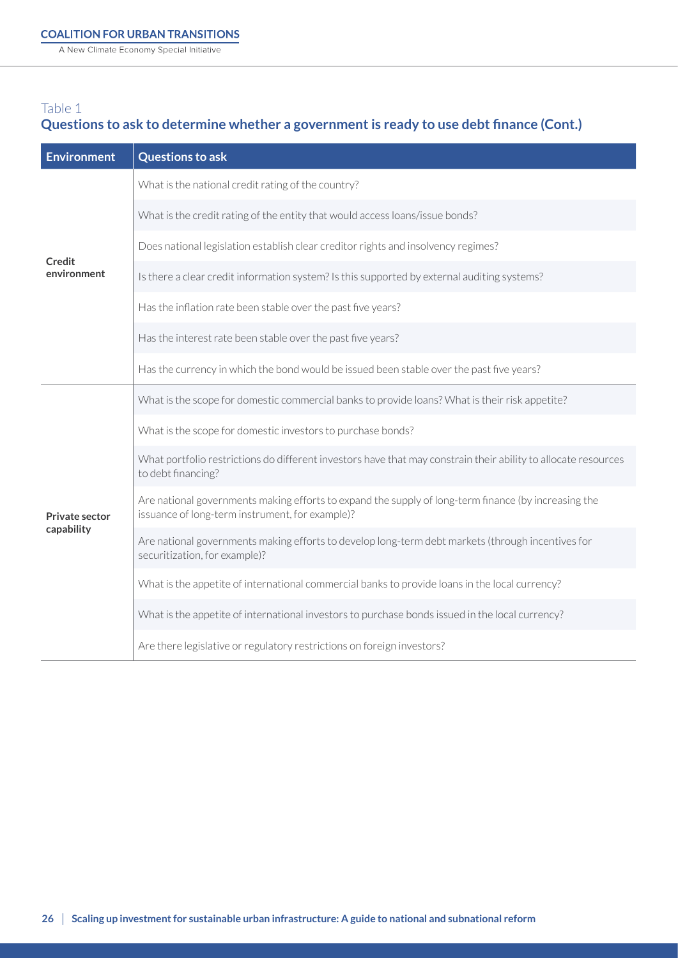A New Climate Economy Special Initiative

## Table 1 **Questions to ask to determine whether a government is ready to use debt finance (Cont.)**

| <b>Environment</b>                  | <b>Questions to ask</b>                                                                                                                                 |
|-------------------------------------|---------------------------------------------------------------------------------------------------------------------------------------------------------|
| Credit<br>environment               | What is the national credit rating of the country?                                                                                                      |
|                                     | What is the credit rating of the entity that would access loans/issue bonds?                                                                            |
|                                     | Does national legislation establish clear creditor rights and insolvency regimes?                                                                       |
|                                     | Is there a clear credit information system? Is this supported by external auditing systems?                                                             |
|                                     | Has the inflation rate been stable over the past five years?                                                                                            |
|                                     | Has the interest rate been stable over the past five years?                                                                                             |
|                                     | Has the currency in which the bond would be issued been stable over the past five years?                                                                |
| <b>Private sector</b><br>capability | What is the scope for domestic commercial banks to provide loans? What is their risk appetite?                                                          |
|                                     | What is the scope for domestic investors to purchase bonds?                                                                                             |
|                                     | What portfolio restrictions do different investors have that may constrain their ability to allocate resources<br>to debt financing?                    |
|                                     | Are national governments making efforts to expand the supply of long-term finance (by increasing the<br>issuance of long-term instrument, for example)? |
|                                     | Are national governments making efforts to develop long-term debt markets (through incentives for<br>securitization, for example)?                      |
|                                     | What is the appetite of international commercial banks to provide loans in the local currency?                                                          |
|                                     | What is the appetite of international investors to purchase bonds issued in the local currency?                                                         |
|                                     | Are there legislative or regulatory restrictions on foreign investors?                                                                                  |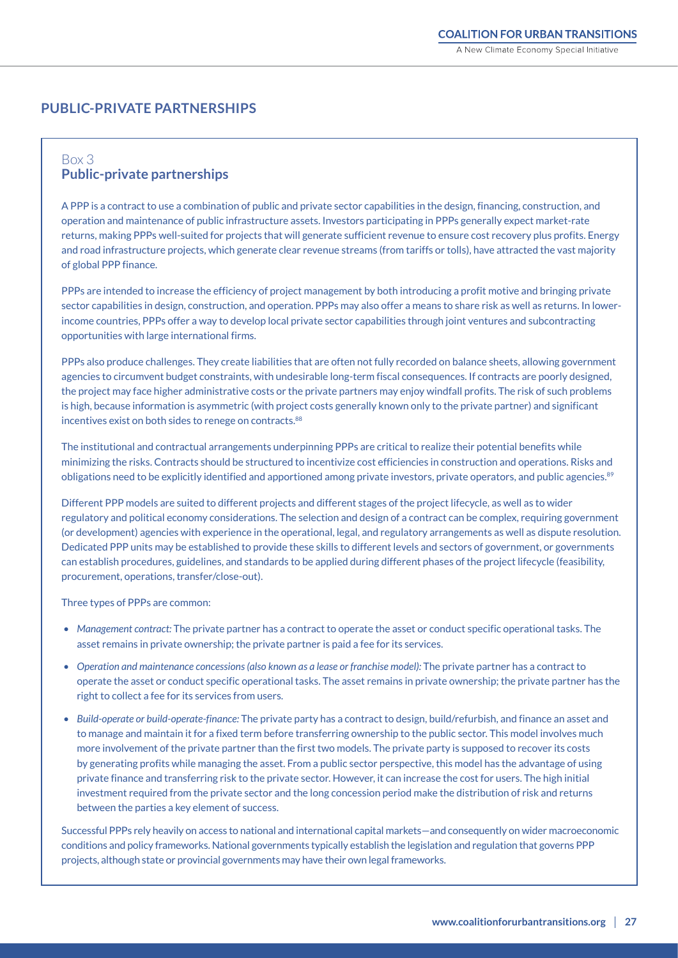### **PUBLIC-PRIVATE PARTNERSHIPS**

#### Box 3 **Public-private partnerships**

A PPP is a contract to use a combination of public and private sector capabilities in the design, financing, construction, and operation and maintenance of public infrastructure assets. Investors participating in PPPs generally expect market-rate returns, making PPPs well-suited for projects that will generate sufficient revenue to ensure cost recovery plus profits. Energy and road infrastructure projects, which generate clear revenue streams (from tariffs or tolls), have attracted the vast majority of global PPP finance.

PPPs are intended to increase the efficiency of project management by both introducing a profit motive and bringing private sector capabilities in design, construction, and operation. PPPs may also offer a means to share risk as well as returns. In lowerincome countries, PPPs offer a way to develop local private sector capabilities through joint ventures and subcontracting opportunities with large international firms.

PPPs also produce challenges. They create liabilities that are often not fully recorded on balance sheets, allowing government agencies to circumvent budget constraints, with undesirable long-term fiscal consequences. If contracts are poorly designed, the project may face higher administrative costs or the private partners may enjoy windfall profits. The risk of such problems is high, because information is asymmetric (with project costs generally known only to the private partner) and significant incentives exist on both sides to renege on contracts.<sup>88</sup>

The institutional and contractual arrangements underpinning PPPs are critical to realize their potential benefits while minimizing the risks. Contracts should be structured to incentivize cost efficiencies in construction and operations. Risks and obligations need to be explicitly identified and apportioned among private investors, private operators, and public agencies.<sup>89</sup>

Different PPP models are suited to different projects and different stages of the project lifecycle, as well as to wider regulatory and political economy considerations. The selection and design of a contract can be complex, requiring government (or development) agencies with experience in the operational, legal, and regulatory arrangements as well as dispute resolution. Dedicated PPP units may be established to provide these skills to different levels and sectors of government, or governments can establish procedures, guidelines, and standards to be applied during different phases of the project lifecycle (feasibility, procurement, operations, transfer/close-out).

Three types of PPPs are common:

- *• Management contract:* The private partner has a contract to operate the asset or conduct specific operational tasks. The asset remains in private ownership; the private partner is paid a fee for its services.
- *• Operation and maintenance concessions (also known as a lease or franchise model):* The private partner has a contract to operate the asset or conduct specific operational tasks. The asset remains in private ownership; the private partner has the right to collect a fee for its services from users.
- *• Build-operate or build-operate-finance:* The private party has a contract to design, build/refurbish, and finance an asset and to manage and maintain it for a fixed term before transferring ownership to the public sector. This model involves much more involvement of the private partner than the first two models. The private party is supposed to recover its costs by generating profits while managing the asset. From a public sector perspective, this model has the advantage of using private finance and transferring risk to the private sector. However, it can increase the cost for users. The high initial investment required from the private sector and the long concession period make the distribution of risk and returns between the parties a key element of success.

Successful PPPs rely heavily on access to national and international capital markets—and consequently on wider macroeconomic conditions and policy frameworks. National governments typically establish the legislation and regulation that governs PPP projects, although state or provincial governments may have their own legal frameworks.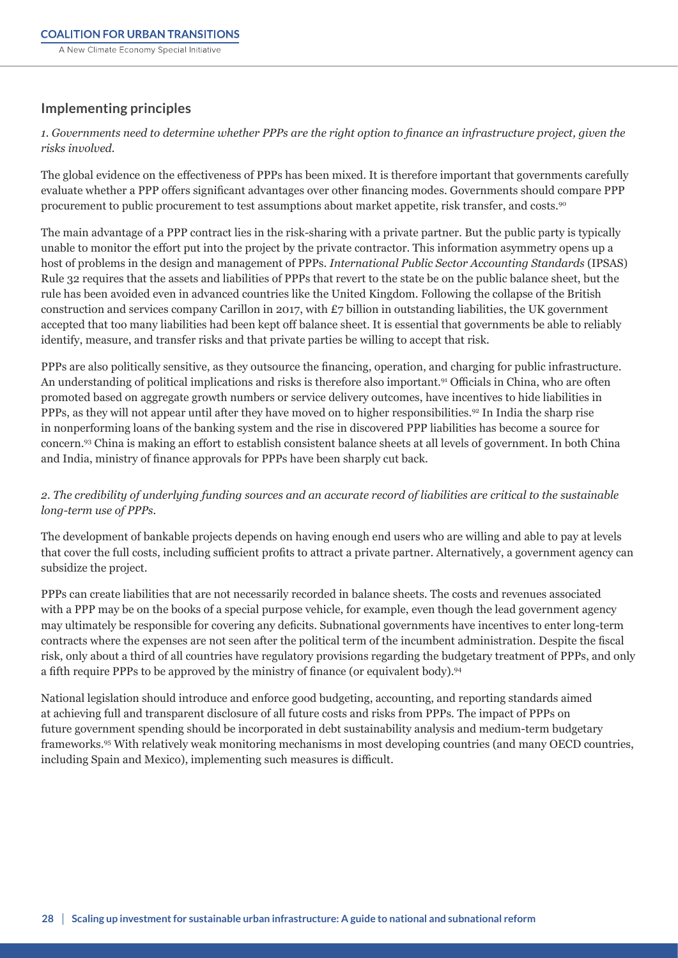## **Implementing principles**

*1. Governments need to determine whether PPPs are the right option to finance an infrastructure project, given the risks involved.* 

The global evidence on the effectiveness of PPPs has been mixed. It is therefore important that governments carefully evaluate whether a PPP offers significant advantages over other financing modes. Governments should compare PPP procurement to public procurement to test assumptions about market appetite, risk transfer, and costs.90

The main advantage of a PPP contract lies in the risk-sharing with a private partner. But the public party is typically unable to monitor the effort put into the project by the private contractor. This information asymmetry opens up a host of problems in the design and management of PPPs. *International Public Sector Accounting Standards* (IPSAS) Rule 32 requires that the assets and liabilities of PPPs that revert to the state be on the public balance sheet, but the rule has been avoided even in advanced countries like the United Kingdom. Following the collapse of the British construction and services company Carillon in 2017, with £7 billion in outstanding liabilities, the UK government accepted that too many liabilities had been kept off balance sheet. It is essential that governments be able to reliably identify, measure, and transfer risks and that private parties be willing to accept that risk.

PPPs are also politically sensitive, as they outsource the financing, operation, and charging for public infrastructure. An understanding of political implications and risks is therefore also important.<sup>91</sup> Officials in China, who are often promoted based on aggregate growth numbers or service delivery outcomes, have incentives to hide liabilities in PPPs, as they will not appear until after they have moved on to higher responsibilities.<sup>92</sup> In India the sharp rise in nonperforming loans of the banking system and the rise in discovered PPP liabilities has become a source for concern.93 China is making an effort to establish consistent balance sheets at all levels of government. In both China and India, ministry of finance approvals for PPPs have been sharply cut back.

#### *2. The credibility of underlying funding sources and an accurate record of liabilities are critical to the sustainable long-term use of PPPs.*

The development of bankable projects depends on having enough end users who are willing and able to pay at levels that cover the full costs, including sufficient profits to attract a private partner. Alternatively, a government agency can subsidize the project.

PPPs can create liabilities that are not necessarily recorded in balance sheets. The costs and revenues associated with a PPP may be on the books of a special purpose vehicle, for example, even though the lead government agency may ultimately be responsible for covering any deficits. Subnational governments have incentives to enter long-term contracts where the expenses are not seen after the political term of the incumbent administration. Despite the fiscal risk, only about a third of all countries have regulatory provisions regarding the budgetary treatment of PPPs, and only a fifth require PPPs to be approved by the ministry of finance (or equivalent body).<sup>94</sup>

National legislation should introduce and enforce good budgeting, accounting, and reporting standards aimed at achieving full and transparent disclosure of all future costs and risks from PPPs. The impact of PPPs on future government spending should be incorporated in debt sustainability analysis and medium-term budgetary frameworks.95 With relatively weak monitoring mechanisms in most developing countries (and many OECD countries, including Spain and Mexico), implementing such measures is difficult.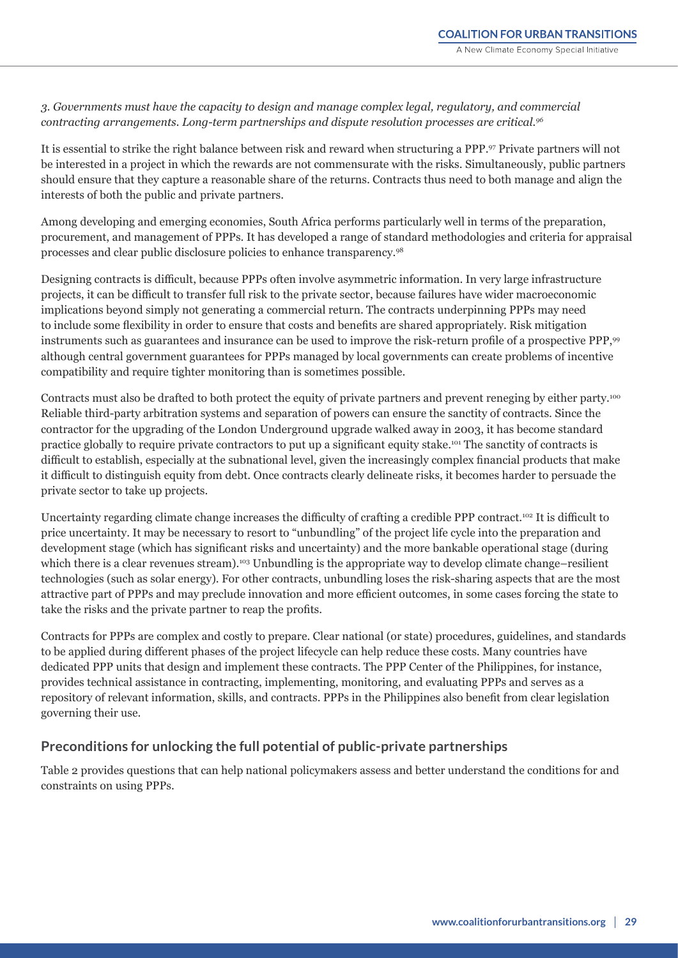*3. Governments must have the capacity to design and manage complex legal, regulatory, and commercial contracting arrangements. Long-term partnerships and dispute resolution processes are critical.96*

It is essential to strike the right balance between risk and reward when structuring a PPP.<sup>97</sup> Private partners will not be interested in a project in which the rewards are not commensurate with the risks. Simultaneously, public partners should ensure that they capture a reasonable share of the returns. Contracts thus need to both manage and align the interests of both the public and private partners.

Among developing and emerging economies, South Africa performs particularly well in terms of the preparation, procurement, and management of PPPs. It has developed a range of standard methodologies and criteria for appraisal processes and clear public disclosure policies to enhance transparency.98

Designing contracts is difficult, because PPPs often involve asymmetric information. In very large infrastructure projects, it can be difficult to transfer full risk to the private sector, because failures have wider macroeconomic implications beyond simply not generating a commercial return. The contracts underpinning PPPs may need to include some flexibility in order to ensure that costs and benefits are shared appropriately. Risk mitigation instruments such as guarantees and insurance can be used to improve the risk-return profile of a prospective PPP,<sup>99</sup> although central government guarantees for PPPs managed by local governments can create problems of incentive compatibility and require tighter monitoring than is sometimes possible.

Contracts must also be drafted to both protect the equity of private partners and prevent reneging by either party.<sup>100</sup> Reliable third-party arbitration systems and separation of powers can ensure the sanctity of contracts. Since the contractor for the upgrading of the London Underground upgrade walked away in 2003, it has become standard practice globally to require private contractors to put up a significant equity stake.101 The sanctity of contracts is difficult to establish, especially at the subnational level, given the increasingly complex financial products that make it difficult to distinguish equity from debt. Once contracts clearly delineate risks, it becomes harder to persuade the private sector to take up projects.

Uncertainty regarding climate change increases the difficulty of crafting a credible PPP contract.<sup>102</sup> It is difficult to price uncertainty. It may be necessary to resort to "unbundling" of the project life cycle into the preparation and development stage (which has significant risks and uncertainty) and the more bankable operational stage (during which there is a clear revenues stream).<sup>103</sup> Unbundling is the appropriate way to develop climate change–resilient technologies (such as solar energy). For other contracts, unbundling loses the risk-sharing aspects that are the most attractive part of PPPs and may preclude innovation and more efficient outcomes, in some cases forcing the state to take the risks and the private partner to reap the profits.

Contracts for PPPs are complex and costly to prepare. Clear national (or state) procedures, guidelines, and standards to be applied during different phases of the project lifecycle can help reduce these costs. Many countries have dedicated PPP units that design and implement these contracts. The PPP Center of the Philippines, for instance, provides technical assistance in contracting, implementing, monitoring, and evaluating PPPs and serves as a repository of relevant information, skills, and contracts. PPPs in the Philippines also benefit from clear legislation governing their use.

### **Preconditions for unlocking the full potential of public-private partnerships**

Table 2 provides questions that can help national policymakers assess and better understand the conditions for and constraints on using PPPs.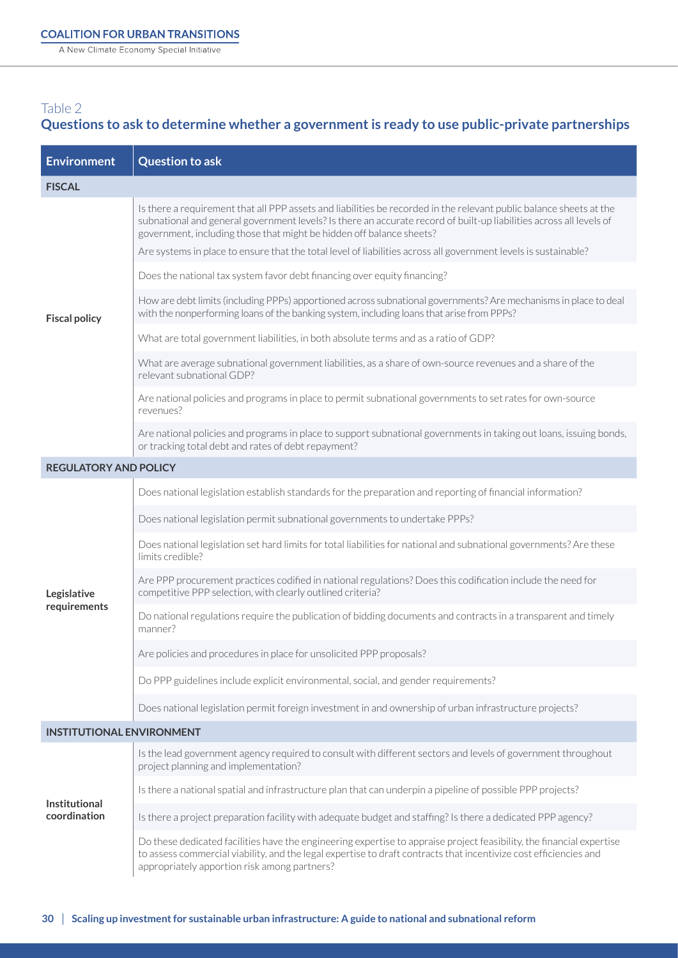A New Climate Economy Special Initiative

## Table 2 **Questions to ask to determine whether a government is ready to use public-private partnerships**

| <b>Environment</b>                   | <b>Question to ask</b>                                                                                                                                                                                                                                                                                             |
|--------------------------------------|--------------------------------------------------------------------------------------------------------------------------------------------------------------------------------------------------------------------------------------------------------------------------------------------------------------------|
| <b>FISCAL</b>                        |                                                                                                                                                                                                                                                                                                                    |
| <b>Fiscal policy</b>                 | Is there a requirement that all PPP assets and liabilities be recorded in the relevant public balance sheets at the<br>subnational and general government levels? Is there an accurate record of built-up liabilities across all levels of<br>government, including those that might be hidden off balance sheets? |
|                                      | Are systems in place to ensure that the total level of liabilities across all government levels is sustainable?                                                                                                                                                                                                    |
|                                      | Does the national tax system favor debt financing over equity financing?                                                                                                                                                                                                                                           |
|                                      | How are debt limits (including PPPs) apportioned across subnational governments? Are mechanisms in place to deal<br>with the nonperforming loans of the banking system, including loans that arise from PPPs?                                                                                                      |
|                                      | What are total government liabilities, in both absolute terms and as a ratio of GDP?                                                                                                                                                                                                                               |
|                                      | What are average subnational government liabilities, as a share of own-source revenues and a share of the<br>relevant subnational GDP?                                                                                                                                                                             |
|                                      | Are national policies and programs in place to permit subnational governments to set rates for own-source<br>revenues?                                                                                                                                                                                             |
|                                      | Are national policies and programs in place to support subnational governments in taking out loans, issuing bonds,<br>or tracking total debt and rates of debt repayment?                                                                                                                                          |
| <b>REGULATORY AND POLICY</b>         |                                                                                                                                                                                                                                                                                                                    |
|                                      | Does national legislation establish standards for the preparation and reporting of financial information?                                                                                                                                                                                                          |
|                                      | Does national legislation permit subnational governments to undertake PPPs?                                                                                                                                                                                                                                        |
|                                      | Does national legislation set hard limits for total liabilities for national and subnational governments? Are these<br>limits credible?                                                                                                                                                                            |
| Legislative                          | Are PPP procurement practices codified in national regulations? Does this codification include the need for<br>competitive PPP selection, with clearly outlined criteria?                                                                                                                                          |
| requirements                         | Do national regulations require the publication of bidding documents and contracts in a transparent and timely<br>manner?                                                                                                                                                                                          |
|                                      | Are policies and procedures in place for unsolicited PPP proposals?                                                                                                                                                                                                                                                |
|                                      | Do PPP guidelines include explicit environmental, social, and gender requirements?                                                                                                                                                                                                                                 |
|                                      | Does national legislation permit foreign investment in and ownership of urban infrastructure projects?                                                                                                                                                                                                             |
| <b>INSTITUTIONAL ENVIRONMENT</b>     |                                                                                                                                                                                                                                                                                                                    |
| <b>Institutional</b><br>coordination | Is the lead government agency required to consult with different sectors and levels of government throughout<br>project planning and implementation?                                                                                                                                                               |
|                                      | Is there a national spatial and infrastructure plan that can underpin a pipeline of possible PPP projects?                                                                                                                                                                                                         |
|                                      | Is there a project preparation facility with adequate budget and staffing? Is there a dedicated PPP agency?                                                                                                                                                                                                        |
|                                      | Do these dedicated facilities have the engineering expertise to appraise project feasibility, the financial expertise<br>to assess commercial viability, and the legal expertise to draft contracts that incentivize cost efficiencies and<br>appropriately apportion risk among partners?                         |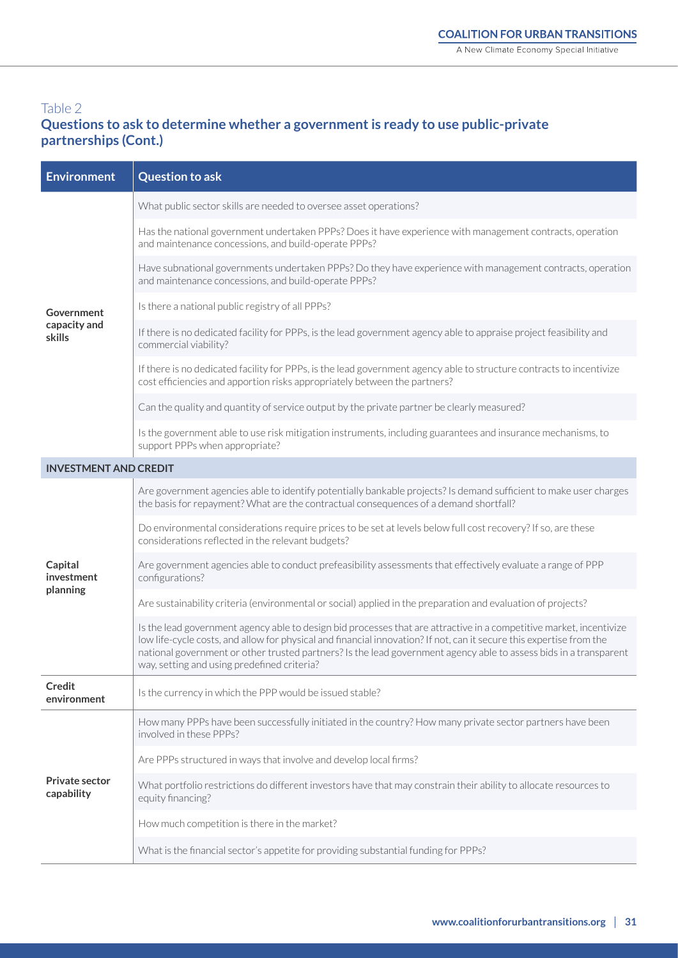## Table 2 **Questions to ask to determine whether a government is ready to use public-private partnerships (Cont.)**

| <b>Environment</b>                  | <b>Question to ask</b>                                                                                                                                                                                                                                                                                                                                                                                          |
|-------------------------------------|-----------------------------------------------------------------------------------------------------------------------------------------------------------------------------------------------------------------------------------------------------------------------------------------------------------------------------------------------------------------------------------------------------------------|
|                                     | What public sector skills are needed to oversee asset operations?                                                                                                                                                                                                                                                                                                                                               |
|                                     | Has the national government undertaken PPPs? Does it have experience with management contracts, operation<br>and maintenance concessions, and build-operate PPPs?                                                                                                                                                                                                                                               |
|                                     | Have subnational governments undertaken PPPs? Do they have experience with management contracts, operation<br>and maintenance concessions, and build-operate PPPs?                                                                                                                                                                                                                                              |
| Government                          | Is there a national public registry of all PPPs?                                                                                                                                                                                                                                                                                                                                                                |
| capacity and<br>skills              | If there is no dedicated facility for PPPs, is the lead government agency able to appraise project feasibility and<br>commercial viability?                                                                                                                                                                                                                                                                     |
|                                     | If there is no dedicated facility for PPPs, is the lead government agency able to structure contracts to incentivize<br>cost efficiencies and apportion risks appropriately between the partners?                                                                                                                                                                                                               |
|                                     | Can the quality and quantity of service output by the private partner be clearly measured?                                                                                                                                                                                                                                                                                                                      |
|                                     | Is the government able to use risk mitigation instruments, including guarantees and insurance mechanisms, to<br>support PPPs when appropriate?                                                                                                                                                                                                                                                                  |
| <b>INVESTMENT AND CREDIT</b>        |                                                                                                                                                                                                                                                                                                                                                                                                                 |
|                                     | Are government agencies able to identify potentially bankable projects? Is demand sufficient to make user charges<br>the basis for repayment? What are the contractual consequences of a demand shortfall?                                                                                                                                                                                                      |
| Capital<br>investment               | Do environmental considerations require prices to be set at levels below full cost recovery? If so, are these<br>considerations reflected in the relevant budgets?                                                                                                                                                                                                                                              |
|                                     | Are government agencies able to conduct prefeasibility assessments that effectively evaluate a range of PPP<br>configurations?                                                                                                                                                                                                                                                                                  |
| planning                            | Are sustainability criteria (environmental or social) applied in the preparation and evaluation of projects?                                                                                                                                                                                                                                                                                                    |
|                                     | Is the lead government agency able to design bid processes that are attractive in a competitive market, incentivize<br>low life-cycle costs, and allow for physical and financial innovation? If not, can it secure this expertise from the<br>national government or other trusted partners? Is the lead government agency able to assess bids in a transparent<br>way, setting and using predefined criteria? |
| Credit<br>environment               | Is the currency in which the PPP would be issued stable?                                                                                                                                                                                                                                                                                                                                                        |
| <b>Private sector</b><br>capability | How many PPPs have been successfully initiated in the country? How many private sector partners have been<br>involved in these PPPs?                                                                                                                                                                                                                                                                            |
|                                     | Are PPPs structured in ways that involve and develop local firms?                                                                                                                                                                                                                                                                                                                                               |
|                                     | What portfolio restrictions do different investors have that may constrain their ability to allocate resources to<br>equity financing?                                                                                                                                                                                                                                                                          |
|                                     | How much competition is there in the market?                                                                                                                                                                                                                                                                                                                                                                    |
|                                     | What is the financial sector's appetite for providing substantial funding for PPPs?                                                                                                                                                                                                                                                                                                                             |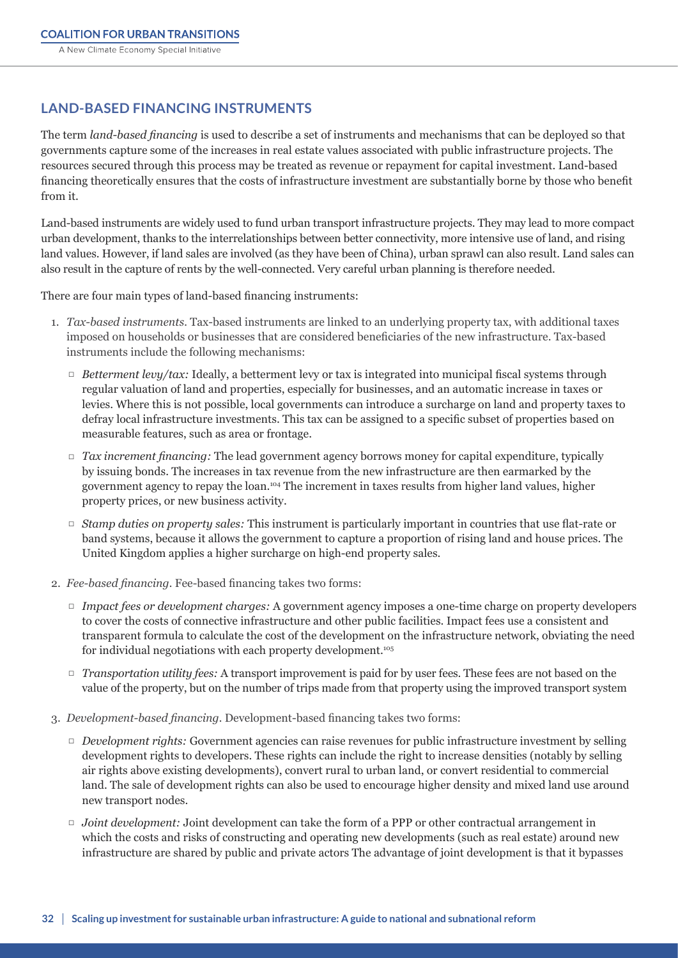## **LAND-BASED FINANCING INSTRUMENTS**

The term *land-based financing* is used to describe a set of instruments and mechanisms that can be deployed so that governments capture some of the increases in real estate values associated with public infrastructure projects. The resources secured through this process may be treated as revenue or repayment for capital investment. Land-based financing theoretically ensures that the costs of infrastructure investment are substantially borne by those who benefit from it.

Land-based instruments are widely used to fund urban transport infrastructure projects. They may lead to more compact urban development, thanks to the interrelationships between better connectivity, more intensive use of land, and rising land values. However, if land sales are involved (as they have been of China), urban sprawl can also result. Land sales can also result in the capture of rents by the well-connected. Very careful urban planning is therefore needed.

There are four main types of land-based financing instruments:

- 1. *Tax-based instruments.* Tax-based instruments are linked to an underlying property tax, with additional taxes imposed on households or businesses that are considered beneficiaries of the new infrastructure. Tax-based instruments include the following mechanisms:
	- *ƛ Betterment levy/tax:* Ideally, a betterment levy or tax is integrated into municipal fiscal systems through regular valuation of land and properties, especially for businesses, and an automatic increase in taxes or levies. Where this is not possible, local governments can introduce a surcharge on land and property taxes to defray local infrastructure investments. This tax can be assigned to a specific subset of properties based on measurable features, such as area or frontage.
	- *ƛ Tax increment financing:* The lead government agency borrows money for capital expenditure, typically by issuing bonds. The increases in tax revenue from the new infrastructure are then earmarked by the government agency to repay the loan.104 The increment in taxes results from higher land values, higher property prices, or new business activity.
	- *ƛ Stamp duties on property sales:* This instrument is particularly important in countries that use flat-rate or band systems, because it allows the government to capture a proportion of rising land and house prices. The United Kingdom applies a higher surcharge on high-end property sales.
- 2. *Fee-based financing.* Fee-based financing takes two forms:
	- *ƛ Impact fees or development charges:* A government agency imposes a one-time charge on property developers to cover the costs of connective infrastructure and other public facilities. Impact fees use a consistent and transparent formula to calculate the cost of the development on the infrastructure network, obviating the need for individual negotiations with each property development.<sup>105</sup>
	- *ƛ Transportation utility fees:* A transport improvement is paid for by user fees. These fees are not based on the value of the property, but on the number of trips made from that property using the improved transport system
- 3. *Development-based financing.* Development-based financing takes two forms:
	- *ƛ Development rights:* Government agencies can raise revenues for public infrastructure investment by selling development rights to developers. These rights can include the right to increase densities (notably by selling air rights above existing developments), convert rural to urban land, or convert residential to commercial land. The sale of development rights can also be used to encourage higher density and mixed land use around new transport nodes.
	- *ƛ Joint development:* Joint development can take the form of a PPP or other contractual arrangement in which the costs and risks of constructing and operating new developments (such as real estate) around new infrastructure are shared by public and private actors The advantage of joint development is that it bypasses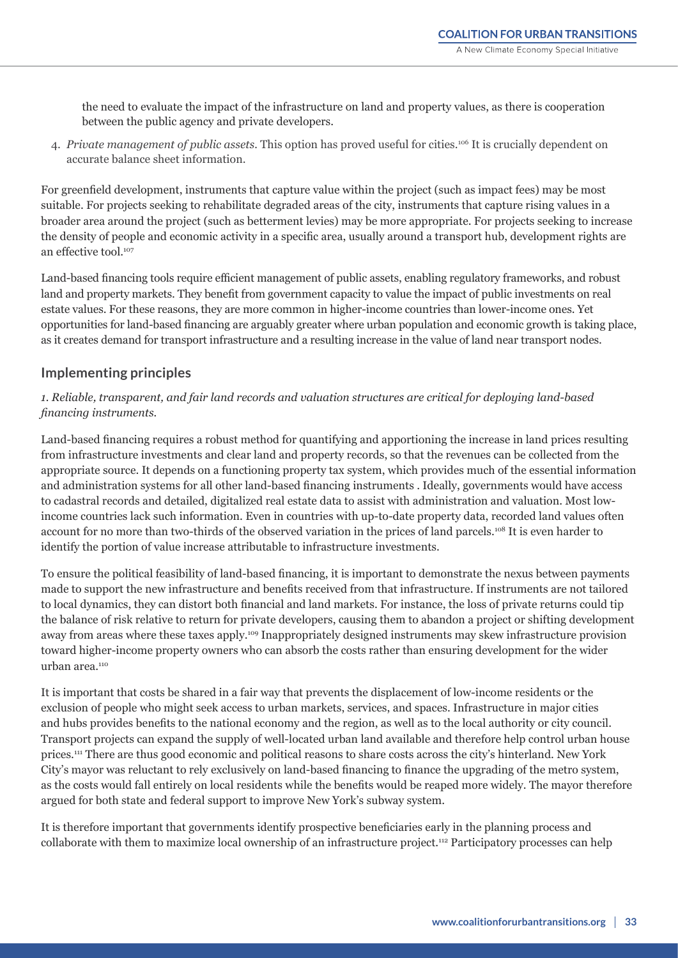the need to evaluate the impact of the infrastructure on land and property values, as there is cooperation between the public agency and private developers.

4. *Private management of public assets.* This option has proved useful for cities.<sup>106</sup> It is crucially dependent on accurate balance sheet information.

For greenfield development, instruments that capture value within the project (such as impact fees) may be most suitable. For projects seeking to rehabilitate degraded areas of the city, instruments that capture rising values in a broader area around the project (such as betterment levies) may be more appropriate. For projects seeking to increase the density of people and economic activity in a specific area, usually around a transport hub, development rights are an effective tool.<sup>107</sup>

Land-based financing tools require efficient management of public assets, enabling regulatory frameworks, and robust land and property markets. They benefit from government capacity to value the impact of public investments on real estate values. For these reasons, they are more common in higher-income countries than lower-income ones. Yet opportunities for land-based financing are arguably greater where urban population and economic growth is taking place, as it creates demand for transport infrastructure and a resulting increase in the value of land near transport nodes.

### **Implementing principles**

#### *1. Reliable, transparent, and fair land records and valuation structures are critical for deploying land-based financing instruments.*

Land-based financing requires a robust method for quantifying and apportioning the increase in land prices resulting from infrastructure investments and clear land and property records, so that the revenues can be collected from the appropriate source. It depends on a functioning property tax system, which provides much of the essential information and administration systems for all other land-based financing instruments . Ideally, governments would have access to cadastral records and detailed, digitalized real estate data to assist with administration and valuation. Most lowincome countries lack such information. Even in countries with up-to-date property data, recorded land values often account for no more than two-thirds of the observed variation in the prices of land parcels.<sup>108</sup> It is even harder to identify the portion of value increase attributable to infrastructure investments.

To ensure the political feasibility of land-based financing, it is important to demonstrate the nexus between payments made to support the new infrastructure and benefits received from that infrastructure. If instruments are not tailored to local dynamics, they can distort both financial and land markets. For instance, the loss of private returns could tip the balance of risk relative to return for private developers, causing them to abandon a project or shifting development away from areas where these taxes apply.109 Inappropriately designed instruments may skew infrastructure provision toward higher-income property owners who can absorb the costs rather than ensuring development for the wider urban area.<sup>110</sup>

It is important that costs be shared in a fair way that prevents the displacement of low-income residents or the exclusion of people who might seek access to urban markets, services, and spaces. Infrastructure in major cities and hubs provides benefits to the national economy and the region, as well as to the local authority or city council. Transport projects can expand the supply of well-located urban land available and therefore help control urban house prices.111 There are thus good economic and political reasons to share costs across the city's hinterland. New York City's mayor was reluctant to rely exclusively on land-based financing to finance the upgrading of the metro system, as the costs would fall entirely on local residents while the benefits would be reaped more widely. The mayor therefore argued for both state and federal support to improve New York's subway system.

It is therefore important that governments identify prospective beneficiaries early in the planning process and collaborate with them to maximize local ownership of an infrastructure project.112 Participatory processes can help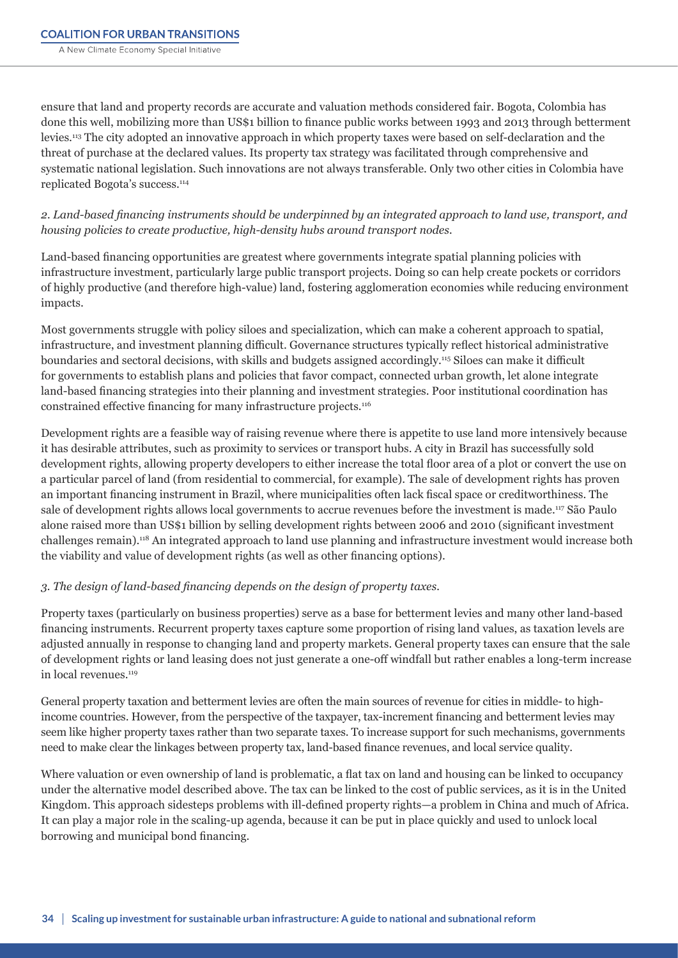ensure that land and property records are accurate and valuation methods considered fair. Bogota, Colombia has done this well, mobilizing more than US\$1 billion to finance public works between 1993 and 2013 through betterment levies.113 The city adopted an innovative approach in which property taxes were based on self-declaration and the threat of purchase at the declared values. Its property tax strategy was facilitated through comprehensive and systematic national legislation. Such innovations are not always transferable. Only two other cities in Colombia have replicated Bogota's success.114

*2. Land-based financing instruments should be underpinned by an integrated approach to land use, transport, and housing policies to create productive, high-density hubs around transport nodes.*

Land-based financing opportunities are greatest where governments integrate spatial planning policies with infrastructure investment, particularly large public transport projects. Doing so can help create pockets or corridors of highly productive (and therefore high-value) land, fostering agglomeration economies while reducing environment impacts.

Most governments struggle with policy siloes and specialization, which can make a coherent approach to spatial, infrastructure, and investment planning difficult. Governance structures typically reflect historical administrative boundaries and sectoral decisions, with skills and budgets assigned accordingly.115 Siloes can make it difficult for governments to establish plans and policies that favor compact, connected urban growth, let alone integrate land-based financing strategies into their planning and investment strategies. Poor institutional coordination has constrained effective financing for many infrastructure projects.116

Development rights are a feasible way of raising revenue where there is appetite to use land more intensively because it has desirable attributes, such as proximity to services or transport hubs. A city in Brazil has successfully sold development rights, allowing property developers to either increase the total floor area of a plot or convert the use on a particular parcel of land (from residential to commercial, for example). The sale of development rights has proven an important financing instrument in Brazil, where municipalities often lack fiscal space or creditworthiness. The sale of development rights allows local governments to accrue revenues before the investment is made.<sup>117</sup> São Paulo alone raised more than US\$1 billion by selling development rights between 2006 and 2010 (significant investment challenges remain).<sup>118</sup> An integrated approach to land use planning and infrastructure investment would increase both the viability and value of development rights (as well as other financing options).

#### *3. The design of land-based financing depends on the design of property taxes.*

Property taxes (particularly on business properties) serve as a base for betterment levies and many other land-based financing instruments. Recurrent property taxes capture some proportion of rising land values, as taxation levels are adjusted annually in response to changing land and property markets. General property taxes can ensure that the sale of development rights or land leasing does not just generate a one-off windfall but rather enables a long-term increase in local revenues.<sup>119</sup>

General property taxation and betterment levies are often the main sources of revenue for cities in middle- to highincome countries. However, from the perspective of the taxpayer, tax-increment financing and betterment levies may seem like higher property taxes rather than two separate taxes. To increase support for such mechanisms, governments need to make clear the linkages between property tax, land-based finance revenues, and local service quality.

Where valuation or even ownership of land is problematic, a flat tax on land and housing can be linked to occupancy under the alternative model described above. The tax can be linked to the cost of public services, as it is in the United Kingdom. This approach sidesteps problems with ill-defined property rights—a problem in China and much of Africa. It can play a major role in the scaling-up agenda, because it can be put in place quickly and used to unlock local borrowing and municipal bond financing.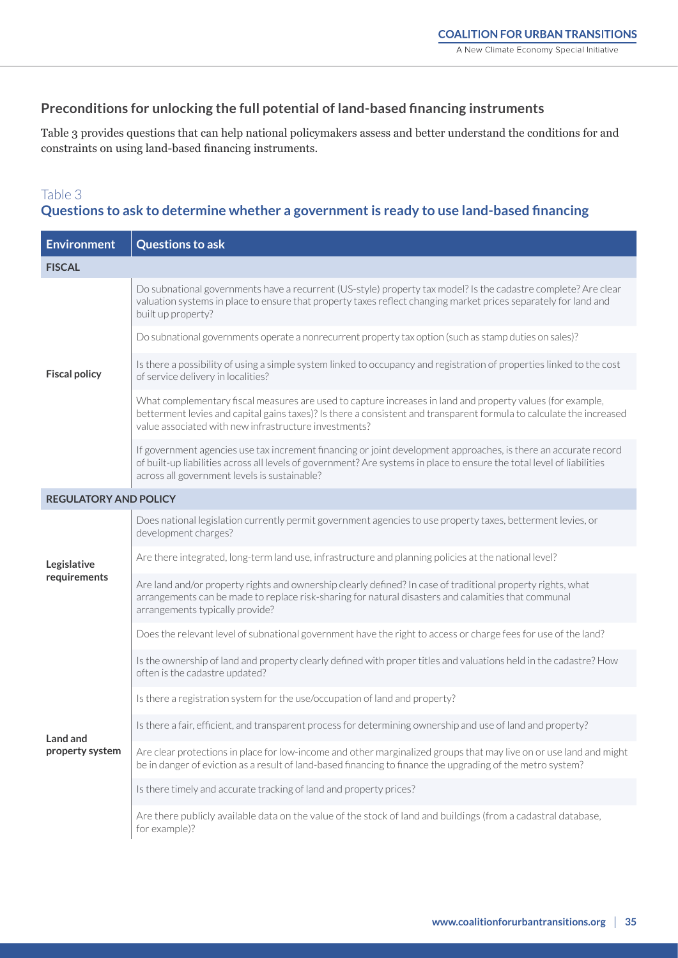## **Preconditions for unlocking the full potential of land-based financing instruments**

Table 3 provides questions that can help national policymakers assess and better understand the conditions for and constraints on using land-based financing instruments.

## Table 3 **Questions to ask to determine whether a government is ready to use land-based financing**

| <b>Environment</b>           | <b>Questions to ask</b>                                                                                                                                                                                                                                                                     |
|------------------------------|---------------------------------------------------------------------------------------------------------------------------------------------------------------------------------------------------------------------------------------------------------------------------------------------|
| <b>FISCAL</b>                |                                                                                                                                                                                                                                                                                             |
| <b>Fiscal policy</b>         | Do subnational governments have a recurrent (US-style) property tax model? Is the cadastre complete? Are clear<br>valuation systems in place to ensure that property taxes reflect changing market prices separately for land and<br>built up property?                                     |
|                              | Do subnational governments operate a nonrecurrent property tax option (such as stamp duties on sales)?                                                                                                                                                                                      |
|                              | Is there a possibility of using a simple system linked to occupancy and registration of properties linked to the cost<br>of service delivery in localities?                                                                                                                                 |
|                              | What complementary fiscal measures are used to capture increases in land and property values (for example,<br>betterment levies and capital gains taxes)? Is there a consistent and transparent formula to calculate the increased<br>value associated with new infrastructure investments? |
|                              | If government agencies use tax increment financing or joint development approaches, is there an accurate record<br>of built-up liabilities across all levels of government? Are systems in place to ensure the total level of liabilities<br>across all government levels is sustainable?   |
| <b>REGULATORY AND POLICY</b> |                                                                                                                                                                                                                                                                                             |
|                              | Does national legislation currently permit government agencies to use property taxes, betterment levies, or<br>development charges?                                                                                                                                                         |
| Legislative<br>requirements  | Are there integrated, long-term land use, infrastructure and planning policies at the national level?                                                                                                                                                                                       |
|                              | Are land and/or property rights and ownership clearly defined? In case of traditional property rights, what<br>arrangements can be made to replace risk-sharing for natural disasters and calamities that communal<br>arrangements typically provide?                                       |
|                              | Does the relevant level of subnational government have the right to access or charge fees for use of the land?                                                                                                                                                                              |
|                              | Is the ownership of land and property clearly defined with proper titles and valuations held in the cadastre? How<br>often is the cadastre updated?                                                                                                                                         |
|                              | Is there a registration system for the use/occupation of land and property?                                                                                                                                                                                                                 |
| Land and                     | Is there a fair, efficient, and transparent process for determining ownership and use of land and property?                                                                                                                                                                                 |
| property system              | Are clear protections in place for low-income and other marginalized groups that may live on or use land and might<br>be in danger of eviction as a result of land-based financing to finance the upgrading of the metro system?                                                            |
|                              | Is there timely and accurate tracking of land and property prices?                                                                                                                                                                                                                          |
|                              | Are there publicly available data on the value of the stock of land and buildings (from a cadastral database,<br>for example)?                                                                                                                                                              |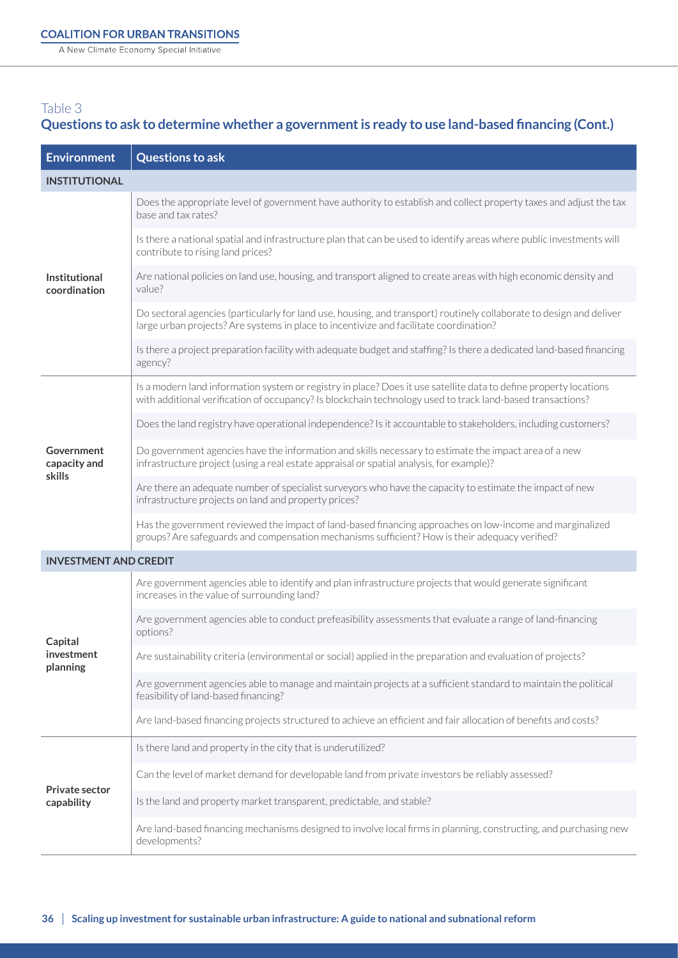A New Climate Economy Special Initiative

## Table 3 **Questions to ask to determine whether a government is ready to use land-based financing (Cont.)**

| <b>Environment</b>                   | <b>Questions to ask</b>                                                                                                                                                                                                         |
|--------------------------------------|---------------------------------------------------------------------------------------------------------------------------------------------------------------------------------------------------------------------------------|
| <b>INSTITUTIONAL</b>                 |                                                                                                                                                                                                                                 |
| <b>Institutional</b><br>coordination | Does the appropriate level of government have authority to establish and collect property taxes and adjust the tax<br>base and tax rates?                                                                                       |
|                                      | Is there a national spatial and infrastructure plan that can be used to identify areas where public investments will<br>contribute to rising land prices?                                                                       |
|                                      | Are national policies on land use, housing, and transport aligned to create areas with high economic density and<br>value?                                                                                                      |
|                                      | Do sectoral agencies (particularly for land use, housing, and transport) routinely collaborate to design and deliver<br>large urban projects? Are systems in place to incentivize and facilitate coordination?                  |
|                                      | Is there a project preparation facility with adequate budget and staffing? Is there a dedicated land-based financing<br>agency?                                                                                                 |
|                                      | Is a modern land information system or registry in place? Does it use satellite data to define property locations<br>with additional verification of occupancy? Is blockchain technology used to track land-based transactions? |
|                                      | Does the land registry have operational independence? Is it accountable to stakeholders, including customers?                                                                                                                   |
| Government<br>capacity and           | Do government agencies have the information and skills necessary to estimate the impact area of a new<br>infrastructure project (using a real estate appraisal or spatial analysis, for example)?                               |
| skills                               | Are there an adequate number of specialist surveyors who have the capacity to estimate the impact of new<br>infrastructure projects on land and property prices?                                                                |
|                                      | Has the government reviewed the impact of land-based financing approaches on low-income and marginalized<br>groups? Are safeguards and compensation mechanisms sufficient? How is their adequacy verified?                      |
| <b>INVESTMENT AND CREDIT</b>         |                                                                                                                                                                                                                                 |
|                                      | Are government agencies able to identify and plan infrastructure projects that would generate significant<br>increases in the value of surrounding land?                                                                        |
| Capital                              | Are government agencies able to conduct prefeasibility assessments that evaluate a range of land-financing<br>options?                                                                                                          |
| investment<br>planning               | Are sustainability criteria (environmental or social) applied in the preparation and evaluation of projects?                                                                                                                    |
|                                      | Are government agencies able to manage and maintain projects at a sufficient standard to maintain the political<br>feasibility of land-based financing?                                                                         |
|                                      | Are land-based financing projects structured to achieve an efficient and fair allocation of benefits and costs?                                                                                                                 |
|                                      | Is there land and property in the city that is underutilized?                                                                                                                                                                   |
| <b>Private sector</b><br>capability  | Can the level of market demand for developable land from private investors be reliably assessed?                                                                                                                                |
|                                      | Is the land and property market transparent, predictable, and stable?                                                                                                                                                           |
|                                      | Are land-based financing mechanisms designed to involve local firms in planning, constructing, and purchasing new<br>developments?                                                                                              |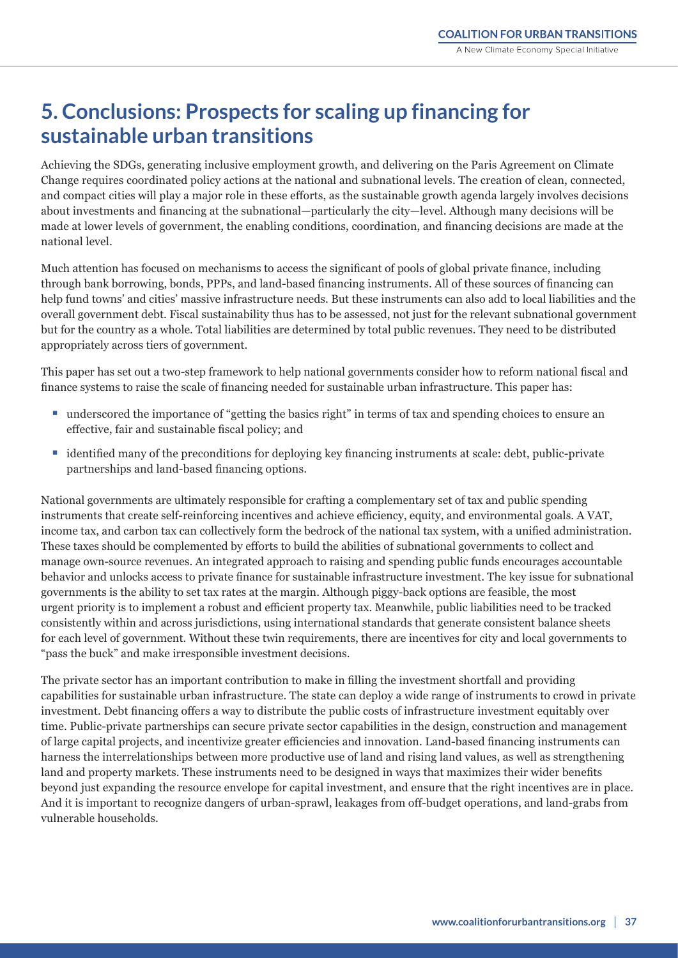# **5. Conclusions: Prospects for scaling up financing for sustainable urban transitions**

Achieving the SDGs, generating inclusive employment growth, and delivering on the Paris Agreement on Climate Change requires coordinated policy actions at the national and subnational levels. The creation of clean, connected, and compact cities will play a major role in these efforts, as the sustainable growth agenda largely involves decisions about investments and financing at the subnational—particularly the city—level. Although many decisions will be made at lower levels of government, the enabling conditions, coordination, and financing decisions are made at the national level.

Much attention has focused on mechanisms to access the significant of pools of global private finance, including through bank borrowing, bonds, PPPs, and land-based financing instruments. All of these sources of financing can help fund towns' and cities' massive infrastructure needs. But these instruments can also add to local liabilities and the overall government debt. Fiscal sustainability thus has to be assessed, not just for the relevant subnational government but for the country as a whole. Total liabilities are determined by total public revenues. They need to be distributed appropriately across tiers of government.

This paper has set out a two-step framework to help national governments consider how to reform national fiscal and finance systems to raise the scale of financing needed for sustainable urban infrastructure. This paper has:

- underscored the importance of "getting the basics right" in terms of tax and spending choices to ensure an effective, fair and sustainable fiscal policy; and
- identified many of the preconditions for deploying key financing instruments at scale: debt, public-private partnerships and land-based financing options.

National governments are ultimately responsible for crafting a complementary set of tax and public spending instruments that create self-reinforcing incentives and achieve efficiency, equity, and environmental goals. A VAT, income tax, and carbon tax can collectively form the bedrock of the national tax system, with a unified administration. These taxes should be complemented by efforts to build the abilities of subnational governments to collect and manage own-source revenues. An integrated approach to raising and spending public funds encourages accountable behavior and unlocks access to private finance for sustainable infrastructure investment. The key issue for subnational governments is the ability to set tax rates at the margin. Although piggy-back options are feasible, the most urgent priority is to implement a robust and efficient property tax. Meanwhile, public liabilities need to be tracked consistently within and across jurisdictions, using international standards that generate consistent balance sheets for each level of government. Without these twin requirements, there are incentives for city and local governments to "pass the buck" and make irresponsible investment decisions.

The private sector has an important contribution to make in filling the investment shortfall and providing capabilities for sustainable urban infrastructure. The state can deploy a wide range of instruments to crowd in private investment. Debt financing offers a way to distribute the public costs of infrastructure investment equitably over time. Public-private partnerships can secure private sector capabilities in the design, construction and management of large capital projects, and incentivize greater efficiencies and innovation. Land-based financing instruments can harness the interrelationships between more productive use of land and rising land values, as well as strengthening land and property markets. These instruments need to be designed in ways that maximizes their wider benefits beyond just expanding the resource envelope for capital investment, and ensure that the right incentives are in place. And it is important to recognize dangers of urban-sprawl, leakages from off-budget operations, and land-grabs from vulnerable households.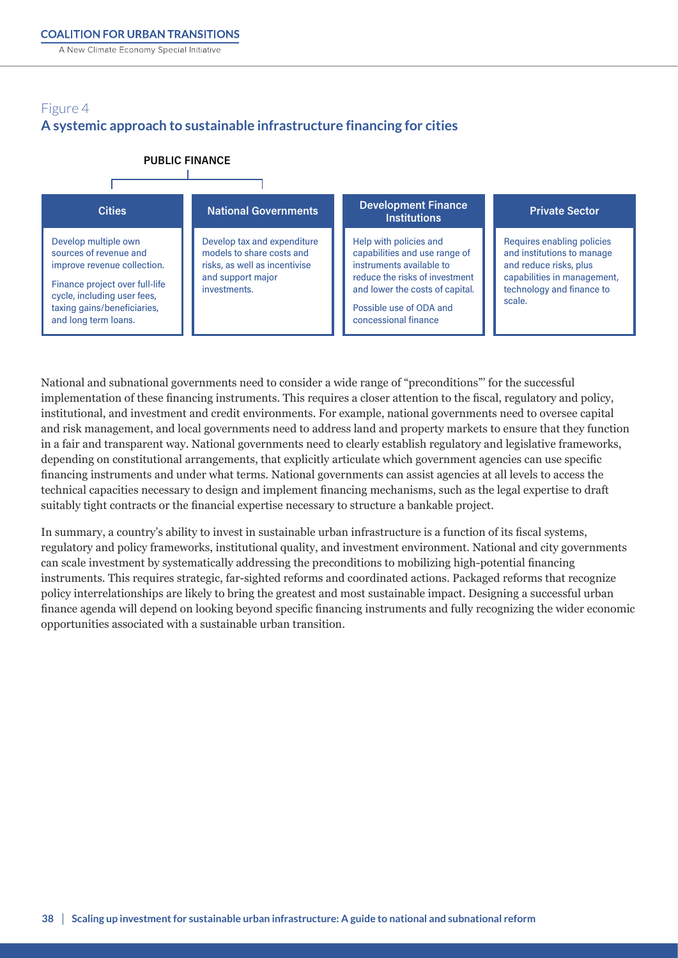A New Climate Economy Special Initiative

#### Figure 4 **A systemic approach to sustainable infrastructure financing for cities A systemic approach to sustainable infrastructure financing for cities**



National and subnational governments need to consider a wide range of "preconditions"' for the successful implementation of these financing instruments. This requires a closer attention to the fiscal, regulatory and policy, institutional, and investment and credit environments. For example, national governments need to oversee capital and risk management, and local governments need to address land and property markets to ensure that they function in a fair and transparent way. National governments need to clearly establish regulatory and legislative frameworks, depending on constitutional arrangements, that explicitly articulate which government agencies can use specific financing instruments and under what terms. National governments can assist agencies at all levels to access the technical capacities necessary to design and implement financing mechanisms, such as the legal expertise to draft suitably tight contracts or the financial expertise necessary to structure a bankable project.

In summary, a country's ability to invest in sustainable urban infrastructure is a function of its fiscal systems, regulatory and policy frameworks, institutional quality, and investment environment. National and city governments can scale investment by systematically addressing the preconditions to mobilizing high-potential financing instruments. This requires strategic, far-sighted reforms and coordinated actions. Packaged reforms that recognize policy interrelationships are likely to bring the greatest and most sustainable impact. Designing a successful urban finance agenda will depend on looking beyond specific financing instruments and fully recognizing the wider economic opportunities associated with a sustainable urban transition.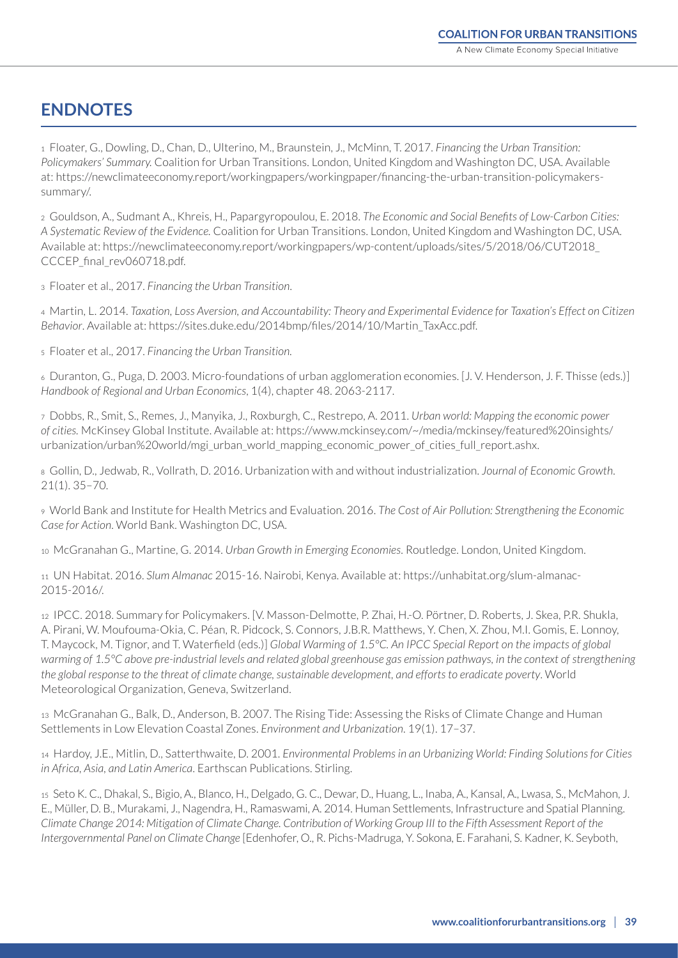## **ENDNOTES**

1 Floater, G., Dowling, D., Chan, D., Ulterino, M., Braunstein, J., McMinn, T. 2017. *Financing the Urban Transition: Policymakers' Summary.* Coalition for Urban Transitions. London, United Kingdom and Washington DC, USA. Available at: [https://newclimateeconomy.report/workingpapers/workingpaper/financing-the-urban-transition-policymakers](https://newclimateeconomy.report/workingpapers/workingpaper/financing-the-urban-transition-policymakers-summary/)[summary/.](https://newclimateeconomy.report/workingpapers/workingpaper/financing-the-urban-transition-policymakers-summary/)

2 Gouldson, A., Sudmant A., Khreis, H., Papargyropoulou, E. 2018. *The Economic and Social Benefits of Low-Carbon Cities: A Systematic Review of the Evidence.* Coalition for Urban Transitions. London, United Kingdom and Washington DC, USA. Available at: [https://newclimateeconomy.report/workingpapers/wp-content/uploads/sites/5/2018/06/CUT2018\\_](https://newclimateeconomy.report/workingpapers/wp-content/uploads/sites/5/2018/06/CUT2018_CCCEP_final_rev060718.pdf) CCCEP final rev060718.pdf.

3 Floater et al., 2017. *Financing the Urban Transition*.

4 Martin, L. 2014. *Taxation, Loss Aversion, and Accountability: Theory and Experimental Evidence for Taxation's Effect on Citizen Behavior*. Available at: https://sites.duke.edu/2014bmp/files/2014/10/Martin\_TaxAcc.pdf.

5 Floater et al., 2017. *Financing the Urban Transition.*

6 Duranton, G., Puga, D. 2003. Micro-foundations of urban agglomeration economies. [J. V. Henderson, J. F. Thisse (eds.)] *Handbook of Regional and Urban Economics*, 1(4), chapter 48. 2063-2117.

7 Dobbs, R., Smit, S., Remes, J., Manyika, J., Roxburgh, C., Restrepo, A. 2011. *Urban world: Mapping the economic power of cities.* McKinsey Global Institute. Available at: [https://www.mckinsey.com/~/media/mckinsey/featured%20insights/](https://www.mckinsey.com/~/media/mckinsey/featured%20insights/urbanization/urban%20world/mgi_urban_world_mapping_economic_power_of_cities_full_report.ashx) [urbanization/urban%20world/mgi\\_urban\\_world\\_mapping\\_economic\\_power\\_of\\_cities\\_full\\_report.ashx.](https://www.mckinsey.com/~/media/mckinsey/featured%20insights/urbanization/urban%20world/mgi_urban_world_mapping_economic_power_of_cities_full_report.ashx)

8 Gollin, D., Jedwab, R., Vollrath, D. 2016. Urbanization with and without industrialization. *Journal of Economic Growth*. 21(1). 35–70.

9 World Bank and Institute for Health Metrics and Evaluation. 2016. *The Cost of Air Pollution: Strengthening the Economic Case for Action*. World Bank. Washington DC, USA.

10 McGranahan G., Martine, G. 2014. *Urban Growth in Emerging Economies*. Routledge. London, United Kingdom.

11 UN Habitat. 2016. *Slum Almanac* 2015-16. Nairobi, Kenya. Available at: [https://unhabitat.org/slum-almanac-](https://unhabitat.org/slum-almanac-2015-2016/)[2015-2016/](https://unhabitat.org/slum-almanac-2015-2016/).

12 IPCC. 2018. Summary for Policymakers. [V. Masson-Delmotte, P. Zhai, H.-O. Pörtner, D. Roberts, J. Skea, P.R. Shukla, A. Pirani, W. Moufouma-Okia, C. Péan, R. Pidcock, S. Connors, J.B.R. Matthews, Y. Chen, X. Zhou, M.I. Gomis, E. Lonnoy, T. Maycock, M. Tignor, and T. Waterfield (eds.)] *Global Warming of 1.5°C. An IPCC Special Report on the impacts of global warming of 1.5°C above pre-industrial levels and related global greenhouse gas emission pathways, in the context of strengthening the global response to the threat of climate change, sustainable development, and efforts to eradicate poverty*. World Meteorological Organization, Geneva, Switzerland.

13 McGranahan G., Balk, D., Anderson, B. 2007. The Rising Tide: Assessing the Risks of Climate Change and Human Settlements in Low Elevation Coastal Zones. *Environment and Urbanization*. 19(1). 17–37.

14 Hardoy, J.E., Mitlin, D., Satterthwaite, D. 2001. *Environmental Problems in an Urbanizing World: Finding Solutions for Cities in Africa, Asia, and Latin America*. Earthscan Publications. Stirling.

15 Seto K. C., Dhakal, S., Bigio, A., Blanco, H., Delgado, G. C., Dewar, D., Huang, L., Inaba, A., Kansal, A., Lwasa, S., McMahon, J. E., Müller, D. B., Murakami, J., Nagendra, H., Ramaswami, A. 2014. Human Settlements, Infrastructure and Spatial Planning. *Climate Change 2014: Mitigation of Climate Change. Contribution of Working Group III to the Fifth Assessment Report of the Intergovernmental Panel on Climate Change* [Edenhofer, O., R. Pichs-Madruga, Y. Sokona, E. Farahani, S. Kadner, K. Seyboth,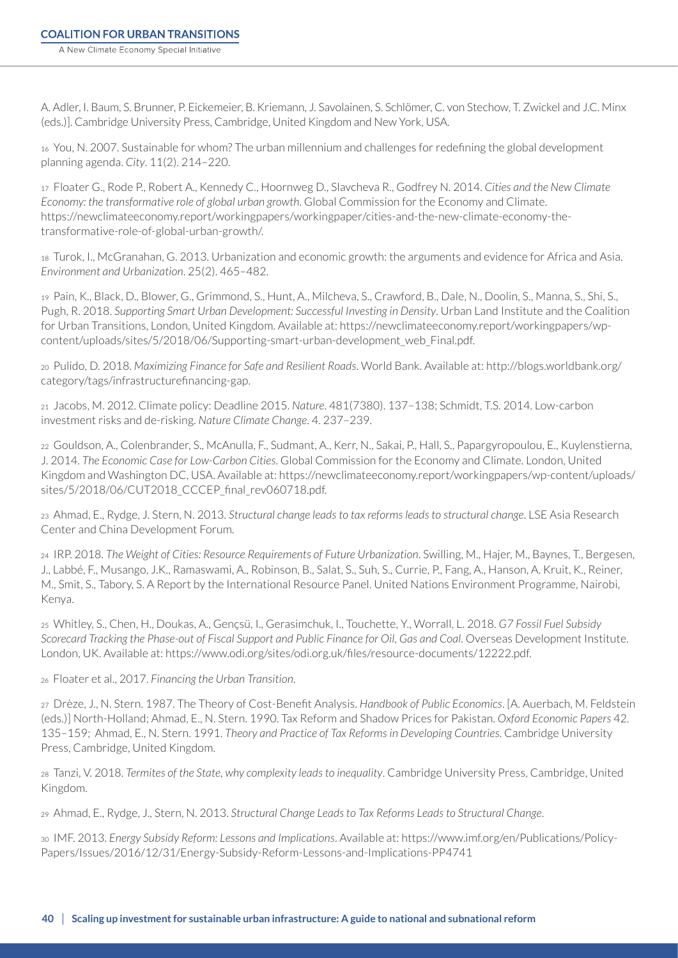A. Adler, I. Baum, S. Brunner, P. Eickemeier, B. Kriemann, J. Savolainen, S. Schlömer, C. von Stechow, T. Zwickel and J.C. Minx (eds.)]. Cambridge University Press, Cambridge, United Kingdom and New York, USA.

<sup>16</sup> You, N. 2007. Sustainable for whom? The urban millennium and challenges for redefining the global development planning agenda. *City*. 11(2). 214–220.

17 Floater G., Rode P., Robert A., Kennedy C., Hoornweg D., Slavcheva R., Godfrey N. 2014. *Cities and the New Climate Economy: the transformative role of global urban growth*. Global Commission for the Economy and Climate. [https://newclimateeconomy.report/workingpapers/workingpaper/cities-and-the-new-climate-economy-the](https://newclimateeconomy.report/workingpapers/workingpaper/cities-and-the-new-climate-economy-the-transformative-role-of-global-urban-growth/)[transformative-role-of-global-urban-growth/.](https://newclimateeconomy.report/workingpapers/workingpaper/cities-and-the-new-climate-economy-the-transformative-role-of-global-urban-growth/)

18 Turok, I., McGranahan, G. 2013. Urbanization and economic growth: the arguments and evidence for Africa and Asia. *Environment and Urbanization*. 25(2). 465–482.

19 Pain, K., Black, D., Blower, G., Grimmond, S., Hunt, A., Milcheva, S., Crawford, B., Dale, N., Doolin, S., Manna, S., Shi, S., Pugh, R. 2018. *Supporting Smart Urban Development: Successful Investing in Density*. Urban Land Institute and the Coalition for Urban Transitions, London, United Kingdom. Available at: [https://newclimateeconomy.report/workingpapers/wp](https://newclimateeconomy.report/workingpapers/wp-content/uploads/sites/5/2018/06/Supporting-smart-urban-development_web_Final.pdf)[content/uploads/sites/5/2018/06/Supporting-smart-urban-development\\_web\\_Final.pdf](https://newclimateeconomy.report/workingpapers/wp-content/uploads/sites/5/2018/06/Supporting-smart-urban-development_web_Final.pdf).

20 Pulido, D. 2018. *Maximizing Finance for Safe and Resilient Roads*. World Bank. Available at: [http://blogs.worldbank.org/](http://blogs.worldbank.org/category/tags/infrastructurefinancing-gap) [category/tags/infrastructurefinancing-gap](http://blogs.worldbank.org/category/tags/infrastructurefinancing-gap).

21 Jacobs, M. 2012. Climate policy: Deadline 2015. *Nature*. 481(7380). 137–138; Schmidt, T.S. 2014. Low-carbon investment risks and de-risking. *Nature Climate Change*. 4. 237–239.

22 Gouldson, A., Colenbrander, S., McAnulla, F., Sudmant, A., Kerr, N., Sakai, P., Hall, S., Papargyropoulou, E., Kuylenstierna, J. 2014. *The Economic Case for Low-Carbon Cities*. Global Commission for the Economy and Climate. London, United Kingdom and Washington DC, USA. Available at: [https://newclimateeconomy.report/workingpapers/wp-content/uploads/](https://newclimateeconomy.report/workingpapers/wp-content/uploads/sites/5/2018/06/CUT2018_CCCEP_final_rev060718.pdf) [sites/5/2018/06/CUT2018\\_CCCEP\\_final\\_rev060718.pdf](https://newclimateeconomy.report/workingpapers/wp-content/uploads/sites/5/2018/06/CUT2018_CCCEP_final_rev060718.pdf).

23 Ahmad, E., Rydge, J. Stern, N. 2013. *Structural change leads to tax reforms leads to structural change*. LSE Asia Research Center and China Development Forum.

24 IRP. 2018. *The Weight of Cities: Resource Requirements of Future Urbanization*. Swilling, M., Hajer, M., Baynes, T., Bergesen, J., Labbé, F., Musango, J.K., Ramaswami, A., Robinson, B., Salat, S., Suh, S., Currie, P., Fang, A., Hanson, A. Kruit, K., Reiner, M., Smit, S., Tabory, S. A Report by the International Resource Panel. United Nations Environment Programme, Nairobi, Kenya.

25 Whitley, S., Chen, H., Doukas, A., Gençsü, I., Gerasimchuk, I., Touchette, Y., Worrall, L. 2018. *G7 Fossil Fuel Subsidy Scorecard Tracking the Phase-out of Fiscal Support and Public Finance for Oil, Gas and Coal*. Overseas Development Institute. London, UK. Available at: [https://www.odi.org/sites/odi.org.uk/files/resource-documents/12222.pdf.](https://www.odi.org/sites/odi.org.uk/files/resource-documents/12222.pdf)

26 Floater et al., 2017. *Financing the Urban Transition*.

<sup>27</sup> Drèze, J., N. Stern. 1987. The Theory of Cost-Benefit Analysis. *Handbook of Public Economics*. [A. Auerbach, M. Feldstein (eds.)] North-Holland; Ahmad, E., N. Stern. 1990. Tax Reform and Shadow Prices for Pakistan. *Oxford Economic Papers* 42. 135–159; Ahmad, E., N. Stern. 1991. *Theory and Practice of Tax Reforms in Developing Countries*. Cambridge University Press, Cambridge, United Kingdom.

28 Tanzi, V. 2018. *Termites of the State, why complexity leads to inequality*. Cambridge University Press, Cambridge, United Kingdom.

29 Ahmad, E., Rydge, J., Stern, N. 2013. *Structural Change Leads to Tax Reforms Leads to Structural Change*.

30 IMF. 2013. *Energy Subsidy Reform: Lessons and Implications*. Available at: https://www.imf.org/en/Publications/Policy-Papers/Issues/2016/12/31/Energy-Subsidy-Reform-Lessons-and-Implications-PP4741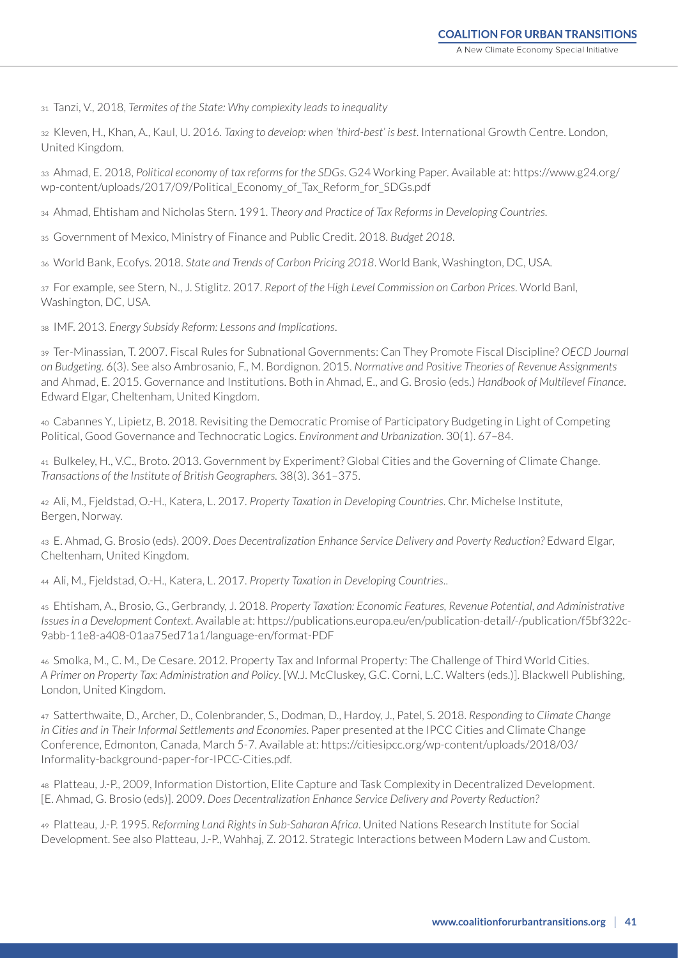31 Tanzi, V., 2018, *Termites of the State: Why complexity leads to inequality*

32 Kleven, H., Khan, A., Kaul, U. 2016. *Taxing to develop: when 'third-best' is best*. International Growth Centre. London, United Kingdom.

33 Ahmad, E. 2018, *Political economy of tax reforms for the SDGs*. G24 Working Paper. Available at: https://www.g24.org/ wp-content/uploads/2017/09/Political\_Economy\_of\_Tax\_Reform\_for\_SDGs.pdf

34 Ahmad, Ehtisham and Nicholas Stern. 1991. *Theory and Practice of Tax Reforms in Developing Countries*.

35 Government of Mexico, Ministry of Finance and Public Credit. 2018. *Budget 2018*.

36 World Bank, Ecofys. 2018. *State and Trends of Carbon Pricing 2018*. World Bank, Washington, DC, USA.

37 For example, see Stern, N., J. Stiglitz. 2017. *Report of the High Level Commission on Carbon Prices*. World Banl, Washington, DC, USA.

38 IMF. 2013. *Energy Subsidy Reform: Lessons and Implications*.

39 Ter-Minassian, T. 2007. Fiscal Rules for Subnational Governments: Can They Promote Fiscal Discipline? *OECD Journal on Budgeting*. 6(3). See also Ambrosanio, F., M. Bordignon. 2015. *Normative and Positive Theories of Revenue Assignments* and Ahmad, E. 2015. Governance and Institutions. Both in Ahmad, E., and G. Brosio (eds.) *Handbook of Multilevel Finance*. Edward Elgar, Cheltenham, United Kingdom.

40 Cabannes Y., Lipietz, B. 2018. Revisiting the Democratic Promise of Participatory Budgeting in Light of Competing Political, Good Governance and Technocratic Logics. *Environment and Urbanization*. 30(1). 67–84.

41 Bulkeley, H., V.C., Broto. 2013. Government by Experiment? Global Cities and the Governing of Climate Change. *Transactions of the Institute of British Geographers.* 38(3). 361–375.

42 Ali, M., Fjeldstad, O.-H., Katera, L. 2017. *Property Taxation in Developing Countries*. Chr. Michelse Institute, Bergen, Norway.

43 E. Ahmad, G. Brosio (eds). 2009. *Does Decentralization Enhance Service Delivery and Poverty Reduction?* Edward Elgar, Cheltenham, United Kingdom.

44 Ali, M., Fjeldstad, O.-H., Katera, L. 2017. *Property Taxation in Developing Countries*..

45 Ehtisham, A., Brosio, G., Gerbrandy, J. 2018. *Property Taxation: Economic Features, Revenue Potential, and Administrative Issues in a Development Context*. Available at: https://publications.europa.eu/en/publication-detail/-/publication/f5bf322c-9abb-11e8-a408-01aa75ed71a1/language-en/format-PDF

46 Smolka, M., C. M., De Cesare. 2012. Property Tax and Informal Property: The Challenge of Third World Cities. *A Primer on Property Tax: Administration and Policy*. [W.J. McCluskey, G.C. Corni, L.C. Walters (eds.)]. Blackwell Publishing, London, United Kingdom.

47 Satterthwaite, D., Archer, D., Colenbrander, S., Dodman, D., Hardoy, J., Patel, S. 2018. *Responding to Climate Change in Cities and in Their Informal Settlements and Economies*. Paper presented at the IPCC Cities and Climate Change Conference, Edmonton, Canada, March 5-7. Available at: [https://citiesipcc.org/wp-content/uploads/2018/03/](https://citiesipcc.org/wp-content/uploads/2018/03/Informality-background-paper-for-IPCC-Cities.pdf) [Informality-background-paper-for-IPCC-Cities.pdf](https://citiesipcc.org/wp-content/uploads/2018/03/Informality-background-paper-for-IPCC-Cities.pdf).

48 Platteau, J.-P., 2009, Information Distortion, Elite Capture and Task Complexity in Decentralized Development. [E. Ahmad, G. Brosio (eds)]. 2009. *Does Decentralization Enhance Service Delivery and Poverty Reduction?*

49 Platteau, J.-P. 1995. *Reforming Land Rights in Sub-Saharan Africa*. United Nations Research Institute for Social Development. See also Platteau, J.-P., Wahhaj, Z. 2012. Strategic Interactions between Modern Law and Custom.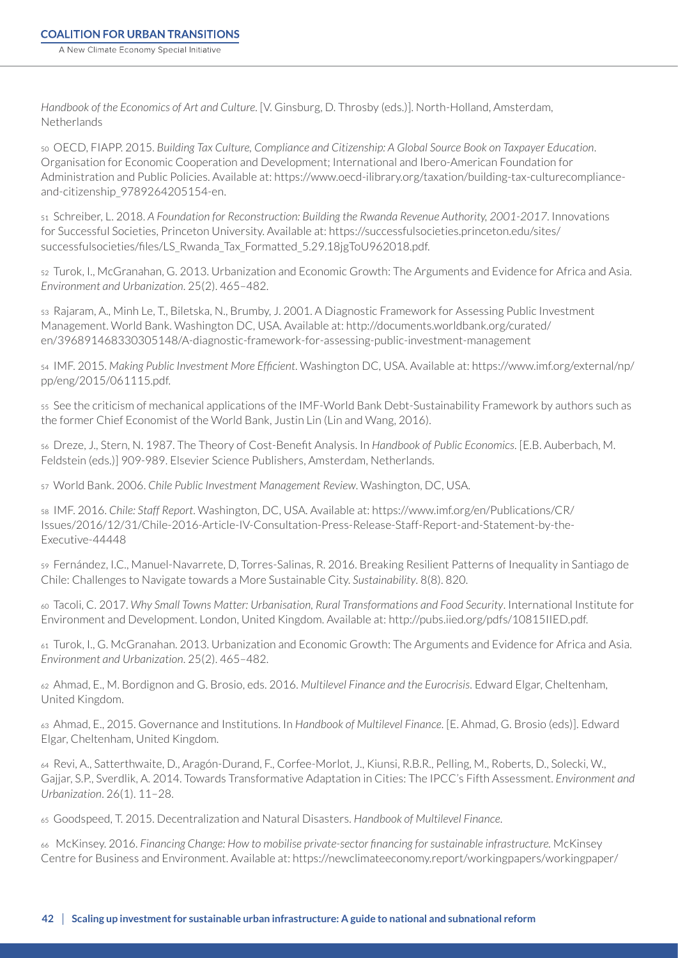*Handbook of the Economics of Art and Culture*. [V. Ginsburg, D. Throsby (eds.)]. North-Holland, Amsterdam, Netherlands

50 OECD, FIAPP. 2015. *Building Tax Culture, Compliance and Citizenship: A Global Source Book on Taxpayer Education*. Organisation for Economic Cooperation and Development; International and Ibero-American Foundation for Administration and Public Policies. Available at: [https://www.oecd-ilibrary.org/taxation/building-tax-culturecompliance](https://www.oecd-ilibrary.org/taxation/building-tax-culturecompliance-and-citizenship_9789264205154-en)[and-citizenship\\_9789264205154-en.](https://www.oecd-ilibrary.org/taxation/building-tax-culturecompliance-and-citizenship_9789264205154-en)

51 Schreiber, L. 2018. *A Foundation for Reconstruction: Building the Rwanda Revenue Authority, 2001-2017*. Innovations for Successful Societies, Princeton University. Available at: [https://successfulsocieties.princeton.edu/sites/](https://successfulsocieties.princeton.edu/sites/successfulsocieties/files/LS_Rwanda_Tax_Formatted_5.29.18jgToU962018.pdf) [successfulsocieties/files/LS\\_Rwanda\\_Tax\\_Formatted\\_5.29.18jgToU962018.pdf.](https://successfulsocieties.princeton.edu/sites/successfulsocieties/files/LS_Rwanda_Tax_Formatted_5.29.18jgToU962018.pdf)

52 Turok, I., McGranahan, G. 2013. Urbanization and Economic Growth: The Arguments and Evidence for Africa and Asia. *Environment and Urbanization*. 25(2). 465–482.

53 Rajaram, A., Minh Le, T., Biletska, N., Brumby, J. 2001. A Diagnostic Framework for Assessing Public Investment Management. World Bank. Washington DC, USA. Available at: http://documents.worldbank.org/curated/ en/396891468330305148/A-diagnostic-framework-for-assessing-public-investment-management

54 IMF. 2015. *Making Public Investment More Efficient*. Washington DC, USA. Available at: https://www.imf.org/external/np/ pp/eng/2015/061115.pdf.

55 See the criticism of mechanical applications of the IMF-World Bank Debt-Sustainability Framework by authors such as the former Chief Economist of the World Bank, Justin Lin (Lin and Wang, 2016).

<sup>56</sup> Dreze, J., Stern, N. 1987. The Theory of Cost-Benefit Analysis. In *Handbook of Public Economics*. [E.B. Auberbach, M. Feldstein (eds.)] 909-989. Elsevier Science Publishers, Amsterdam, Netherlands.

57 World Bank. 2006. *Chile Public Investment Management Review*. Washington, DC, USA.

58 IMF. 2016. *Chile: Staff Report*. Washington, DC, USA. Available at: https://www.imf.org/en/Publications/CR/ Issues/2016/12/31/Chile-2016-Article-IV-Consultation-Press-Release-Staff-Report-and-Statement-by-the-Executive-44448

59 Fernández, I.C., Manuel-Navarrete, D, Torres-Salinas, R. 2016. Breaking Resilient Patterns of Inequality in Santiago de Chile: Challenges to Navigate towards a More Sustainable City. *Sustainability*. 8(8). 820.

60 Tacoli, C. 2017. *Why Small Towns Matter: Urbanisation, Rural Transformations and Food Security*. International Institute for Environment and Development. London, United Kingdom. Available at: [http://pubs.iied.org/pdfs/10815IIED.pdf.](http://pubs.iied.org/pdfs/10815IIED.pdf)

61 Turok, I., G. McGranahan. 2013. Urbanization and Economic Growth: The Arguments and Evidence for Africa and Asia. *Environment and Urbanization*. 25(2). 465–482.

62 Ahmad, E., M. Bordignon and G. Brosio, eds. 2016. *Multilevel Finance and the Eurocrisis*. Edward Elgar, Cheltenham, United Kingdom.

63 Ahmad, E., 2015. Governance and Institutions. In *Handbook of Multilevel Finance*. [E. Ahmad, G. Brosio (eds)]. Edward Elgar, Cheltenham, United Kingdom.

64 Revi, A., Satterthwaite, D., Aragón-Durand, F., Corfee-Morlot, J., Kiunsi, R.B.R., Pelling, M., Roberts, D., Solecki, W., Gajjar, S.P., Sverdlik, A. 2014. Towards Transformative Adaptation in Cities: The IPCC's Fifth Assessment. *Environment and Urbanization*. 26(1). 11–28.

65 Goodspeed, T. 2015. Decentralization and Natural Disasters. *Handbook of Multilevel Finance*.

66 McKinsey. 2016. *Financing Change: How to mobilise private-sector financing for sustainable infrastructure.* McKinsey Centre for Business and Environment. Available at: https://newclimateeconomy.report/workingpapers/workingpaper/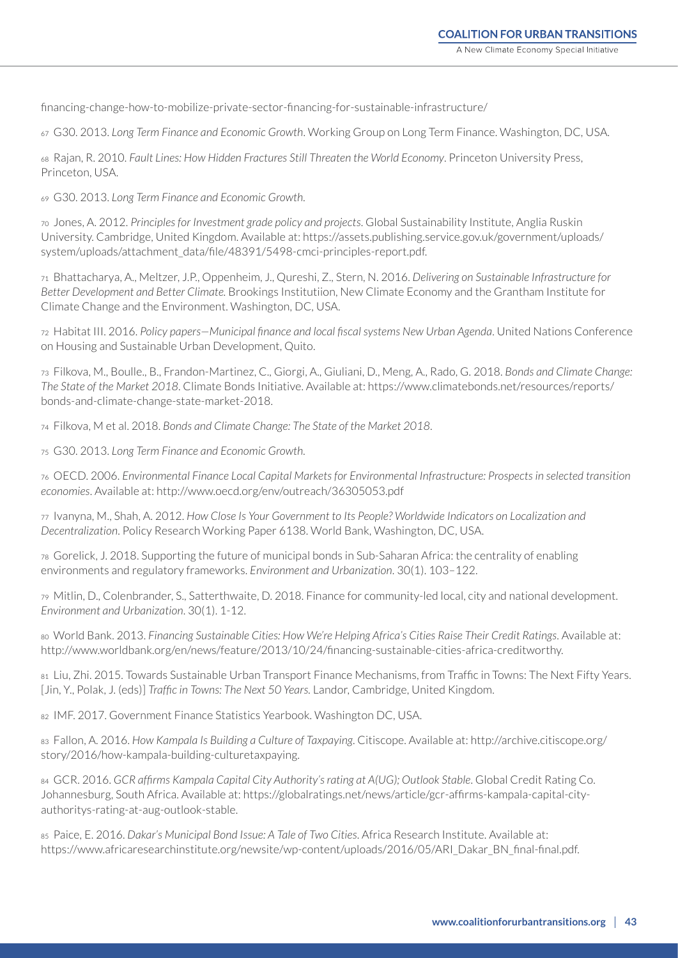financing-change-how-to-mobilize-private-sector-financing-for-sustainable-infrastructure/

67 G30. 2013. *Long Term Finance and Economic Growth*. Working Group on Long Term Finance. Washington, DC, USA.

68 Rajan, R. 2010. *Fault Lines: How Hidden Fractures Still Threaten the World Economy*. Princeton University Press, Princeton, USA.

69 G30. 2013. *Long Term Finance and Economic Growth.*

70 Jones, A. 2012. *Principles for Investment grade policy and projects*. Global Sustainability Institute, Anglia Ruskin University. Cambridge, United Kingdom. Available at: [https://assets.publishing.service.gov.uk/government/uploads/](https://assets.publishing.service.gov.uk/government/uploads/system/uploads/attachment_data/file/48391/5498-cmci-principles-report.pdf) [system/uploads/attachment\\_data/file/48391/5498-cmci-principles-report.pdf](https://assets.publishing.service.gov.uk/government/uploads/system/uploads/attachment_data/file/48391/5498-cmci-principles-report.pdf).

71 Bhattacharya, A., Meltzer, J.P., Oppenheim, J., Qureshi, Z., Stern, N. 2016. *Delivering on Sustainable Infrastructure for Better Development and Better Climate.* Brookings Institutiion, New Climate Economy and the Grantham Institute for Climate Change and the Environment. Washington, DC, USA.

72 Habitat III. 2016. *Policy papers—Municipal finance and local fiscal systems New Urban Agenda*. United Nations Conference on Housing and Sustainable Urban Development, Quito.

73 Filkova, M., Boulle., B., Frandon-Martinez, C., Giorgi, A., Giuliani, D., Meng, A., Rado, G. 2018. *Bonds and Climate Change: The State of the Market 2018*. Climate Bonds Initiative. Available at: [https://www.climatebonds.net/resources/reports/](https://www.climatebonds.net/resources/reports/bonds-and-climate-change-state-market-2018) [bonds-and-climate-change-state-market-2018.](https://www.climatebonds.net/resources/reports/bonds-and-climate-change-state-market-2018)

74 Filkova, M et al. 2018. *Bonds and Climate Change: The State of the Market 2018*.

75 G30. 2013. *Long Term Finance and Economic Growth.* 

76 OECD. 2006. *Environmental Finance Local Capital Markets for Environmental Infrastructure: Prospects in selected transition economies*. Available at: http://www.oecd.org/env/outreach/36305053.pdf

77 Ivanyna, M., Shah, A. 2012. *How Close Is Your Government to Its People? Worldwide Indicators on Localization and Decentralization*. Policy Research Working Paper 6138. World Bank, Washington, DC, USA.

78 Gorelick, J. 2018. Supporting the future of municipal bonds in Sub-Saharan Africa: the centrality of enabling environments and regulatory frameworks. *Environment and Urbanization*. 30(1). 103–122.

79 Mitlin, D., Colenbrander, S., Satterthwaite, D. 2018. Finance for community-led local, city and national development. *Environment and Urbanization*. 30(1). 1-12.

80 World Bank. 2013. *Financing Sustainable Cities: How We're Helping Africa's Cities Raise Their Credit Ratings*. Available at: [http://www.worldbank.org/en/news/feature/2013/10/24/financing-sustainable-cities-africa-creditworthy.](http://www.worldbank.org/en/news/feature/2013/10/24/financing-sustainable-cities-africa-creditworthy)

81 Liu, Zhi. 2015. Towards Sustainable Urban Transport Finance Mechanisms, from Traffic in Towns: The Next Fifty Years. [Jin, Y., Polak, J. (eds)] *Traffic in Towns: The Next 50 Years.* Landor, Cambridge, United Kingdom.

82 IMF. 2017. Government Finance Statistics Yearbook. Washington DC, USA.

83 Fallon, A. 2016. *How Kampala Is Building a Culture of Taxpaying*. Citiscope. Available at: [http://archive.citiscope.org/](http://archive.citiscope.org/story/2016/how-kampala-building-culturetaxpaying) [story/2016/how-kampala-building-culturetaxpaying](http://archive.citiscope.org/story/2016/how-kampala-building-culturetaxpaying).

84 GCR. 2016. *GCR affirms Kampala Capital City Authority's rating at A(UG); Outlook Stable*. Global Credit Rating Co. Johannesburg, South Africa. Available at: [https://globalratings.net/news/article/gcr-affirms-kampala-capital-city](https://globalratings.net/news/article/gcr-affirms-kampala-capital-city-authoritys-rating-at-aug-outlook-stable)[authoritys-rating-at-aug-outlook-stable](https://globalratings.net/news/article/gcr-affirms-kampala-capital-city-authoritys-rating-at-aug-outlook-stable).

85 Paice, E. 2016. *Dakar's Municipal Bond Issue: A Tale of Two Cities*. Africa Research Institute. Available at: [https://www.africaresearchinstitute.org/newsite/wp-content/uploads/2016/05/ARI\\_Dakar\\_BN\\_final-final.pdf](https://www.africaresearchinstitute.org/newsite/wp-content/uploads/2016/05/ARI_Dakar_BN_final-final.pdf).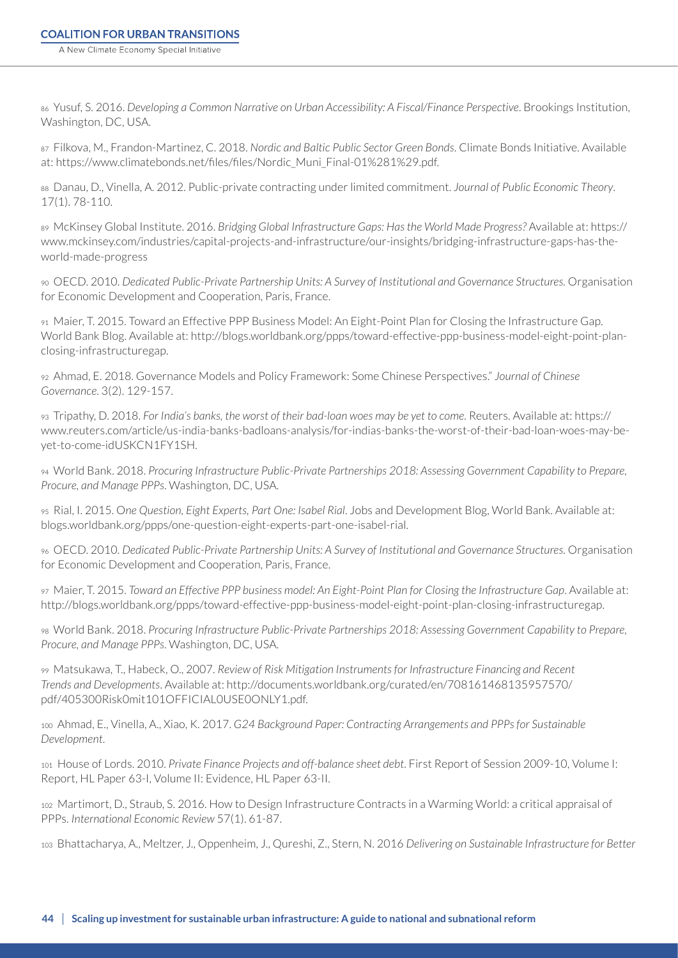86 Yusuf, S. 2016. *Developing a Common Narrative on Urban Accessibility: A Fiscal/Finance Perspective*. Brookings Institution, Washington, DC, USA.

87 Filkova, M., Frandon-Martinez, C. 2018. *Nordic and Baltic Public Sector Green Bonds*. Climate Bonds Initiative. Available at: [https://www.climatebonds.net/files/files/Nordic\\_Muni\\_Final-01%281%29.pdf.](https://www.climatebonds.net/files/files/Nordic_Muni_Final-01%281%29.pdf)

88 Danau, D., Vinella, A. 2012. Public-private contracting under limited commitment. *Journal of Public Economic Theory*. 17(1). 78-110.

89 McKinsey Global Institute. 2016. *Bridging Global Infrastructure Gaps: Has the World Made Progress?* Available at: https:// www.mckinsey.com/industries/capital-projects-and-infrastructure/our-insights/bridging-infrastructure-gaps-has-theworld-made-progress

90 OECD. 2010. *Dedicated Public-Private Partnership Units: A Survey of Institutional and Governance Structures.* Organisation for Economic Development and Cooperation, Paris, France.

91 Maier, T. 2015. Toward an Effective PPP Business Model: An Eight-Point Plan for Closing the Infrastructure Gap. World Bank Blog. Available at: [http://blogs.worldbank.org/ppps/toward-effective-ppp-business-model-eight-point-plan](http://blogs.worldbank.org/ppps/toward-effective-ppp-business-model-eight-point-plan-closing-infrastructuregap)[closing-infrastructuregap.](http://blogs.worldbank.org/ppps/toward-effective-ppp-business-model-eight-point-plan-closing-infrastructuregap)

92 Ahmad, E. 2018. Governance Models and Policy Framework: Some Chinese Perspectives." *Journal of Chinese Governance*. 3(2). 129-157.

93 Tripathy, D. 2018. *For India's banks, the worst of their bad-loan woes may be yet to come*. Reuters. Available at: [https://](https://www.reuters.com/article/us-india-banks-badloans-analysis/for-indias-banks-the-worst-of-their-bad-loan-woes-may-be-yet-to-come-idUSKCN1FY1SH) [www.reuters.com/article/us-india-banks-badloans-analysis/for-indias-banks-the-worst-of-their-bad-loan-woes-may-be](https://www.reuters.com/article/us-india-banks-badloans-analysis/for-indias-banks-the-worst-of-their-bad-loan-woes-may-be-yet-to-come-idUSKCN1FY1SH)[yet-to-come-idUSKCN1FY1SH](https://www.reuters.com/article/us-india-banks-badloans-analysis/for-indias-banks-the-worst-of-their-bad-loan-woes-may-be-yet-to-come-idUSKCN1FY1SH).

94 World Bank. 2018. *Procuring Infrastructure Public-Private Partnerships 2018: Assessing Government Capability to Prepare, Procure, and Manage PPPs*. Washington, DC, USA.

95 Rial, I. 2015. O*ne Question, Eight Experts, Part One: Isabel Rial*. Jobs and Development Blog, World Bank. Available at: [blogs.worldbank.org/ppps/one-question-eight-experts-part-one-isabel-rial.](blogs.worldbank.org/ppps/one-question-eight-experts-part-one-isabel-rial)

96 OECD. 2010. *Dedicated Public-Private Partnership Units: A Survey of Institutional and Governance Structures.* Organisation for Economic Development and Cooperation, Paris, France.

97 Maier, T. 2015. *Toward an Effective PPP business model: An Eight-Point Plan for Closing the Infrastructure Gap*. Available at: <http://blogs.worldbank.org/ppps/toward-effective-ppp-business-model-eight-point-plan-closing-infrastructuregap>.

98 World Bank. 2018. *Procuring Infrastructure Public-Private Partnerships 2018: Assessing Government Capability to Prepare, Procure, and Manage PPPs*. Washington, DC, USA.

99 Matsukawa, T., Habeck, O., 2007. *Review of Risk Mitigation Instruments for Infrastructure Financing and Recent Trends and Developments*. Available at: [http://documents.worldbank.org/curated/en/708161468135957570/](http://documents.worldbank.org/curated/en/708161468135957570/pdf/405300Risk0mit101OFFICIAL0USE0ONLY1.pdf) [pdf/405300Risk0mit101OFFICIAL0USE0ONLY1.pdf.](http://documents.worldbank.org/curated/en/708161468135957570/pdf/405300Risk0mit101OFFICIAL0USE0ONLY1.pdf)

100 Ahmad, E., Vinella, A., Xiao, K. 2017. *G24 Background Paper: Contracting Arrangements and PPPs for Sustainable Development*.

101 House of Lords. 2010. *Private Finance Projects and off-balance sheet debt*. First Report of Session 2009-10, Volume I: Report, HL Paper 63-I, Volume II: Evidence, HL Paper 63-II.

102 Martimort, D., Straub, S. 2016. How to Design Infrastructure Contracts in a Warming World: a critical appraisal of PPPs. *International Economic Review* 57(1). 61-87.

103 Bhattacharya, A., Meltzer, J., Oppenheim, J., Qureshi, Z., Stern, N. 2016 *Delivering on Sustainable Infrastructure for Better*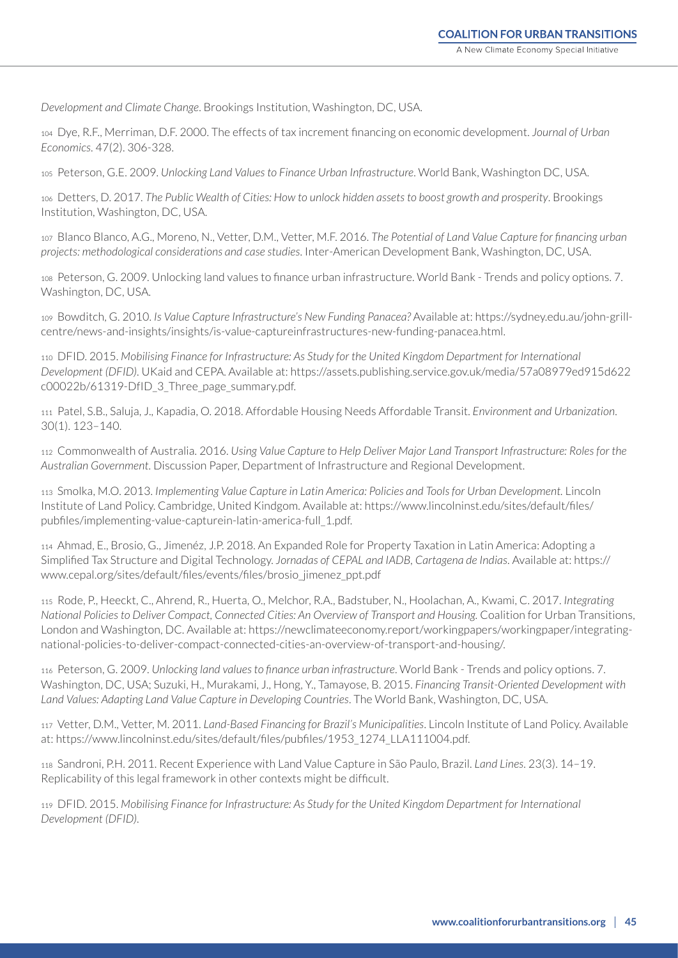*Development and Climate Change*. Brookings Institution, Washington, DC, USA.

<sup>104</sup> Dye, R.F., Merriman, D.F. 2000. The effects of tax increment financing on economic development. *Journal of Urban Economics*. 47(2). 306-328.

105 Peterson, G.E. 2009. *Unlocking Land Values to Finance Urban Infrastructure*. World Bank, Washington DC, USA.

106 Detters, D. 2017. *The Public Wealth of Cities: How to unlock hidden assets to boost growth and prosperity*. Brookings Institution, Washington, DC, USA.

107 Blanco Blanco, A.G., Moreno, N., Vetter, D.M., Vetter, M.F. 2016. *The Potential of Land Value Capture for financing urban projects: methodological considerations and case studies*. Inter-American Development Bank, Washington, DC, USA.

<sup>108</sup> Peterson, G. 2009. Unlocking land values to finance urban infrastructure. World Bank - Trends and policy options. 7. Washington, DC, USA.

109 Bowditch, G. 2010. *Is Value Capture Infrastructure's New Funding Panacea?* Available at: [https://sydney.edu.au/john-grill](https://sydney.edu.au/john-grill-centre/news-and-insights/insights/is-value-captureinfrastructures-new-funding-panacea.html)[centre/news-and-insights/insights/is-value-captureinfrastructures-new-funding-panacea.html](https://sydney.edu.au/john-grill-centre/news-and-insights/insights/is-value-captureinfrastructures-new-funding-panacea.html).

110 DFID. 2015. *Mobilising Finance for Infrastructure: As Study for the United Kingdom Department for International Development (DFID)*. UKaid and CEPA. Available at: [https://assets.publishing.service.gov.uk/media/57a08979ed915d622](https://assets.publishing.service.gov.uk/media/57a08979ed915d622c00022b/61319-DfID_3_Three_page_summary.pdf) [c00022b/61319-DfID\\_3\\_Three\\_page\\_summary.pdf.](https://assets.publishing.service.gov.uk/media/57a08979ed915d622c00022b/61319-DfID_3_Three_page_summary.pdf)

111 Patel, S.B., Saluja, J., Kapadia, O. 2018. Affordable Housing Needs Affordable Transit. *Environment and Urbanization*. 30(1). 123–140.

112 Commonwealth of Australia. 2016. *Using Value Capture to Help Deliver Major Land Transport Infrastructure: Roles for the Australian Government*. Discussion Paper, Department of Infrastructure and Regional Development.

113 Smolka, M.O. 2013. *Implementing Value Capture in Latin America: Policies and Tools for Urban Development.* Lincoln Institute of Land Policy. Cambridge, United Kindgom. Available at: [https://www.lincolninst.edu/sites/default/files/](https://www.lincolninst.edu/sites/default/files/pubfiles/implementing-value-capturein-latin-america-full_1.pdf) [pubfiles/implementing-value-capturein-latin-america-full\\_1.pdf.](https://www.lincolninst.edu/sites/default/files/pubfiles/implementing-value-capturein-latin-america-full_1.pdf)

114 Ahmad, E., Brosio, G., Jimenéz, J.P. 2018. An Expanded Role for Property Taxation in Latin America: Adopting a Simplified Tax Structure and Digital Technology. *Jornadas of CEPAL and IADB, Cartagena de Indias*. Available at: https:// www.cepal.org/sites/default/files/events/files/brosio\_jimenez\_ppt.pdf

115 Rode, P., Heeckt, C., Ahrend, R., Huerta, O., Melchor, R.A., Badstuber, N., Hoolachan, A., Kwami, C. 2017. *Integrating National Policies to Deliver Compact, Connected Cities: An Overview of Transport and Housing.* Coalition for Urban Transitions, London and Washington, DC. Available at: [https://newclimateeconomy.report/workingpapers/workingpaper/integrating](https://newclimateeconomy.report/workingpapers/workingpaper/integrating-national-policies-to-deliver-compact-connected-cities-an-overview-of-transport-and-housing/)[national-policies-to-deliver-compact-connected-cities-an-overview-of-transport-and-housing/.](https://newclimateeconomy.report/workingpapers/workingpaper/integrating-national-policies-to-deliver-compact-connected-cities-an-overview-of-transport-and-housing/)

116 Peterson, G. 2009. *Unlocking land values to finance urban infrastructure*. World Bank - Trends and policy options. 7. Washington, DC, USA; Suzuki, H., Murakami, J., Hong, Y., Tamayose, B. 2015. *Financing Transit-Oriented Development with Land Values: Adapting Land Value Capture in Developing Countries*. The World Bank, Washington, DC, USA.

117 Vetter, D.M., Vetter, M. 2011. *Land-Based Financing for Brazil's Municipalities*. Lincoln Institute of Land Policy. Available at: [https://www.lincolninst.edu/sites/default/files/pubfiles/1953\\_1274\\_LLA111004.pdf.](https://www.lincolninst.edu/sites/default/files/pubfiles/1953_1274_LLA111004.pdf)

118 Sandroni, P.H. 2011. Recent Experience with Land Value Capture in São Paulo, Brazil. *Land Lines*. 23(3). 14–19. Replicability of this legal framework in other contexts might be difficult.

119 DFID. 2015. *Mobilising Finance for Infrastructure: As Study for the United Kingdom Department for International Development (DFID)*.